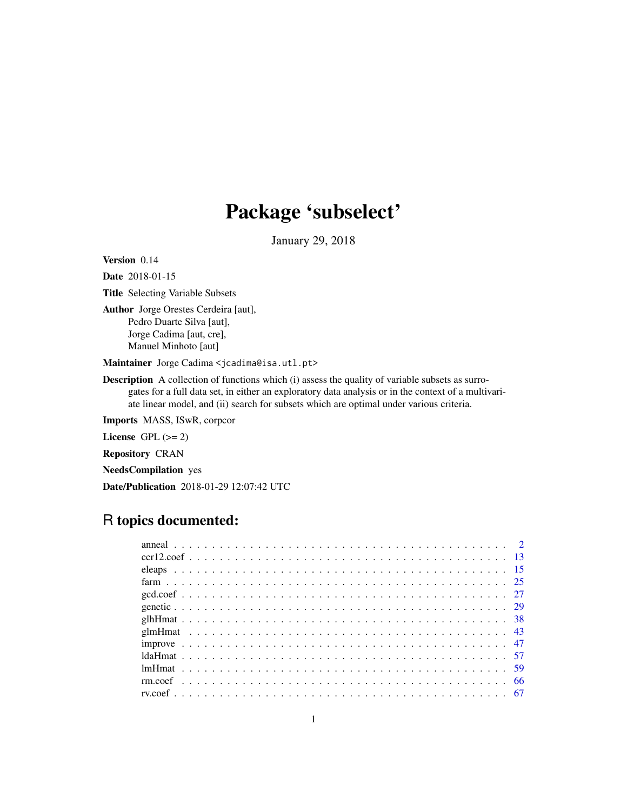# Package 'subselect'

January 29, 2018

Version 0.14

Date 2018-01-15

Title Selecting Variable Subsets

Author Jorge Orestes Cerdeira [aut], Pedro Duarte Silva [aut], Jorge Cadima [aut, cre], Manuel Minhoto [aut]

Maintainer Jorge Cadima <jcadima@isa.utl.pt>

**Description** A collection of functions which (i) assess the quality of variable subsets as surrogates for a full data set, in either an exploratory data analysis or in the context of a multivariate linear model, and (ii) search for subsets which are optimal under various criteria.

Imports MASS, ISwR, corpcor

License GPL  $(>= 2)$ 

Repository CRAN

NeedsCompilation yes

Date/Publication 2018-01-29 12:07:42 UTC

## R topics documented: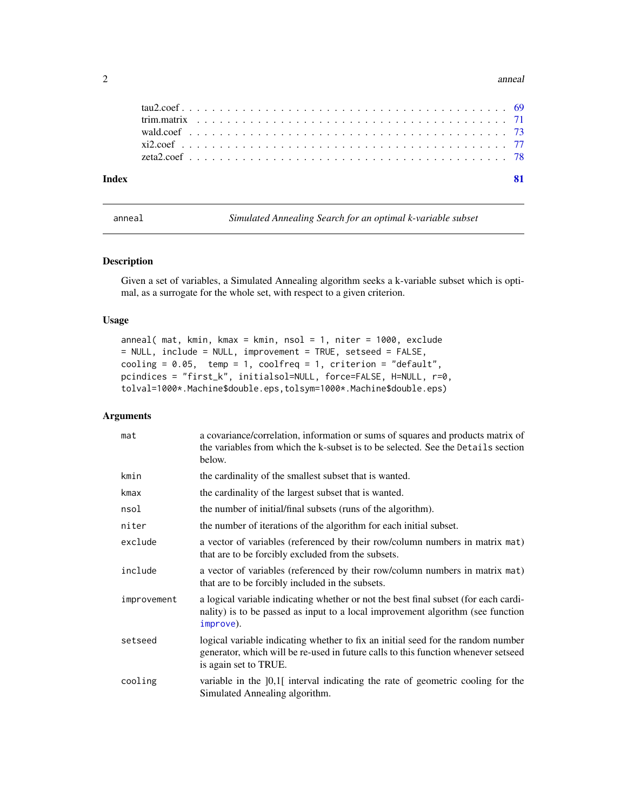#### 2 anno 2020 anno 2020 anno 2020 anno 2020 anno 2020 anno 2020 anno 2020 anno 2020 anno 2020 anno 2020 anno 2020

| Indev |  |  |  |  |  |  |  |  |  |  |  |  |  |  |  |  |  |  |  |  |  |
|-------|--|--|--|--|--|--|--|--|--|--|--|--|--|--|--|--|--|--|--|--|--|
|       |  |  |  |  |  |  |  |  |  |  |  |  |  |  |  |  |  |  |  |  |  |
|       |  |  |  |  |  |  |  |  |  |  |  |  |  |  |  |  |  |  |  |  |  |
|       |  |  |  |  |  |  |  |  |  |  |  |  |  |  |  |  |  |  |  |  |  |
|       |  |  |  |  |  |  |  |  |  |  |  |  |  |  |  |  |  |  |  |  |  |
|       |  |  |  |  |  |  |  |  |  |  |  |  |  |  |  |  |  |  |  |  |  |

<span id="page-1-1"></span>anneal *Simulated Annealing Search for an optimal k-variable subset*

#### Description

Given a set of variables, a Simulated Annealing algorithm seeks a k-variable subset which is optimal, as a surrogate for the whole set, with respect to a given criterion.

#### Usage

```
anneal( mat, kmin, kmax = kmin, nsol = 1, niter = 1000, exclude
= NULL, include = NULL, improvement = TRUE, setseed = FALSE,
cooling = 0.05, temp = 1, coolfreq = 1, criterion = "default",
pcindices = "first_k", initialsol=NULL, force=FALSE, H=NULL, r=0,
tolval=1000*.Machine$double.eps,tolsym=1000*.Machine$double.eps)
```
#### Arguments

| mat         | a covariance/correlation, information or sums of squares and products matrix of<br>the variables from which the k-subset is to be selected. See the Details section<br>below.                   |
|-------------|-------------------------------------------------------------------------------------------------------------------------------------------------------------------------------------------------|
| kmin        | the cardinality of the smallest subset that is wanted.                                                                                                                                          |
| kmax        | the cardinality of the largest subset that is wanted.                                                                                                                                           |
| nsol        | the number of initial/final subsets (runs of the algorithm).                                                                                                                                    |
| niter       | the number of iterations of the algorithm for each initial subset.                                                                                                                              |
| exclude     | a vector of variables (referenced by their row/column numbers in matrix mat)<br>that are to be forcibly excluded from the subsets.                                                              |
| include     | a vector of variables (referenced by their row/column numbers in matrix mat)<br>that are to be forcibly included in the subsets.                                                                |
| improvement | a logical variable indicating whether or not the best final subset (for each cardi-<br>nality) is to be passed as input to a local improvement algorithm (see function<br>improve).             |
| setseed     | logical variable indicating whether to fix an initial seed for the random number<br>generator, which will be re-used in future calls to this function whenever setseed<br>is again set to TRUE. |
| cooling     | variable in the [0,1] interval indicating the rate of geometric cooling for the<br>Simulated Annealing algorithm.                                                                               |

<span id="page-1-0"></span>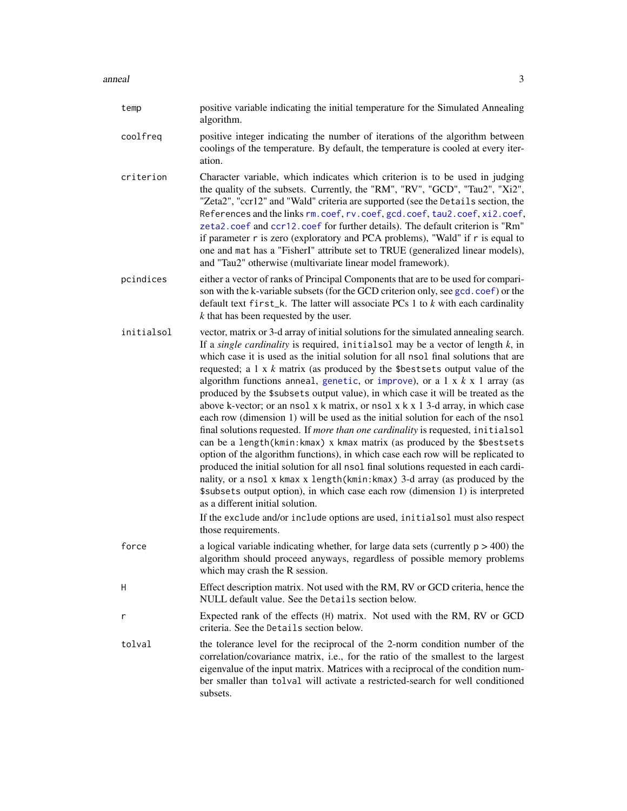#### anneal 3

| temp       | positive variable indicating the initial temperature for the Simulated Annealing<br>algorithm.                                                                                                                                                                                                                                                                                                                                                                                                                                                                                                                                                                                                                                                                                                                                                                                                                                                                                                                                                                                                                                                                                                                                                                                                                                                                        |
|------------|-----------------------------------------------------------------------------------------------------------------------------------------------------------------------------------------------------------------------------------------------------------------------------------------------------------------------------------------------------------------------------------------------------------------------------------------------------------------------------------------------------------------------------------------------------------------------------------------------------------------------------------------------------------------------------------------------------------------------------------------------------------------------------------------------------------------------------------------------------------------------------------------------------------------------------------------------------------------------------------------------------------------------------------------------------------------------------------------------------------------------------------------------------------------------------------------------------------------------------------------------------------------------------------------------------------------------------------------------------------------------|
| coolfreq   | positive integer indicating the number of iterations of the algorithm between<br>coolings of the temperature. By default, the temperature is cooled at every iter-<br>ation.                                                                                                                                                                                                                                                                                                                                                                                                                                                                                                                                                                                                                                                                                                                                                                                                                                                                                                                                                                                                                                                                                                                                                                                          |
| criterion  | Character variable, which indicates which criterion is to be used in judging<br>the quality of the subsets. Currently, the "RM", "RV", "GCD", "Tau2", "Xi2",<br>"Zeta2", "ccr12" and "Wald" criteria are supported (see the Details section, the<br>References and the links rm. coef, rv. coef, gcd. coef, tau2. coef, xi2. coef,<br>zeta2.coef and ccr12.coef for further details). The default criterion is "Rm"<br>if parameter r is zero (exploratory and PCA problems), "Wald" if r is equal to<br>one and mat has a "FisherI" attribute set to TRUE (generalized linear models),<br>and "Tau2" otherwise (multivariate linear model framework).                                                                                                                                                                                                                                                                                                                                                                                                                                                                                                                                                                                                                                                                                                                |
| pcindices  | either a vector of ranks of Principal Components that are to be used for compari-<br>son with the k-variable subsets (for the GCD criterion only, see gcd. coef) or the<br>default text first_k. The latter will associate PCs 1 to $k$ with each cardinality<br>$k$ that has been requested by the user.                                                                                                                                                                                                                                                                                                                                                                                                                                                                                                                                                                                                                                                                                                                                                                                                                                                                                                                                                                                                                                                             |
| initialsol | vector, matrix or 3-d array of initial solutions for the simulated annealing search.<br>If a single cardinality is required, initialsol may be a vector of length $k$ , in<br>which case it is used as the initial solution for all nsol final solutions that are<br>requested; a $1 \times k$ matrix (as produced by the \$best sets output value of the<br>algorithm functions anneal, genetic, or improve), or a $1 \times k \times 1$ array (as<br>produced by the \$subsets output value), in which case it will be treated as the<br>above k-vector; or an nsol x k matrix, or nsol x k x 1 3-d array, in which case<br>each row (dimension 1) will be used as the initial solution for each of the nsol<br>final solutions requested. If more than one cardinality is requested, initialsol<br>can be a length (kmin: kmax) x kmax matrix (as produced by the \$bestsets<br>option of the algorithm functions), in which case each row will be replicated to<br>produced the initial solution for all nsol final solutions requested in each cardi-<br>nality, or a nsol x kmax x length(kmin: kmax) 3-d array (as produced by the<br>\$subsets output option), in which case each row (dimension 1) is interpreted<br>as a different initial solution.<br>If the exclude and/or include options are used, initialsol must also respect<br>those requirements. |
| force      | a logical variable indicating whether, for large data sets (currently $p > 400$ ) the<br>algorithm should proceed anyways, regardless of possible memory problems<br>which may crash the R session.                                                                                                                                                                                                                                                                                                                                                                                                                                                                                                                                                                                                                                                                                                                                                                                                                                                                                                                                                                                                                                                                                                                                                                   |
| H          | Effect description matrix. Not used with the RM, RV or GCD criteria, hence the<br>NULL default value. See the Details section below.                                                                                                                                                                                                                                                                                                                                                                                                                                                                                                                                                                                                                                                                                                                                                                                                                                                                                                                                                                                                                                                                                                                                                                                                                                  |
| r          | Expected rank of the effects (H) matrix. Not used with the RM, RV or GCD<br>criteria. See the Details section below.                                                                                                                                                                                                                                                                                                                                                                                                                                                                                                                                                                                                                                                                                                                                                                                                                                                                                                                                                                                                                                                                                                                                                                                                                                                  |
| tolval     | the tolerance level for the reciprocal of the 2-norm condition number of the<br>correlation/covariance matrix, i.e., for the ratio of the smallest to the largest<br>eigenvalue of the input matrix. Matrices with a reciprocal of the condition num-<br>ber smaller than tolval will activate a restricted-search for well conditioned<br>subsets.                                                                                                                                                                                                                                                                                                                                                                                                                                                                                                                                                                                                                                                                                                                                                                                                                                                                                                                                                                                                                   |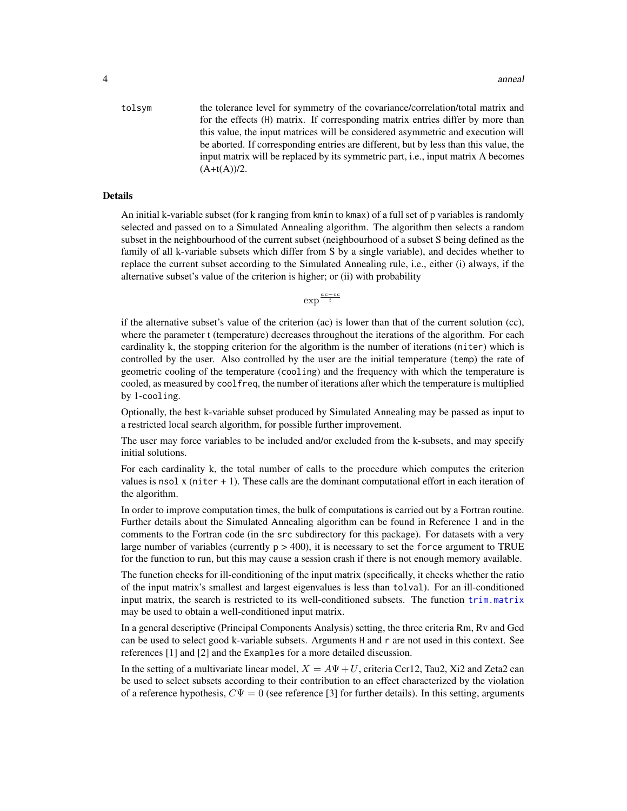tolsym the tolerance level for symmetry of the covariance/correlation/total matrix and for the effects (H) matrix. If corresponding matrix entries differ by more than this value, the input matrices will be considered asymmetric and execution will be aborted. If corresponding entries are different, but by less than this value, the input matrix will be replaced by its symmetric part, i.e., input matrix A becomes  $(A+t(A))/2$ .

#### Details

An initial k-variable subset (for k ranging from kmin to kmax) of a full set of p variables is randomly selected and passed on to a Simulated Annealing algorithm. The algorithm then selects a random subset in the neighbourhood of the current subset (neighbourhood of a subset S being defined as the family of all k-variable subsets which differ from S by a single variable), and decides whether to replace the current subset according to the Simulated Annealing rule, i.e., either (i) always, if the alternative subset's value of the criterion is higher; or (ii) with probability

 $\exp^{\frac{ac-cc}{t}}$ 

if the alternative subset's value of the criterion  $(ac)$  is lower than that of the current solution  $(cc)$ , where the parameter t (temperature) decreases throughout the iterations of the algorithm. For each cardinality k, the stopping criterion for the algorithm is the number of iterations (niter) which is controlled by the user. Also controlled by the user are the initial temperature (temp) the rate of geometric cooling of the temperature (cooling) and the frequency with which the temperature is cooled, as measured by coolfreq, the number of iterations after which the temperature is multiplied by 1-cooling.

Optionally, the best k-variable subset produced by Simulated Annealing may be passed as input to a restricted local search algorithm, for possible further improvement.

The user may force variables to be included and/or excluded from the k-subsets, and may specify initial solutions.

For each cardinality k, the total number of calls to the procedure which computes the criterion values is nsol  $x$  (niter  $x + 1$ ). These calls are the dominant computational effort in each iteration of the algorithm.

In order to improve computation times, the bulk of computations is carried out by a Fortran routine. Further details about the Simulated Annealing algorithm can be found in Reference 1 and in the comments to the Fortran code (in the src subdirectory for this package). For datasets with a very large number of variables (currently  $p > 400$ ), it is necessary to set the force argument to TRUE for the function to run, but this may cause a session crash if there is not enough memory available.

The function checks for ill-conditioning of the input matrix (specifically, it checks whether the ratio of the input matrix's smallest and largest eigenvalues is less than tolval). For an ill-conditioned input matrix, the search is restricted to its well-conditioned subsets. The function [trim.matrix](#page-70-1) may be used to obtain a well-conditioned input matrix.

In a general descriptive (Principal Components Analysis) setting, the three criteria Rm, Rv and Gcd can be used to select good k-variable subsets. Arguments H and r are not used in this context. See references [1] and [2] and the Examples for a more detailed discussion.

In the setting of a multivariate linear model,  $X = A\Psi + U$ , criteria Ccr12, Tau2, Xi2 and Zeta2 can be used to select subsets according to their contribution to an effect characterized by the violation of a reference hypothesis,  $C\Psi = 0$  (see reference [3] for further details). In this setting, arguments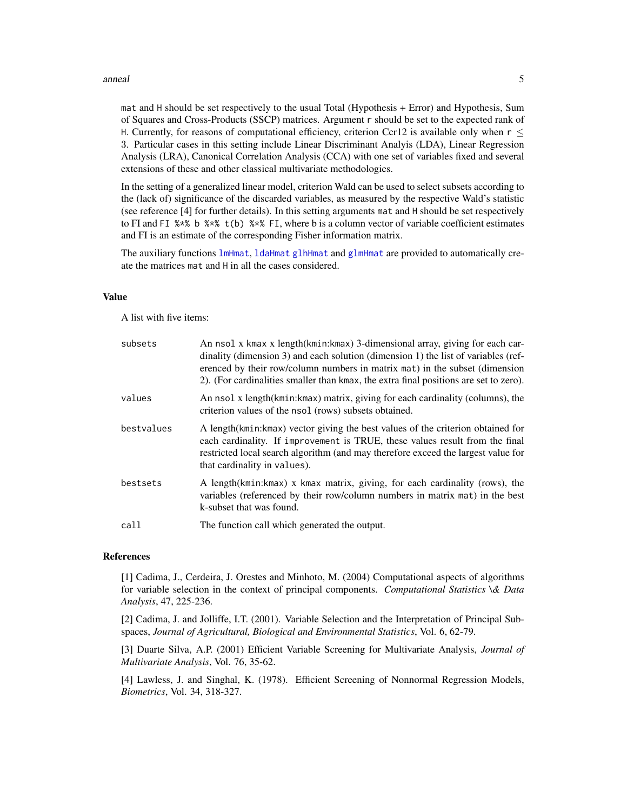#### anneal 5

mat and H should be set respectively to the usual Total (Hypothesis + Error) and Hypothesis, Sum of Squares and Cross-Products (SSCP) matrices. Argument r should be set to the expected rank of H. Currently, for reasons of computational efficiency, criterion Ccr12 is available only when  $r <$ 3. Particular cases in this setting include Linear Discriminant Analyis (LDA), Linear Regression Analysis (LRA), Canonical Correlation Analysis (CCA) with one set of variables fixed and several extensions of these and other classical multivariate methodologies.

In the setting of a generalized linear model, criterion Wald can be used to select subsets according to the (lack of) significance of the discarded variables, as measured by the respective Wald's statistic (see reference [4] for further details). In this setting arguments mat and H should be set respectively to FI and FI %\*% b %\*% t(b) %\*% FI, where b is a column vector of variable coefficient estimates and FI is an estimate of the corresponding Fisher information matrix.

The auxiliary functions [lmHmat](#page-58-1), [ldaHmat](#page-56-1) [glhHmat](#page-37-1) and [glmHmat](#page-42-1) are provided to automatically create the matrices mat and H in all the cases considered.

#### Value

A list with five items:

| subsets    | An nsol x kmax x length(kmin: kmax) 3-dimensional array, giving for each car-<br>dinality (dimension 3) and each solution (dimension 1) the list of variables (ref-<br>erenced by their row/column numbers in matrix mat) in the subset (dimension<br>2). (For cardinalities smaller than kmax, the extra final positions are set to zero). |
|------------|---------------------------------------------------------------------------------------------------------------------------------------------------------------------------------------------------------------------------------------------------------------------------------------------------------------------------------------------|
| values     | An nsol x length (kmin: kmax) matrix, giving for each cardinality (columns), the<br>criterion values of the nsol (rows) subsets obtained.                                                                                                                                                                                                   |
| bestvalues | A length (kmin: kmax) vector giving the best values of the criterion obtained for<br>each cardinality. If improvement is TRUE, these values result from the final<br>restricted local search algorithm (and may therefore exceed the largest value for<br>that cardinality in values).                                                      |
| bestsets   | A length(kmin:kmax) x kmax matrix, giving, for each cardinality (rows), the<br>variables (referenced by their row/column numbers in matrix mat) in the best<br>k-subset that was found.                                                                                                                                                     |
| call       | The function call which generated the output.                                                                                                                                                                                                                                                                                               |

#### References

[1] Cadima, J., Cerdeira, J. Orestes and Minhoto, M. (2004) Computational aspects of algorithms for variable selection in the context of principal components. *Computational Statistics \& Data Analysis*, 47, 225-236.

[2] Cadima, J. and Jolliffe, I.T. (2001). Variable Selection and the Interpretation of Principal Subspaces, *Journal of Agricultural, Biological and Environmental Statistics*, Vol. 6, 62-79.

[3] Duarte Silva, A.P. (2001) Efficient Variable Screening for Multivariate Analysis, *Journal of Multivariate Analysis*, Vol. 76, 35-62.

[4] Lawless, J. and Singhal, K. (1978). Efficient Screening of Nonnormal Regression Models, *Biometrics*, Vol. 34, 318-327.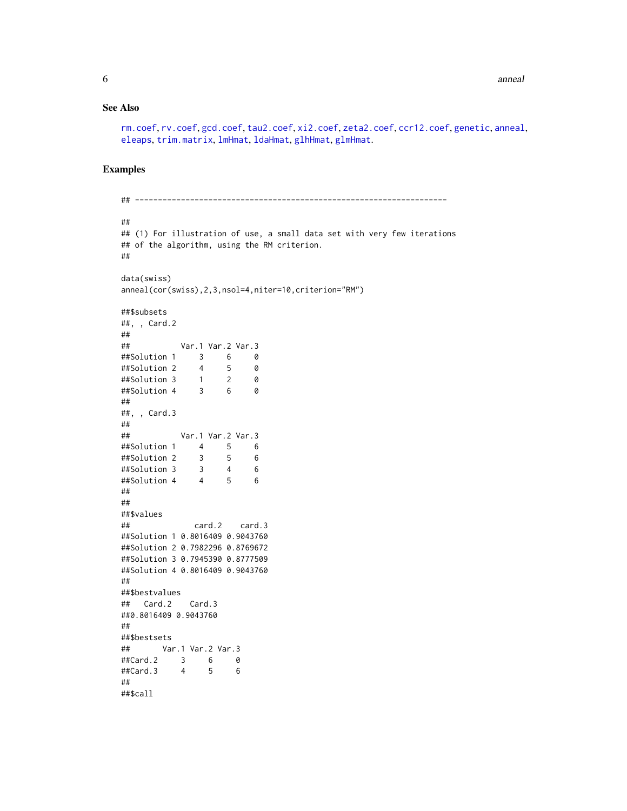#### See Also

```
rm.coef, rv.coef, gcd.coef, tau2.coef, xi2.coef, zeta2.coef, ccr12.coef, genetic, anneal,
eleaps, trim.matrix, lmHmat, ldaHmat, glhHmat, glmHmat.
```
### Examples

```
## --------------------------------------------------------------------
##
## (1) For illustration of use, a small data set with very few iterations
## of the algorithm, using the RM criterion.
##
data(swiss)
anneal(cor(swiss),2,3,nsol=4,niter=10,criterion="RM")
##$subsets
##, , Card.2
##
## Var.1 Var.2 Var.3
##Solution 1 3 6 0
##Solution 2
##Solution 3 1 2 0
##Solution 4 3 6 0
##
##, , Card.3
##
## Var.1 Var.2 Var.3
##Solution 1 4 5 6
##Solution 2 3 5 6
##Solution 3 3 4 6
##Solution 4 4 5 6
##
##
##$values
## card.2 card.3
##Solution 1 0.8016409 0.9043760
##Solution 2 0.7982296 0.8769672
##Solution 3 0.7945390 0.8777509
##Solution 4 0.8016409 0.9043760
##
##$bestvalues
## Card.2 Card.3
##0.8016409 0.9043760
##
##$bestsets
## Var.1 Var.2 Var.3
##Card.2 3 6 0
##Card.3 4 5 6
##
##$call
```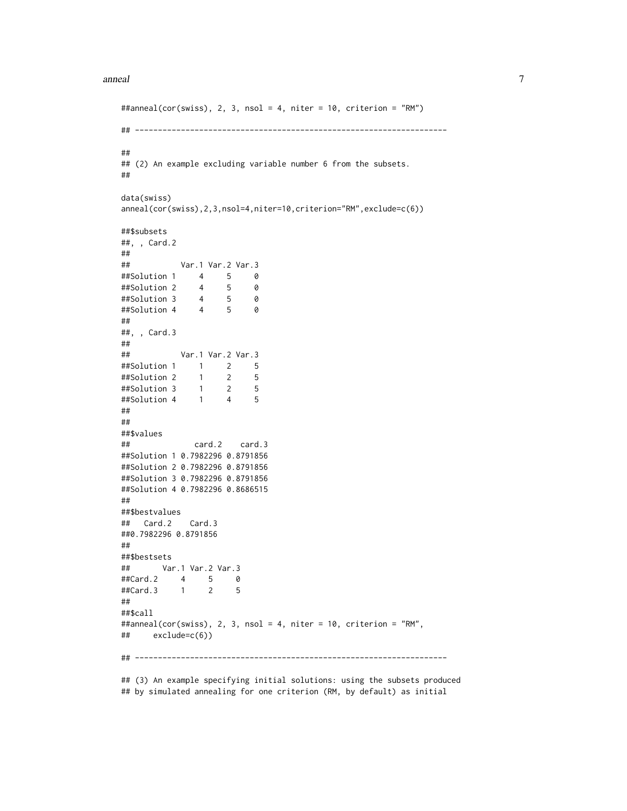#### anneal **7** anno 2020 anno 2020 anno 2020 anno 2020 anno 2020 anno 2020 anno 2020 anno 2020 anno 2020 anno 2020 anno 2020 anno 2020 anno 2020 anno 2020 anno 2020 anno 2020 anno 2020 anno 2020 anno 2020 anno 2020 anno 2020 a

```
##anneal(cor(swiss), 2, 3, nsol = 4, niter = 10, criterion = "RM")
## --------------------------------------------------------------------
##
## (2) An example excluding variable number 6 from the subsets.
##
data(swiss)
anneal(cor(swiss),2,3,nsol=4,niter=10,criterion="RM",exclude=c(6))
##$subsets
##, , Card.2
##
## Var.1 Var.2 Var.3
##Solution 1 4 5 0
##Solution 2 4 5 0
##Solution 3 4 5 0
##Solution 4 4 5 0
##
##, , Card.3
##
## Var.1 Var.2 Var.3
##Solution 1 1 2 5
##Solution 2 1 2 5
##Solution 3 1 2 5
##Solution 4
##
##
##$values
## card.2 card.3
##Solution 1 0.7982296 0.8791856
##Solution 2 0.7982296 0.8791856
##Solution 3 0.7982296 0.8791856
##Solution 4 0.7982296 0.8686515
##
##$bestvalues
## Card.2 Card.3
##0.7982296 0.8791856
##
##$bestsets
## Var.1 Var.2 Var.3
##Card.2 4 5 0
##Card.3 1 2 5
##
##$call
##anneal(cor(swiss), 2, 3, nsol = 4, niter = 10, criterion = "RM",
## exclude=c(6))
## --------------------------------------------------------------------
```
## (3) An example specifying initial solutions: using the subsets produced ## by simulated annealing for one criterion (RM, by default) as initial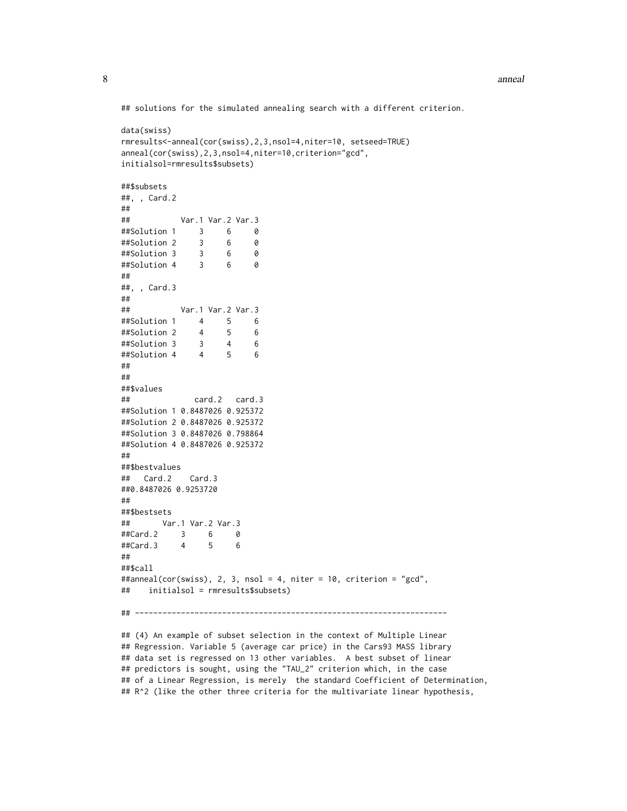## solutions for the simulated annealing search with a different criterion.

```
data(swiss)
rmresults<-anneal(cor(swiss),2,3,nsol=4,niter=10, setseed=TRUE)
anneal(cor(swiss),2,3,nsol=4,niter=10,criterion="gcd",
initialsol=rmresults$subsets)
##$subsets
##, , Card.2
##
## Var.1 Var.2 Var.3
##Solution 1 3 6 0
##Solution 2 3 6 0
##Solution 3 3 6 0
##Solution 4 3 6 0
##
##, , Card.3
##
## Var.1 Var.2 Var.3
##Solution 1 4 5 6
##Solution 2 4 5 6
##Solution 3 3 4 6
##Solution 4 4 5 6
##
##
##$values
## card.2 card.3
##Solution 1 0.8487026 0.925372
##Solution 2 0.8487026 0.925372
##Solution 3 0.8487026 0.798864
##Solution 4 0.8487026 0.925372
##
##$bestvalues
## Card.2 Card.3
##0.8487026 0.9253720
##
##$bestsets
## Var.1 Var.2 Var.3
##Card.2 3 6 0
##Card.3 4 5 6
##
##$call
##anneal(cor(swiss), 2, 3, nsol = 4, niter = 10, criterion = "gcd",
## initialsol = rmresults$subsets)
## --------------------------------------------------------------------
```
## (4) An example of subset selection in the context of Multiple Linear ## Regression. Variable 5 (average car price) in the Cars93 MASS library ## data set is regressed on 13 other variables. A best subset of linear ## predictors is sought, using the "TAU\_2" criterion which, in the case ## of a Linear Regression, is merely the standard Coefficient of Determination, ## R^2 (like the other three criteria for the multivariate linear hypothesis,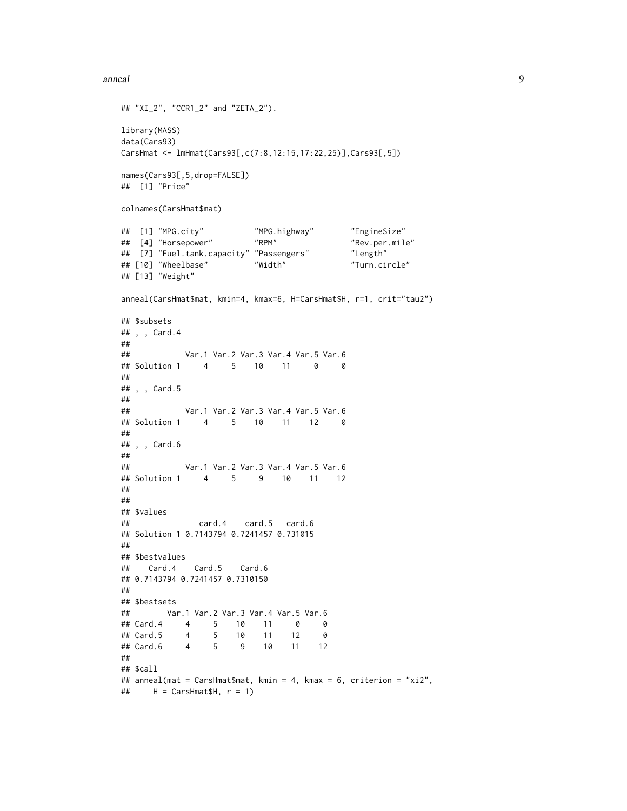#### anneal 9

```
## "XI_2", "CCR1_2" and "ZETA_2").
library(MASS)
data(Cars93)
CarsHmat <- lmHmat(Cars93[,c(7:8,12:15,17:22,25)],Cars93[,5])
names(Cars93[,5,drop=FALSE])
## [1] "Price"
colnames(CarsHmat$mat)
## [1] "MPG.city" "MPG.highway" "EngineSize"
## [4] "Horsepower" "RPM" "Rev.per.mile"
## [7] "Fuel.tank.capacity" "Passengers"
## [10] "Wheelbase" "Width" "Turn.circle"
## [13] "Weight"
anneal(CarsHmat$mat, kmin=4, kmax=6, H=CarsHmat$H, r=1, crit="tau2")
## $subsets
## , , Card.4
##
## Var.1 Var.2 Var.3 Var.4 Var.5 Var.6
## Solution 1 4 5 10 11 0 0
##
## , , Card.5
##
## Var.1 Var.2 Var.3 Var.4 Var.5 Var.6
## Solution 1 4 5 10 11 12 0
##
## , , Card.6
##
## Var.1 Var.2 Var.3 Var.4 Var.5 Var.6
## Solution 1 4 5 9 10 11 12
##
##
## $values
## card.4 card.5 card.6
## Solution 1 0.7143794 0.7241457 0.731015
##
## $bestvalues
## Card.4 Card.5 Card.6
## 0.7143794 0.7241457 0.7310150
##
## $bestsets
## Var.1 Var.2 Var.3 Var.4 Var.5 Var.6
## Card.4 4 5 10 11 0 0
## Card.5 4 5 10 11 12 0
## Card.6 4 5 9 10 11 12
##
## $call
## anneal(mat = CarsHmat$mat, kmin = 4, kmax = 6, criterion = "xi2",
\# H = CarsHmat$H, r = 1)
```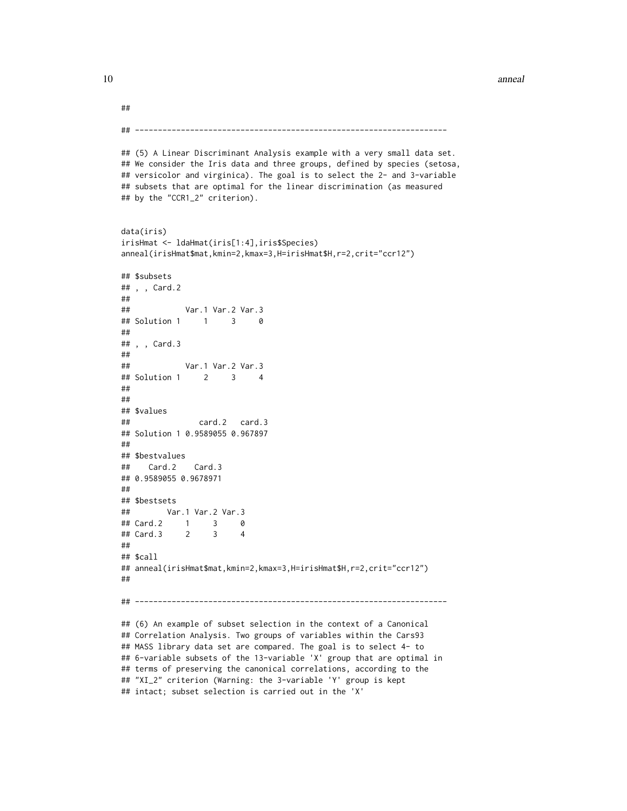#### 10 anneal anno 10 ann ann an t-Imrìogaidh ann an t-Imrìogaidh ann an t-Imrìogaidh ann an t-Imrìogaidh ann an t-Imrìogaidh ann an t-Imrìogaidh ann an t-Imrìogaidh ann an t-Imrìogaidh ann an t-Imrìogaidh ann an t-Imrìogaidh

```
##
## --------------------------------------------------------------------
## (5) A Linear Discriminant Analysis example with a very small data set.
## We consider the Iris data and three groups, defined by species (setosa,
## versicolor and virginica). The goal is to select the 2- and 3-variable
## subsets that are optimal for the linear discrimination (as measured
## by the "CCR1_2" criterion).
data(iris)
irisHmat <- ldaHmat(iris[1:4],iris$Species)
anneal(irisHmat$mat,kmin=2,kmax=3,H=irisHmat$H,r=2,crit="ccr12")
## $subsets
## , , Card.2
##
## Var.1 Var.2 Var.3
## Solution 1 1 3 0
##
## , , Card.3
##
## Var.1 Var.2 Var.3
## Solution 1 2 3 4
##
##
## $values
## card.2 card.3
## Solution 1 0.9589055 0.967897
##
## $bestvalues
## Card.2 Card.3
## 0.9589055 0.9678971
##
## $bestsets
## Var.1 Var.2 Var.3
## Card.2 1 3 0
## Card.3 2 3 4
##
## $call
## anneal(irisHmat$mat,kmin=2,kmax=3,H=irisHmat$H,r=2,crit="ccr12")
##
## --------------------------------------------------------------------
## (6) An example of subset selection in the context of a Canonical
## Correlation Analysis. Two groups of variables within the Cars93
## MASS library data set are compared. The goal is to select 4- to
## 6-variable subsets of the 13-variable 'X' group that are optimal in
## terms of preserving the canonical correlations, according to the
## "XI_2" criterion (Warning: the 3-variable 'Y' group is kept
```

```
## intact; subset selection is carried out in the 'X'
```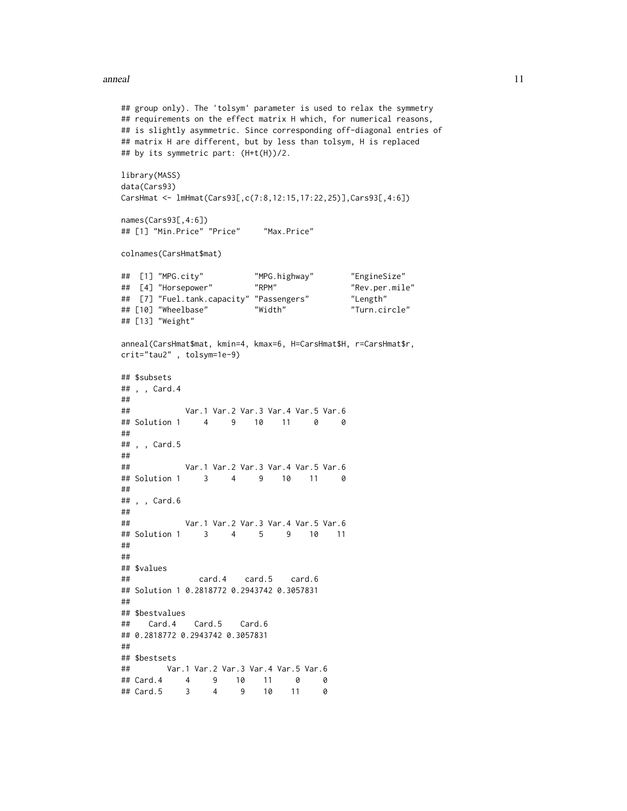#### anneal the contract of the contract of the contract of the contract of the contract of the contract of the contract of the contract of the contract of the contract of the contract of the contract of the contract of the con

```
## group only). The 'tolsym' parameter is used to relax the symmetry
## requirements on the effect matrix H which, for numerical reasons,
## is slightly asymmetric. Since corresponding off-diagonal entries of
## matrix H are different, but by less than tolsym, H is replaced
## by its symmetric part: (H+t(H))/2.
library(MASS)
data(Cars93)
CarsHmat <- lmHmat(Cars93[,c(7:8,12:15,17:22,25)],Cars93[,4:6])
names(Cars93[,4:6])
## [1] "Min.Price" "Price" "Max.Price"
colnames(CarsHmat$mat)
## [1] "MPG.city" "MPG.highway" "EngineSize"
## [4] "Horsepower" "RPM" "Rev.per.mile"
## [7] "Fuel.tank.capacity" "Passengers" "Length"
## [10] "Wheelbase" "Width" "Turn.circle"
## [13] "Weight"
anneal(CarsHmat$mat, kmin=4, kmax=6, H=CarsHmat$H, r=CarsHmat$r,
crit="tau2" , tolsym=1e-9)
## $subsets
## , , Card.4
##
## Var.1 Var.2 Var.3 Var.4 Var.5 Var.6
## Solution 1 4 9 10 11 0 0
##
## , , Card.5
#### Var.1 Var.2 Var.3 Var.4 Var.5 Var.6
## Solution 1 3 4 9 10 11 0
##
## , , Card.6
##
## Var.1 Var.2 Var.3 Var.4 Var.5 Var.6
## Solution 1 3 4 5 9 10 11
##
##
## $values
## card.4 card.5 card.6
## Solution 1 0.2818772 0.2943742 0.3057831
##
## $bestvalues
## Card.4 Card.5 Card.6
## 0.2818772 0.2943742 0.3057831
##
## $bestsets
## Var.1 Var.2 Var.3 Var.4 Var.5 Var.6
## Card.4 4 9 10 11 0 0
## Card.5 3 4 9 10 11 0
```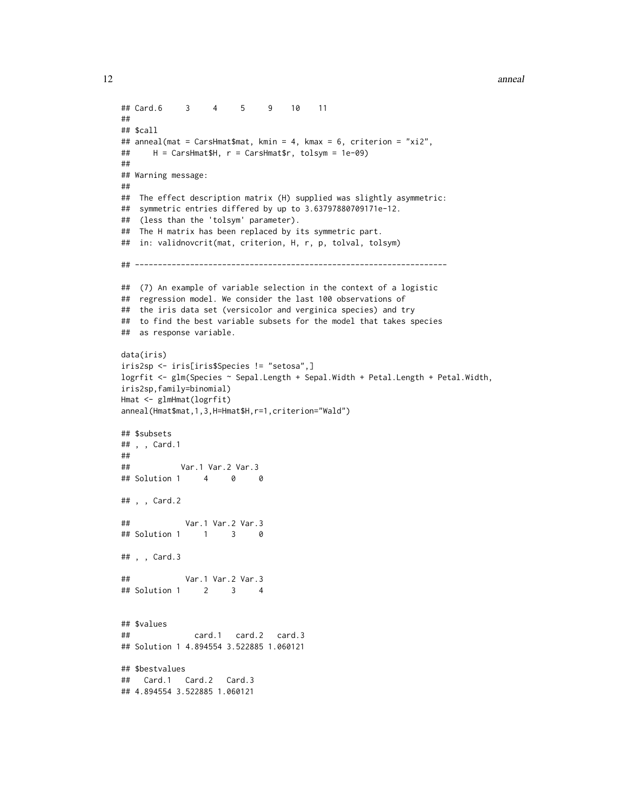12 anneal ann ann an t-India ann an t-India ann an t-India ann an t-India ann an t-India ann an t-India ann an t-India ann an t-India ann an t-India ann an t-India ann an t-India ann an t-India ann an t-India ann an t-Indi

```
## Card.6 3 4 5 9 10 11
##
## $call
## anneal(mat = CarsHmat$mat, kmin = 4, kmax = 6, criterion = "xi2",
## H = CarsHmat$H, r = CarsHmat$r, tolsym = 1e-09)
##
## Warning message:
##
## The effect description matrix (H) supplied was slightly asymmetric:
## symmetric entries differed by up to 3.63797880709171e-12.
## (less than the 'tolsym' parameter).
## The H matrix has been replaced by its symmetric part.
## in: validnovcrit(mat, criterion, H, r, p, tolval, tolsym)
## --------------------------------------------------------------------
## (7) An example of variable selection in the context of a logistic
## regression model. We consider the last 100 observations of
## the iris data set (versicolor and verginica species) and try
## to find the best variable subsets for the model that takes species
## as response variable.
data(iris)
iris2sp <- iris[iris$Species != "setosa",]
logrfit <- glm(Species ~ Sepal.Length + Sepal.Width + Petal.Length + Petal.Width,
iris2sp,family=binomial)
Hmat <- glmHmat(logrfit)
anneal(Hmat$mat,1,3,H=Hmat$H,r=1,criterion="Wald")
## $subsets
## , , Card.1
#### Var.1 Var.2 Var.3
## Solution 1 4 0 0
## , , Card.2
## Var.1 Var.2 Var.3
## Solution 1 1 3 0
## , , Card.3
## Var.1 Var.2 Var.3
## Solution 1 2 3 4
## $values
## card.1 card.2 card.3
## Solution 1 4.894554 3.522885 1.060121
## $bestvalues
## Card.1 Card.2 Card.3
## 4.894554 3.522885 1.060121
```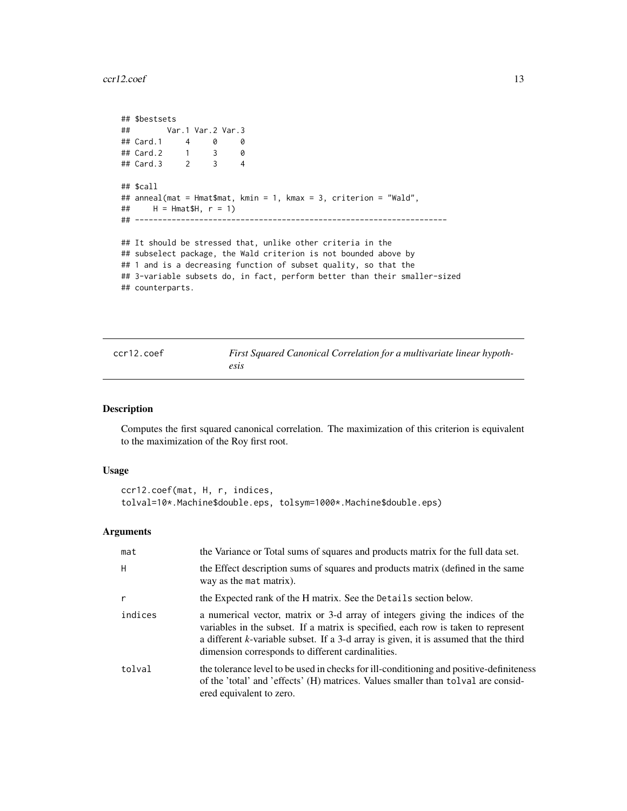<span id="page-12-0"></span> $ccr12.\text{coef}$  13

```
## $bestsets
## Var.1 Var.2 Var.3
## Card.1 4 0 0
## Card.2 1 3 0
## Card.3 2 3 4
## $call
## anneal(mat = Hmat$mat, kmin = 1, kmax = 3, criterion = "Wald",
\# H = Hmat$H, r = 1)
## --------------------------------------------------------------------
## It should be stressed that, unlike other criteria in the
## subselect package, the Wald criterion is not bounded above by
## 1 and is a decreasing function of subset quality, so that the
## 3-variable subsets do, in fact, perform better than their smaller-sized
## counterparts.
```
<span id="page-12-1"></span>

| ccr12.coef | <b>First Squared Canonical</b> |
|------------|--------------------------------|
|            | esis                           |

#### Description

Computes the first squared canonical correlation. The maximization of this criterion is equivalent to the maximization of the Roy first root.

Correlation for a multivariate linear hypoth-

#### Usage

```
ccr12.coef(mat, H, r, indices,
tolval=10*.Machine$double.eps, tolsym=1000*.Machine$double.eps)
```
#### Arguments

| mat          | the Variance or Total sums of squares and products matrix for the full data set.                                                                                                                                                                                                                                |
|--------------|-----------------------------------------------------------------------------------------------------------------------------------------------------------------------------------------------------------------------------------------------------------------------------------------------------------------|
| H            | the Effect description sums of squares and products matrix (defined in the same<br>way as the mat matrix).                                                                                                                                                                                                      |
| $\mathsf{r}$ | the Expected rank of the H matrix. See the Details section below.                                                                                                                                                                                                                                               |
| indices      | a numerical vector, matrix or 3-d array of integers giving the indices of the<br>variables in the subset. If a matrix is specified, each row is taken to represent<br>a different k-variable subset. If a 3-d array is given, it is assumed that the third<br>dimension corresponds to different cardinalities. |
| tolval       | the tolerance level to be used in checks for ill-conditioning and positive-definiteness<br>of the 'total' and 'effects' (H) matrices. Values smaller than tolval are consid-<br>ered equivalent to zero.                                                                                                        |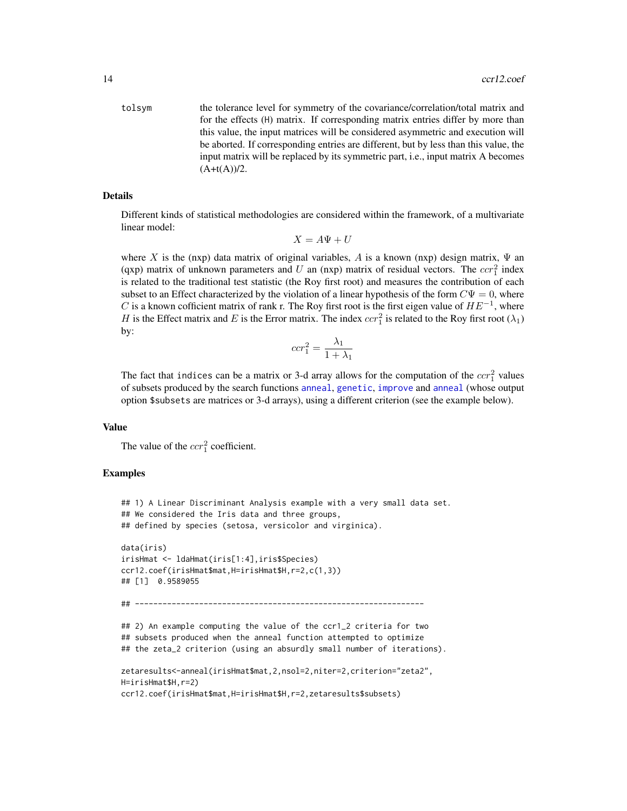tolsym the tolerance level for symmetry of the covariance/correlation/total matrix and for the effects (H) matrix. If corresponding matrix entries differ by more than this value, the input matrices will be considered asymmetric and execution will be aborted. If corresponding entries are different, but by less than this value, the input matrix will be replaced by its symmetric part, i.e., input matrix A becomes  $(A+t(A))/2.$ 

#### Details

Different kinds of statistical methodologies are considered within the framework, of a multivariate linear model:

$$
X = A\Psi + U
$$

where X is the (nxp) data matrix of original variables, A is a known (nxp) design matrix,  $\Psi$  and (qxp) matrix of unknown parameters and U an (nxp) matrix of residual vectors. The  $ccr_1^2$  index is related to the traditional test statistic (the Roy first root) and measures the contribution of each subset to an Effect characterized by the violation of a linear hypothesis of the form  $C\Psi = 0$ , where C is a known cofficient matrix of rank r. The Roy first root is the first eigen value of  $HE^{-1}$ , where H is the Effect matrix and E is the Error matrix. The index  $ccr_1^2$  is related to the Roy first root  $(\lambda_1)$ by:

$$
ccr_1^2 = \frac{\lambda_1}{1 + \lambda_1}
$$

The fact that indices can be a matrix or 3-d array allows for the computation of the  $ccr_1^2$  values of subsets produced by the search functions [anneal](#page-1-1), [genetic](#page-28-1), [improve](#page-46-1) and [anneal](#page-1-1) (whose output option \$subsets are matrices or 3-d arrays), using a different criterion (see the example below).

#### Value

The value of the  $ccr_1^2$  coefficient.

#### Examples

```
## 1) A Linear Discriminant Analysis example with a very small data set.
## We considered the Iris data and three groups,
## defined by species (setosa, versicolor and virginica).
data(iris)
irisHmat <- ldaHmat(iris[1:4],iris$Species)
ccr12.coef(irisHmat$mat,H=irisHmat$H,r=2,c(1,3))
## [1] 0.9589055
## ---------------------------------------------------------------
## 2) An example computing the value of the ccr1_2 criteria for two
## subsets produced when the anneal function attempted to optimize
## the zeta_2 criterion (using an absurdly small number of iterations).
zetaresults<-anneal(irisHmat$mat,2,nsol=2,niter=2,criterion="zeta2",
H=irisHmat$H,r=2)
ccr12.coef(irisHmat$mat,H=irisHmat$H,r=2,zetaresults$subsets)
```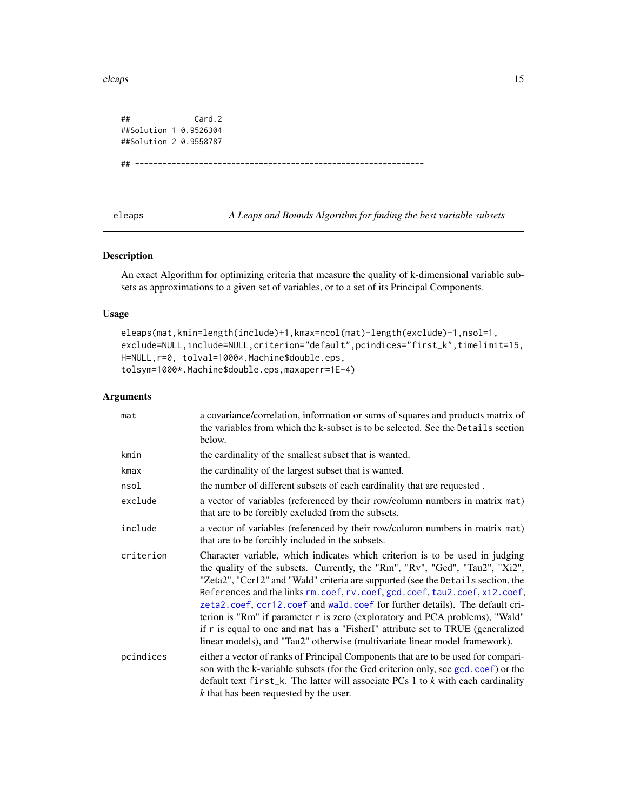<span id="page-14-0"></span>eleaps and the set of the set of the set of the set of the set of the set of the set of the set of the set of the set of the set of the set of the set of the set of the set of the set of the set of the set of the set of th

## Card.2 ##Solution 1 0.9526304 ##Solution 2 0.9558787

```
## ---------------------------------------------------------------
```
<span id="page-14-1"></span>eleaps *A Leaps and Bounds Algorithm for finding the best variable subsets*

#### Description

An exact Algorithm for optimizing criteria that measure the quality of k-dimensional variable subsets as approximations to a given set of variables, or to a set of its Principal Components.

#### Usage

```
eleaps(mat,kmin=length(include)+1,kmax=ncol(mat)-length(exclude)-1,nsol=1,
exclude=NULL,include=NULL,criterion="default",pcindices="first_k",timelimit=15,
H=NULL,r=0, tolval=1000*.Machine$double.eps,
tolsym=1000*.Machine$double.eps,maxaperr=1E-4)
```
#### Arguments

| mat       | a covariance/correlation, information or sums of squares and products matrix of<br>the variables from which the k-subset is to be selected. See the Details section<br>below.                                                                                                                                                                                                                                                                                                                                                                                                                                                                                        |
|-----------|----------------------------------------------------------------------------------------------------------------------------------------------------------------------------------------------------------------------------------------------------------------------------------------------------------------------------------------------------------------------------------------------------------------------------------------------------------------------------------------------------------------------------------------------------------------------------------------------------------------------------------------------------------------------|
| kmin      | the cardinality of the smallest subset that is wanted.                                                                                                                                                                                                                                                                                                                                                                                                                                                                                                                                                                                                               |
| kmax      | the cardinality of the largest subset that is wanted.                                                                                                                                                                                                                                                                                                                                                                                                                                                                                                                                                                                                                |
| nsol      | the number of different subsets of each cardinality that are requested.                                                                                                                                                                                                                                                                                                                                                                                                                                                                                                                                                                                              |
| exclude   | a vector of variables (referenced by their row/column numbers in matrix mat)<br>that are to be forcibly excluded from the subsets.                                                                                                                                                                                                                                                                                                                                                                                                                                                                                                                                   |
| include   | a vector of variables (referenced by their row/column numbers in matrix mat)<br>that are to be forcibly included in the subsets.                                                                                                                                                                                                                                                                                                                                                                                                                                                                                                                                     |
| criterion | Character variable, which indicates which criterion is to be used in judging<br>the quality of the subsets. Currently, the "Rm", "Rv", "Gcd", "Tau2", "Xi2",<br>"Zeta2", "Ccr12" and "Wald" criteria are supported (see the Details section, the<br>References and the links rm. coef, rv. coef, gcd. coef, tau2. coef, xi2. coef,<br>zeta2.coef, ccr12.coef and wald.coef for further details). The default cri-<br>terion is "Rm" if parameter r is zero (exploratory and PCA problems), "Wald"<br>if r is equal to one and mat has a "Fisher I" attribute set to TRUE (generalized<br>linear models), and "Tau2" otherwise (multivariate linear model framework). |
| pcindices | either a vector of ranks of Principal Components that are to be used for compari-<br>son with the k-variable subsets (for the Gcd criterion only, see gcd.coef) or the<br>default text $first_k$ . The latter will associate PCs 1 to $k$ with each cardinality<br>k that has been requested by the user.                                                                                                                                                                                                                                                                                                                                                            |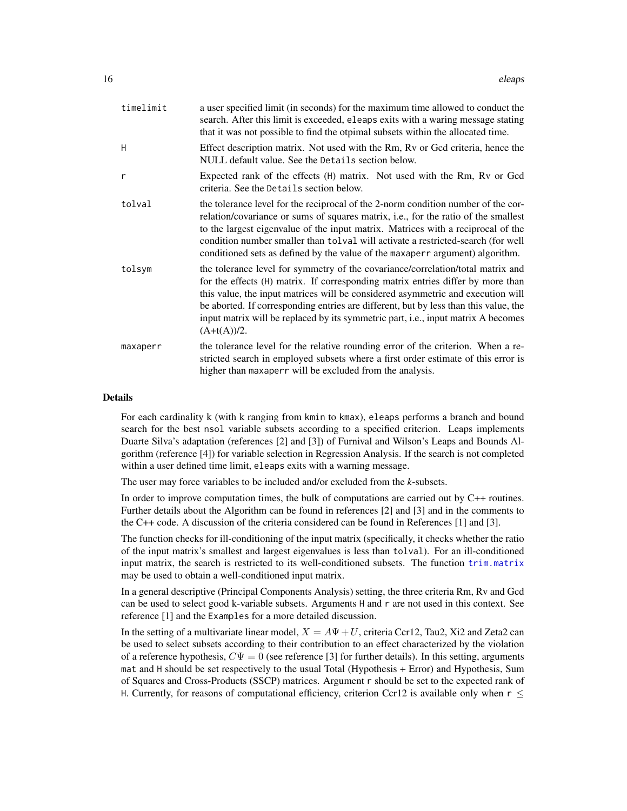| timelimit | a user specified limit (in seconds) for the maximum time allowed to conduct the<br>search. After this limit is exceeded, eleaps exits with a waring message stating<br>that it was not possible to find the otpimal subsets within the allocated time.                                                                                                                                                                                              |
|-----------|-----------------------------------------------------------------------------------------------------------------------------------------------------------------------------------------------------------------------------------------------------------------------------------------------------------------------------------------------------------------------------------------------------------------------------------------------------|
| H         | Effect description matrix. Not used with the Rm, Rv or Gcd criteria, hence the<br>NULL default value. See the Details section below.                                                                                                                                                                                                                                                                                                                |
| r         | Expected rank of the effects (H) matrix. Not used with the Rm, Rv or Gcd<br>criteria. See the Details section below.                                                                                                                                                                                                                                                                                                                                |
| tolval    | the tolerance level for the reciprocal of the 2-norm condition number of the cor-<br>relation/covariance or sums of squares matrix, i.e., for the ratio of the smallest<br>to the largest eigenvalue of the input matrix. Matrices with a reciprocal of the<br>condition number smaller than tolval will activate a restricted-search (for well<br>conditioned sets as defined by the value of the maxaperr argument) algorithm.                    |
| tolsym    | the tolerance level for symmetry of the covariance/correlation/total matrix and<br>for the effects (H) matrix. If corresponding matrix entries differ by more than<br>this value, the input matrices will be considered asymmetric and execution will<br>be aborted. If corresponding entries are different, but by less than this value, the<br>input matrix will be replaced by its symmetric part, i.e., input matrix A becomes<br>$(A+t(A))/2.$ |
| maxaperr  | the tolerance level for the relative rounding error of the criterion. When a re-<br>stricted search in employed subsets where a first order estimate of this error is<br>higher than maxaperr will be excluded from the analysis.                                                                                                                                                                                                                   |

#### Details

For each cardinality k (with k ranging from kmin to kmax), eleaps performs a branch and bound search for the best nsol variable subsets according to a specified criterion. Leaps implements Duarte Silva's adaptation (references [2] and [3]) of Furnival and Wilson's Leaps and Bounds Algorithm (reference [4]) for variable selection in Regression Analysis. If the search is not completed within a user defined time limit, eleaps exits with a warning message.

The user may force variables to be included and/or excluded from the *k*-subsets.

In order to improve computation times, the bulk of computations are carried out by C++ routines. Further details about the Algorithm can be found in references [2] and [3] and in the comments to the C++ code. A discussion of the criteria considered can be found in References [1] and [3].

The function checks for ill-conditioning of the input matrix (specifically, it checks whether the ratio of the input matrix's smallest and largest eigenvalues is less than tolval). For an ill-conditioned input matrix, the search is restricted to its well-conditioned subsets. The function [trim.matrix](#page-70-1) may be used to obtain a well-conditioned input matrix.

In a general descriptive (Principal Components Analysis) setting, the three criteria Rm, Rv and Gcd can be used to select good k-variable subsets. Arguments H and r are not used in this context. See reference [1] and the Examples for a more detailed discussion.

In the setting of a multivariate linear model,  $X = A\Psi + U$ , criteria Ccr12, Tau2, Xi2 and Zeta2 can be used to select subsets according to their contribution to an effect characterized by the violation of a reference hypothesis,  $C\Psi = 0$  (see reference [3] for further details). In this setting, arguments mat and H should be set respectively to the usual Total (Hypothesis + Error) and Hypothesis, Sum of Squares and Cross-Products (SSCP) matrices. Argument r should be set to the expected rank of H. Currently, for reasons of computational efficiency, criterion Ccr12 is available only when  $r \leq$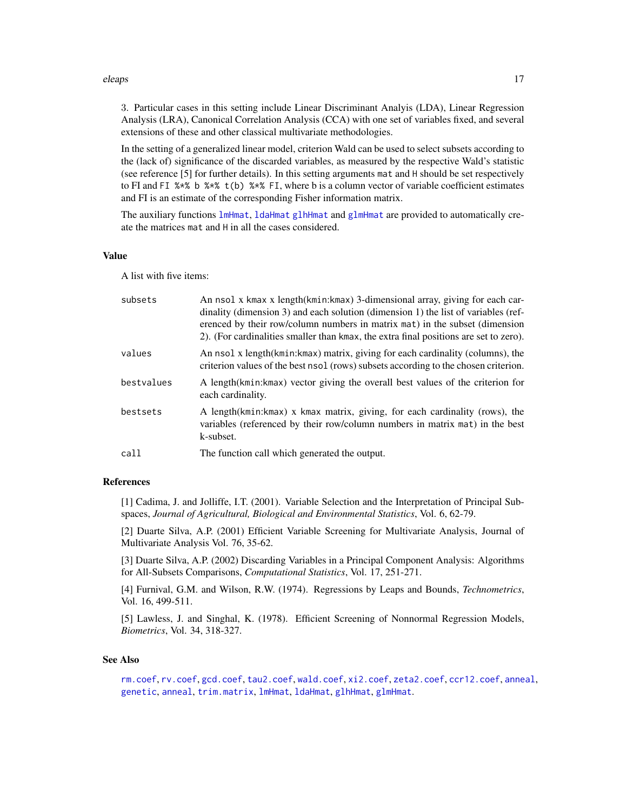#### eleaps and the set of the set of the set of the set of the set of the set of the set of the set of the set of the set of the set of the set of the set of the set of the set of the set of the set of the set of the set of th

3. Particular cases in this setting include Linear Discriminant Analyis (LDA), Linear Regression Analysis (LRA), Canonical Correlation Analysis (CCA) with one set of variables fixed, and several extensions of these and other classical multivariate methodologies.

In the setting of a generalized linear model, criterion Wald can be used to select subsets according to the (lack of) significance of the discarded variables, as measured by the respective Wald's statistic (see reference [5] for further details). In this setting arguments mat and H should be set respectively to FI and FI  $\frac{1}{2}$   $\frac{1}{2}$   $\frac{1}{2}$   $\frac{1}{2}$   $\frac{1}{2}$   $\frac{1}{2}$   $\frac{1}{2}$   $\frac{1}{2}$   $\frac{1}{2}$   $\frac{1}{2}$   $\frac{1}{2}$   $\frac{1}{2}$   $\frac{1}{2}$   $\frac{1}{2}$   $\frac{1}{2}$   $\frac{1}{2}$   $\frac{1}{2}$   $\frac{1}{2}$   $\frac{1}{2}$   $\frac{1}{2}$   $\frac{1}{2}$ and FI is an estimate of the corresponding Fisher information matrix.

The auxiliary functions [lmHmat](#page-58-1), [ldaHmat](#page-56-1) [glhHmat](#page-37-1) and [glmHmat](#page-42-1) are provided to automatically create the matrices mat and H in all the cases considered.

#### Value

A list with five items:

| subsets    | An nsol x kmax x length(kmin:kmax) 3-dimensional array, giving for each car-<br>dinality (dimension 3) and each solution (dimension 1) the list of variables (ref-<br>erenced by their row/column numbers in matrix mat) in the subset (dimension<br>2). (For cardinalities smaller than kmax, the extra final positions are set to zero). |
|------------|--------------------------------------------------------------------------------------------------------------------------------------------------------------------------------------------------------------------------------------------------------------------------------------------------------------------------------------------|
| values     | An nsol x length (kmin: kmax) matrix, giving for each cardinality (columns), the<br>criterion values of the best nsol (rows) subsets according to the chosen criterion.                                                                                                                                                                    |
| bestvalues | A length(kmin: kmax) vector giving the overall best values of the criterion for<br>each cardinality.                                                                                                                                                                                                                                       |
| bestsets   | A length(kmin: kmax) x kmax matrix, giving, for each cardinality (rows), the<br>variables (referenced by their row/column numbers in matrix mat) in the best<br>k-subset.                                                                                                                                                                  |
| call       | The function call which generated the output.                                                                                                                                                                                                                                                                                              |

#### References

[1] Cadima, J. and Jolliffe, I.T. (2001). Variable Selection and the Interpretation of Principal Subspaces, *Journal of Agricultural, Biological and Environmental Statistics*, Vol. 6, 62-79.

[2] Duarte Silva, A.P. (2001) Efficient Variable Screening for Multivariate Analysis, Journal of Multivariate Analysis Vol. 76, 35-62.

[3] Duarte Silva, A.P. (2002) Discarding Variables in a Principal Component Analysis: Algorithms for All-Subsets Comparisons, *Computational Statistics*, Vol. 17, 251-271.

[4] Furnival, G.M. and Wilson, R.W. (1974). Regressions by Leaps and Bounds, *Technometrics*, Vol. 16, 499-511.

[5] Lawless, J. and Singhal, K. (1978). Efficient Screening of Nonnormal Regression Models, *Biometrics*, Vol. 34, 318-327.

#### See Also

[rm.coef](#page-65-1), [rv.coef](#page-66-1), [gcd.coef](#page-26-1), [tau2.coef](#page-68-1), [wald.coef](#page-72-1), [xi2.coef](#page-76-1), [zeta2.coef](#page-77-1), [ccr12.coef](#page-12-1), [anneal](#page-1-1), [genetic](#page-28-1), [anneal](#page-1-1), [trim.matrix](#page-70-1), [lmHmat](#page-58-1), [ldaHmat](#page-56-1), [glhHmat](#page-37-1), [glmHmat](#page-42-1).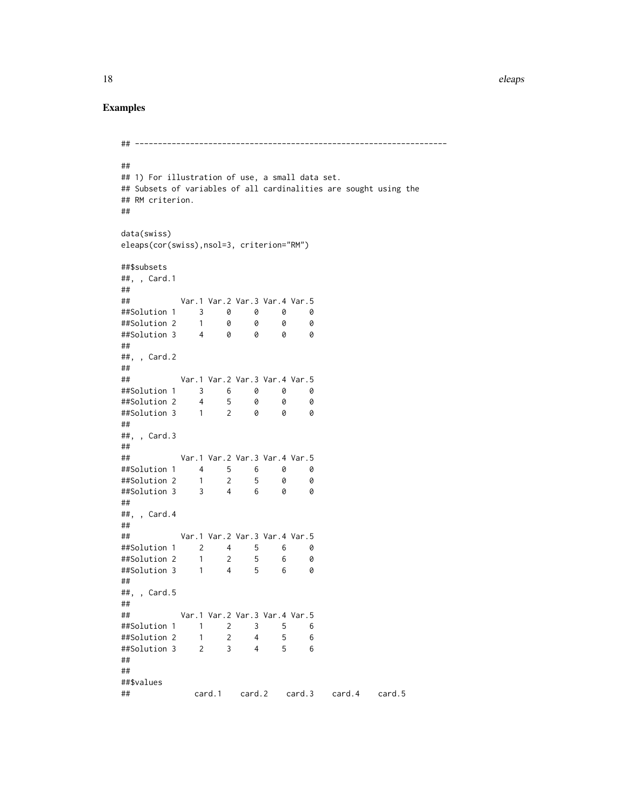#### Examples

```
## --------------------------------------------------------------------
##
## 1) For illustration of use, a small data set.
## Subsets of variables of all cardinalities are sought using the
## RM criterion.
##
data(swiss)
eleaps(cor(swiss),nsol=3, criterion="RM")
##$subsets
##, , Card.1
##
## Var.1 Var.2 Var.3 Var.4 Var.5
##Solution 1 3 0 0 0 0
##Solution 2 1 0 0 0 0
##Solution 3 4 0 0 0 0
##
##, , Card.2
##
## Var.1 Var.2 Var.3 Var.4 Var.5
##Solution 1 3 6 0 0 0
##Solution 2 4 5 0 0 0
##Solution 3 1 2 0 0 0
##
##, , Card.3
##
## Var.1 Var.2 Var.3 Var.4 Var.5
##Solution 1 4 5 6 0 0
##Solution 2 1 2 5 0 0
##Solution 3 3 4 6 0 0
##
##, , Card.4
##
## Var.1 Var.2 Var.3 Var.4 Var.5
##Solution 1 2 4 5 6 0
##Solution 2 1 2 5 6 0
##Solution 3 1 4 5 6 0
##
##, , Card.5
##
## Var.1 Var.2 Var.3 Var.4 Var.5
##Solution 1 1 2 3 5 6
##Solution 2 1 2 4 5 6
##Solution 3 2 3 4 5 6
##
##
##$values
## card.1 card.2 card.3 card.4 card.5
```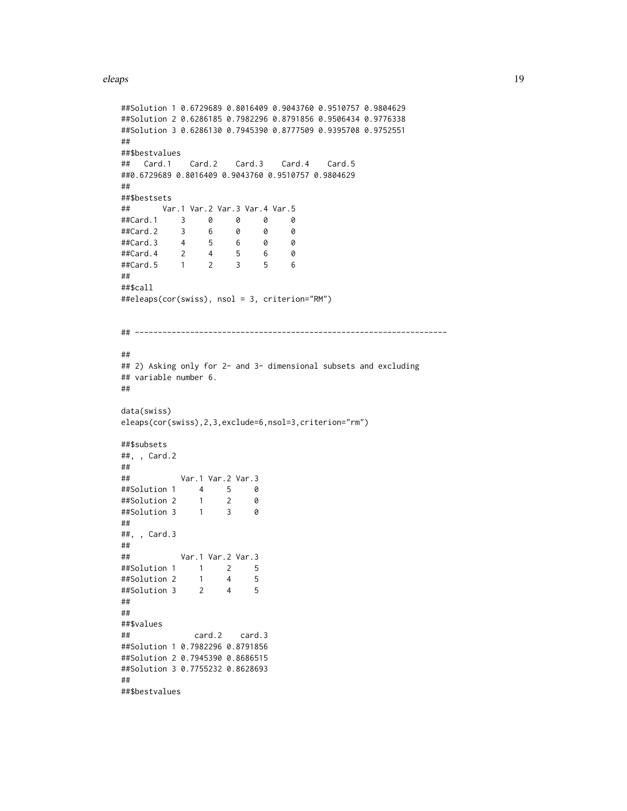#### eleaps and the element of the state of the state of the state of the state of the state of the state of the state of the state of the state of the state of the state of the state of the state of the state of the state of t

```
##Solution 1 0.6729689 0.8016409 0.9043760 0.9510757 0.9804629
##Solution 2 0.6286185 0.7982296 0.8791856 0.9506434 0.9776338
##Solution 3 0.6286130 0.7945390 0.8777509 0.9395708 0.9752551
##
##$bestvalues
## Card.1 Card.2 Card.3 Card.4 Card.5
##0.6729689 0.8016409 0.9043760 0.9510757 0.9804629
##
##$bestsets
## Var.1 Var.2 Var.3 Var.4 Var.5
##Card.1 3 0 0 0 0<br>##Card.2 3 6 0 0 0
##Card.2 3 6 0 0 0<br>##Card.3 4 5 6 0 0
##Card.3 4 5 6 0 0
##Card.4 2 4 5 6 0
##Card.5 1 2 3 5 6
##
##$call
##eleaps(cor(swiss), nsol = 3, criterion="RM")
## --------------------------------------------------------------------
##
## 2) Asking only for 2- and 3- dimensional subsets and excluding
## variable number 6.
##
data(swiss)
eleaps(cor(swiss),2,3,exclude=6,nsol=3,criterion="rm")
##$subsets
##, , Card.2
##
## Var.1 Var.2 Var.3
##Solution 1 4 5 0
##Solution 2 1 2 0
##Solution 3 1 3 0
##
##, , Card.3
##
## Var.1 Var.2 Var.3
##Solution 1 1 2 5
##Solution 2 1 4 5
##Solution 3 2 4 5
##
##
##$values
## card.2 card.3
##Solution 1 0.7982296 0.8791856
##Solution 2 0.7945390 0.8686515
##Solution 3 0.7755232 0.8628693
##
##$bestvalues
```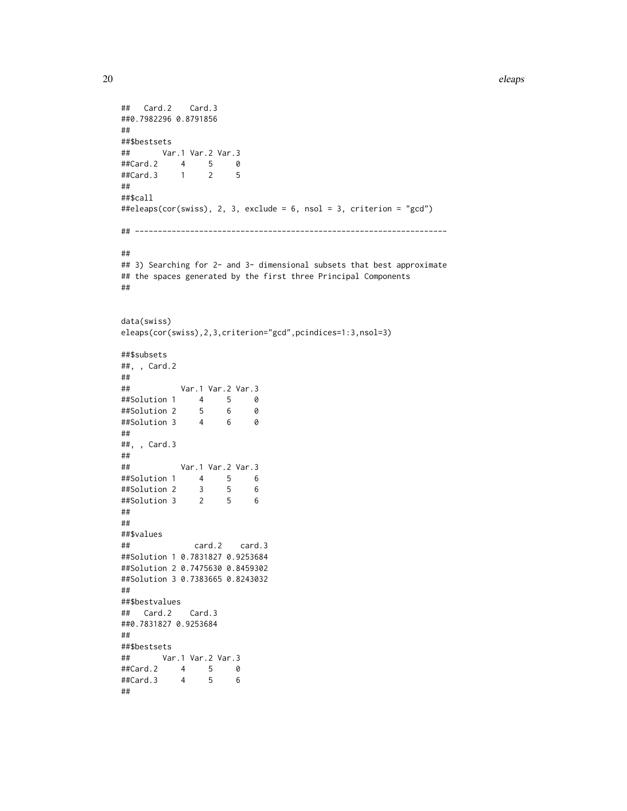```
20 eleaps and the contract of the contract of the contract of the contract of the contract of the contract of the contract of the contract of the contract of the contract of the contract of the contract of the contract of
```

```
## Card.2 Card.3
##0.7982296 0.8791856
##
##$bestsets
## Var.1 Var.2 Var.3
##Card.2 4 5 0
##Card.3 1 2 5
##
##$call
##eleaps(cor(swiss), 2, 3, exclude = 6, nsol = 3, criterion = "gcd")
## --------------------------------------------------------------------
##
## 3) Searching for 2- and 3- dimensional subsets that best approximate
## the spaces generated by the first three Principal Components
##
data(swiss)
eleaps(cor(swiss),2,3,criterion="gcd",pcindices=1:3,nsol=3)
##$subsets
##, , Card.2
##
## Var.1 Var.2 Var.3
##Solution 1 4 5 0
##Solution 2 5 6 0
##Solution 3 4 6 0
##
##, , Card.3
##
## Var.1 Var.2 Var.3
##Solution 1 4 5 6
##Solution 2 3 5 6
##Solution 3 2 5 6
##
##
##$values
## card.2 card.3
##Solution 1 0.7831827 0.9253684
##Solution 2 0.7475630 0.8459302
##Solution 3 0.7383665 0.8243032
##
##$bestvalues
## Card.2 Card.3
##0.7831827 0.9253684
##
##$bestsets
## Var.1 Var.2 Var.3
##Card.2 4 5 0
##Card.3 4 5 6
##
```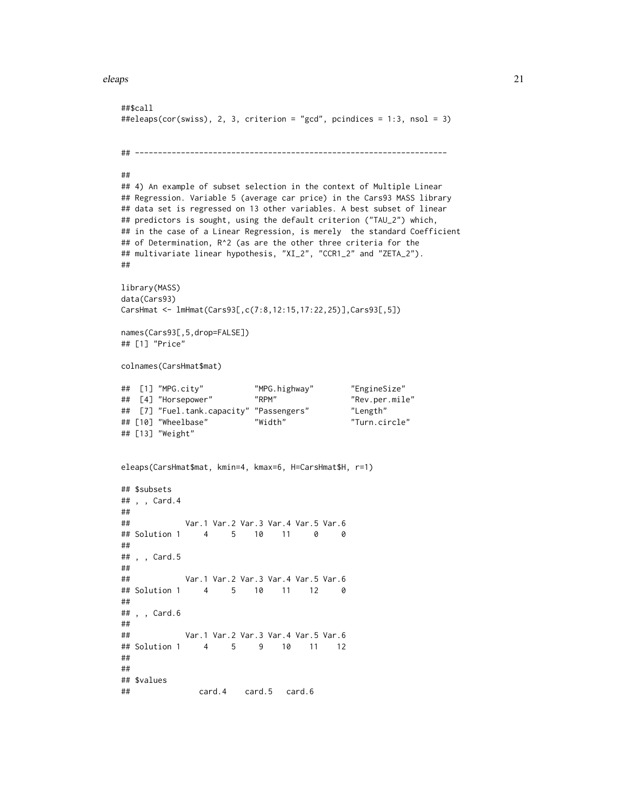#### eleaps 21

```
##$call
##eleaps(cor(swiss), 2, 3, criterion = "gcd", pcindices = 1:3, nsol = 3)
## --------------------------------------------------------------------
##
## 4) An example of subset selection in the context of Multiple Linear
## Regression. Variable 5 (average car price) in the Cars93 MASS library
## data set is regressed on 13 other variables. A best subset of linear
## predictors is sought, using the default criterion ("TAU_2") which,
## in the case of a Linear Regression, is merely the standard Coefficient
## of Determination, R^2 (as are the other three criteria for the
## multivariate linear hypothesis, "XI_2", "CCR1_2" and "ZETA_2").
##
library(MASS)
data(Cars93)
CarsHmat <- lmHmat(Cars93[,c(7:8,12:15,17:22,25)],Cars93[,5])
names(Cars93[,5,drop=FALSE])
## [1] "Price"
colnames(CarsHmat$mat)
## [1] "MPG.city" "MPG.highway" "EngineSize"
## [4] "Horsepower" "RPM" "Rev.per.mile"
## [7] "Fuel.tank.capacity" "Passengers" "Length"
## [10] "Wheelbase" "Width" "Turn.circle"
## [13] "Weight"
eleaps(CarsHmat$mat, kmin=4, kmax=6, H=CarsHmat$H, r=1)
## $subsets
## , , Card.4
##
## Var.1 Var.2 Var.3 Var.4 Var.5 Var.6
## Solution 1 4 5 10 11 0 0
##
## , , Card.5
##
## Var.1 Var.2 Var.3 Var.4 Var.5 Var.6
## Solution 1 4 5 10 11 12 0
##
## , , Card.6
##
## Var.1 Var.2 Var.3 Var.4 Var.5 Var.6
## Solution 1 4 5 9 10 11 12
##
##
## $values
## card.4 card.5 card.6
```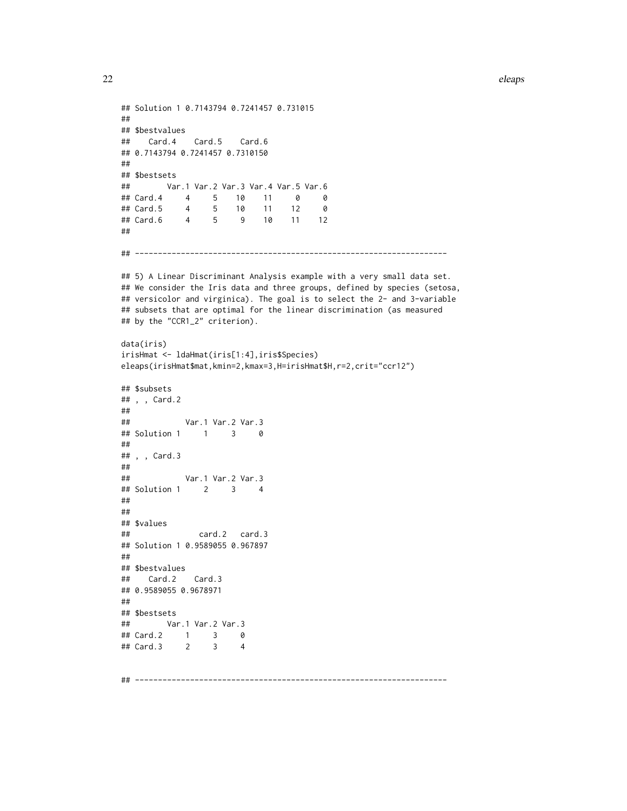```
## Solution 1 0.7143794 0.7241457 0.731015
##
## $bestvalues
## Card.4 Card.5 Card.6
## 0.7143794 0.7241457 0.7310150
##
## $bestsets
## Var.1 Var.2 Var.3 Var.4 Var.5 Var.6
## Card.4 4 5 10 11 0 0
## Card.5 4 5 10 11 12 0
## Card.6 4 5 9 10 11 12
##
## --------------------------------------------------------------------
## 5) A Linear Discriminant Analysis example with a very small data set.
## We consider the Iris data and three groups, defined by species (setosa,
## versicolor and virginica). The goal is to select the 2- and 3-variable
## subsets that are optimal for the linear discrimination (as measured
## by the "CCR1_2" criterion).
data(iris)
irisHmat <- ldaHmat(iris[1:4],iris$Species)
eleaps(irisHmat$mat,kmin=2,kmax=3,H=irisHmat$H,r=2,crit="ccr12")
## $subsets
## , , Card.2
##
## Var.1 Var.2 Var.3
## Solution 1 1 3 0
##
## , , Card.3
##
## Var.1 Var.2 Var.3
## Solution 1 2 3 4
##
##
## $values
## card.2 card.3
## Solution 1 0.9589055 0.967897
##
## $bestvalues
## Card.2 Card.3
## 0.9589055 0.9678971
##
## $bestsets
## Var.1 Var.2 Var.3
## Card.2 1 3 0
## Card.3 2 3 4
```
## --------------------------------------------------------------------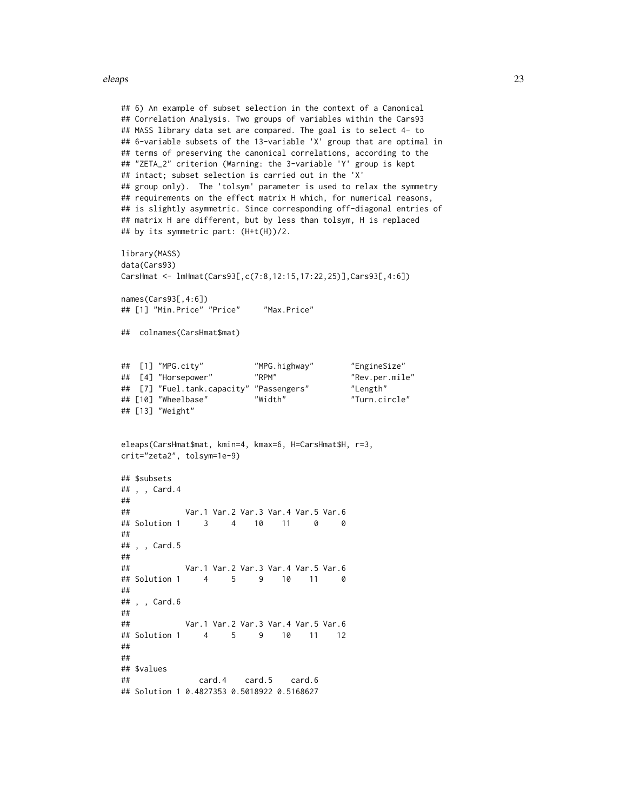eleaps 23

```
## 6) An example of subset selection in the context of a Canonical
## Correlation Analysis. Two groups of variables within the Cars93
## MASS library data set are compared. The goal is to select 4- to
## 6-variable subsets of the 13-variable 'X' group that are optimal in
## terms of preserving the canonical correlations, according to the
## "ZETA_2" criterion (Warning: the 3-variable 'Y' group is kept
## intact; subset selection is carried out in the 'X'
## group only). The 'tolsym' parameter is used to relax the symmetry
## requirements on the effect matrix H which, for numerical reasons,
## is slightly asymmetric. Since corresponding off-diagonal entries of
## matrix H are different, but by less than tolsym, H is replaced
## by its symmetric part: (H+t(H))/2.
library(MASS)
data(Cars93)
CarsHmat <- lmHmat(Cars93[,c(7:8,12:15,17:22,25)],Cars93[,4:6])
names(Cars93[,4:6])
## [1] "Min.Price" "Price" "Max.Price"
## colnames(CarsHmat$mat)
## [1] "MPG.city" "MPG.highway" "EngineSize"
## [4] "Horsepower"
## [7] "Fuel.tank.capacity" "Passengers" "Length"
## [10] "Wheelbase"
## [13] "Weight"
eleaps(CarsHmat$mat, kmin=4, kmax=6, H=CarsHmat$H, r=3,
crit="zeta2", tolsym=1e-9)
## $subsets
## , , Card.4
##
## Var.1 Var.2 Var.3 Var.4 Var.5 Var.6
## Solution 1 3 4 10 11 0 0
##
## , , Card.5
##
## Var.1 Var.2 Var.3 Var.4 Var.5 Var.6
## Solution 1 4 5 9 10 11 0
##
## , , Card.6
##
## Var.1 Var.2 Var.3 Var.4 Var.5 Var.6
## Solution 1 4 5 9 10 11 12
##
##
## $values
## card.4 card.5 card.6
## Solution 1 0.4827353 0.5018922 0.5168627
```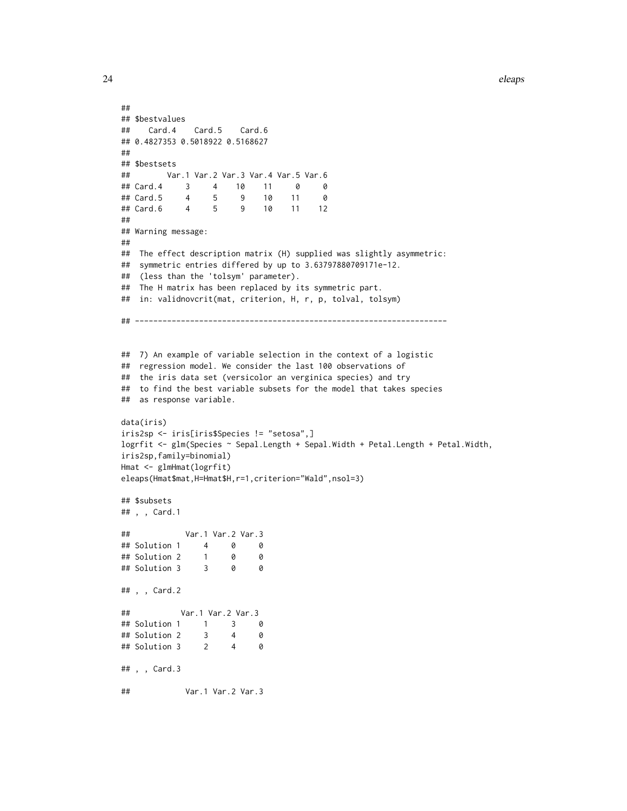```
##
## $bestvalues
## Card.4 Card.5 Card.6
## 0.4827353 0.5018922 0.5168627
##
## $bestsets
## Var.1 Var.2 Var.3 Var.4 Var.5 Var.6
## Card.4 3 4 10 11 0 0
## Card.5 4 5 9 10 11 0
## Card.6 4 5 9 10 11 12
##
## Warning message:
##
## The effect description matrix (H) supplied was slightly asymmetric:
## symmetric entries differed by up to 3.63797880709171e-12.
## (less than the 'tolsym' parameter).
## The H matrix has been replaced by its symmetric part.
## in: validnovcrit(mat, criterion, H, r, p, tolval, tolsym)
## --------------------------------------------------------------------
## 7) An example of variable selection in the context of a logistic
## regression model. We consider the last 100 observations of
## the iris data set (versicolor an verginica species) and try
## to find the best variable subsets for the model that takes species
## as response variable.
data(iris)
iris2sp <- iris[iris$Species != "setosa",]
logrfit <- glm(Species ~ Sepal.Length + Sepal.Width + Petal.Length + Petal.Width,
iris2sp,family=binomial)
Hmat <- glmHmat(logrfit)
eleaps(Hmat$mat,H=Hmat$H,r=1,criterion="Wald",nsol=3)
## $subsets
## , , Card.1
## Var.1 Var.2 Var.3
## Solution 1  4  0  0<br>## Solution 2  1  0  0
## Solution 2 1 0 0
## Solution 3 3 0 0
## , , Card.2
## Var.1 Var.2 Var.3
## Solution 1 1 3 0
## Solution 2 3 4 0
## Solution 3 2 4 0
## , , Card.3
## Var.1 Var.2 Var.3
```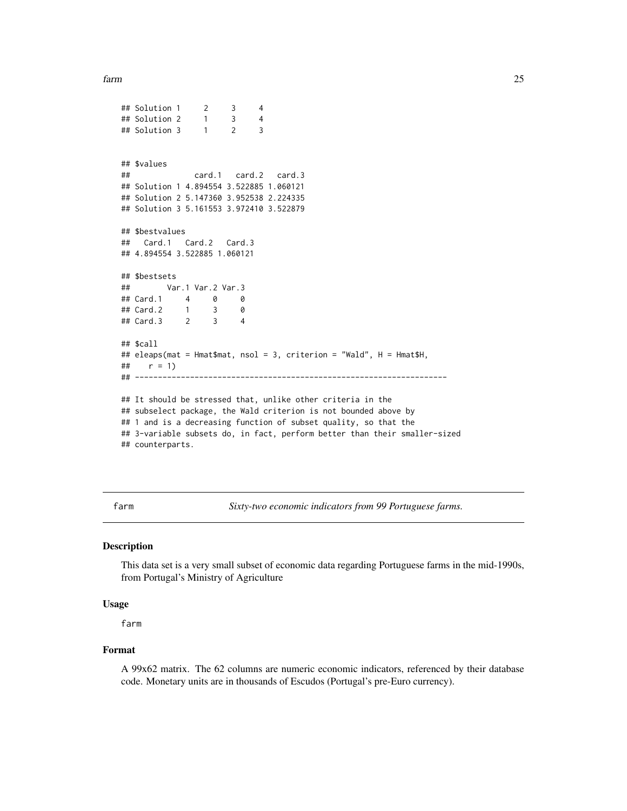```
farm 25
```

```
## Solution 1 2 3 4
## Solution 2 1 3 4
## Solution 3 1 2 3
## $values
## card.1 card.2 card.3
## Solution 1 4.894554 3.522885 1.060121
## Solution 2 5.147360 3.952538 2.224335
## Solution 3 5.161553 3.972410 3.522879
## $bestvalues
## Card.1 Card.2 Card.3
## 4.894554 3.522885 1.060121
## $bestsets
## Var.1 Var.2 Var.3
## Card.1 4 0 0
## Card.2 1
## Card.3 2 3 4
## $call
## eleaps(mat = Hmat$mat, nsol = 3, criterion = "Wald", H = Hmat$H,
## r = 1)<br>## -----------
             ## --------------------------------------------------------------------
## It should be stressed that, unlike other criteria in the
## subselect package, the Wald criterion is not bounded above by
## 1 and is a decreasing function of subset quality, so that the
## 3-variable subsets do, in fact, perform better than their smaller-sized
## counterparts.
```
farm *Sixty-two economic indicators from 99 Portuguese farms.*

#### Description

This data set is a very small subset of economic data regarding Portuguese farms in the mid-1990s, from Portugal's Ministry of Agriculture

#### Usage

farm

#### Format

A 99x62 matrix. The 62 columns are numeric economic indicators, referenced by their database code. Monetary units are in thousands of Escudos (Portugal's pre-Euro currency).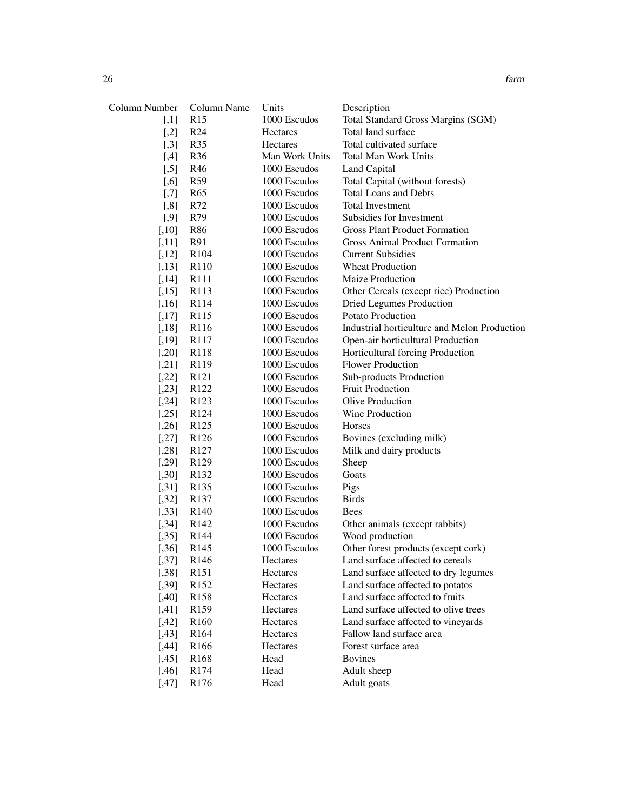| Column Number | Column Name      | Units          | Description                                  |
|---------------|------------------|----------------|----------------------------------------------|
| $[$           | R15              | 1000 Escudos   | Total Standard Gross Margins (SGM)           |
| $[$           | R <sub>24</sub>  | Hectares       | Total land surface                           |
| $[$           | R35              | Hectares       | Total cultivated surface                     |
| $[$ ,4]       | R36              | Man Work Units | <b>Total Man Work Units</b>                  |
| $[$ 5]        | R46              | 1000 Escudos   | Land Capital                                 |
| $[0.6]$       | R <sub>59</sub>  | 1000 Escudos   | Total Capital (without forests)              |
| $[$ 7]        | R <sub>65</sub>  | 1000 Escudos   | <b>Total Loans and Debts</b>                 |
| $[0.8]$       | R72              | 1000 Escudos   | <b>Total Investment</b>                      |
| $[$ 9]        | R79              | 1000 Escudos   | Subsidies for Investment                     |
| $[,10]$       | R86              | 1000 Escudos   | <b>Gross Plant Product Formation</b>         |
| $[,11]$       | R91              | 1000 Escudos   | <b>Gross Animal Product Formation</b>        |
| $[,12]$       | R <sub>104</sub> | 1000 Escudos   | <b>Current Subsidies</b>                     |
| [,13]         | R110             | 1000 Escudos   | <b>Wheat Production</b>                      |
| [,14]         | R111             | 1000 Escudos   | Maize Production                             |
| [,15]         | R113             | 1000 Escudos   | Other Cereals (except rice) Production       |
| [,16]         | R114             | 1000 Escudos   | <b>Dried Legumes Production</b>              |
| [,17]         | R115             | 1000 Escudos   | Potato Production                            |
| $[,18]$       | R116             | 1000 Escudos   | Industrial horticulture and Melon Production |
| [,19]         | R117             | 1000 Escudos   | Open-air horticultural Production            |
| $[0.20]$      | R118             | 1000 Escudos   | Horticultural forcing Production             |
| $[$ .21]      | R119             | 1000 Escudos   | <b>Flower Production</b>                     |
| $[,22]$       | R <sub>121</sub> | 1000 Escudos   | Sub-products Production                      |
| [,23]         | R <sub>122</sub> | 1000 Escudos   | <b>Fruit Production</b>                      |
| [,24]         | R <sub>123</sub> | 1000 Escudos   | Olive Production                             |
| [,25]         | R <sub>124</sub> | 1000 Escudos   | Wine Production                              |
| [0.26]        | R125             | 1000 Escudos   | Horses                                       |
| [,27]         | R <sub>126</sub> | 1000 Escudos   | Bovines (excluding milk)                     |
| [,28]         | R <sub>127</sub> | 1000 Escudos   | Milk and dairy products                      |
| [,29]         | R129             | 1000 Escudos   | Sheep                                        |
| $[0.30]$      | R <sub>132</sub> | 1000 Escudos   | Goats                                        |
| $[0.31]$      | R <sub>135</sub> | 1000 Escudos   | Pigs                                         |
| [0.32]        | R <sub>137</sub> | 1000 Escudos   | <b>Birds</b>                                 |
| [0.33]        | R <sub>140</sub> | 1000 Escudos   | <b>Bees</b>                                  |
| [,34]         | R <sub>142</sub> | 1000 Escudos   | Other animals (except rabbits)               |
| [0.35]        | R <sub>144</sub> | 1000 Escudos   | Wood production                              |
| [0.36]        | R <sub>145</sub> | 1000 Escudos   | Other forest products (except cork)          |
| [,37]         | R <sub>146</sub> | Hectares       | Land surface affected to cereals             |
| $[0.38]$      | R <sub>151</sub> | Hectares       | Land surface affected to dry legumes         |
| [0.39]        | R152             | Hectares       | Land surface affected to potatos             |
| [,40]         | R <sub>158</sub> | Hectares       | Land surface affected to fruits              |
| $[0.41]$      | R <sub>159</sub> | Hectares       | Land surface affected to olive trees         |
| $[0.42]$      | R <sub>160</sub> | Hectares       | Land surface affected to vineyards           |
| $[0.43]$      | R <sub>164</sub> | Hectares       | Fallow land surface area                     |
| [,44]         | R <sub>166</sub> | Hectares       | Forest surface area                          |
| [0.45]        | R <sub>168</sub> | Head           | <b>Bovines</b>                               |
| [,46]         | R174             | Head           | Adult sheep                                  |
| [,47]         | R176             | Head           | Adult goats                                  |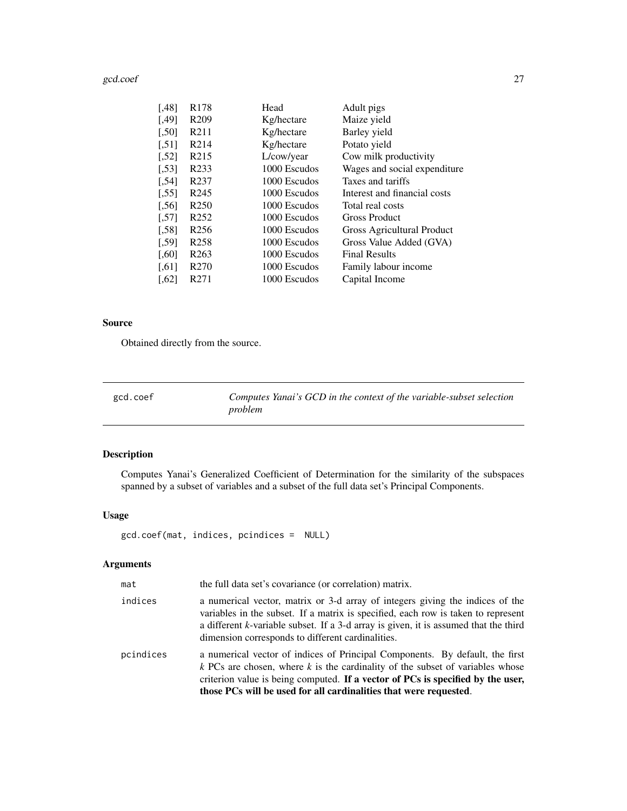#### <span id="page-26-0"></span>gcd.coef 27

|                      | R <sub>178</sub>  |              |                              |
|----------------------|-------------------|--------------|------------------------------|
| [.48]                |                   | Head         | Adult pigs                   |
| [.49]                | R <sub>209</sub>  | Kg/hectare   | Maize yield                  |
| [,50]                | R <sub>211</sub>  | Kg/hectare   | Barley yield                 |
| [, 51]               | R <sub>2</sub> 14 | Kg/hectare   | Potato yield                 |
| [,52]                | R <sub>2</sub> 15 | L/cow/year   | Cow milk productivity        |
| [,53]                | R <sub>2</sub> 33 | 1000 Escudos | Wages and social expenditure |
| [,54]                | R <sub>237</sub>  | 1000 Escudos | Taxes and tariffs            |
| 551                  | R <sub>245</sub>  | 1000 Escudos | Interest and financial costs |
| 561                  | R <sub>250</sub>  | 1000 Escudos | Total real costs             |
| 571                  | R <sub>252</sub>  | 1000 Escudos | <b>Gross Product</b>         |
| [.58]                | R <sub>256</sub>  | 1000 Escudos | Gross Agricultural Product   |
| [,59]                | R <sub>258</sub>  | 1000 Escudos | Gross Value Added (GVA)      |
| [0.60]               | R <sub>263</sub>  | 1000 Escudos | <b>Final Results</b>         |
| $\left[ .61 \right]$ | R <sub>270</sub>  | 1000 Escudos | Family labour income         |
| $[0.62]$             | R <sub>271</sub>  | 1000 Escudos | Capital Income               |
|                      |                   |              |                              |

#### Source

Obtained directly from the source.

<span id="page-26-1"></span>gcd.coef *Computes Yanai's GCD in the context of the variable-subset selection problem*

### Description

Computes Yanai's Generalized Coefficient of Determination for the similarity of the subspaces spanned by a subset of variables and a subset of the full data set's Principal Components.

#### Usage

gcd.coef(mat, indices, pcindices = NULL)

### Arguments

| mat       | the full data set's covariance (or correlation) matrix.                                                                                                                                                                                                                                                                   |
|-----------|---------------------------------------------------------------------------------------------------------------------------------------------------------------------------------------------------------------------------------------------------------------------------------------------------------------------------|
| indices   | a numerical vector, matrix or 3-d array of integers giving the indices of the<br>variables in the subset. If a matrix is specified, each row is taken to represent<br>a different k-variable subset. If a 3-d array is given, it is assumed that the third<br>dimension corresponds to different cardinalities.           |
| pcindices | a numerical vector of indices of Principal Components. By default, the first<br>$k$ PCs are chosen, where $k$ is the cardinality of the subset of variables whose<br>criterion value is being computed. If a vector of PCs is specified by the user,<br>those PCs will be used for all cardinalities that were requested. |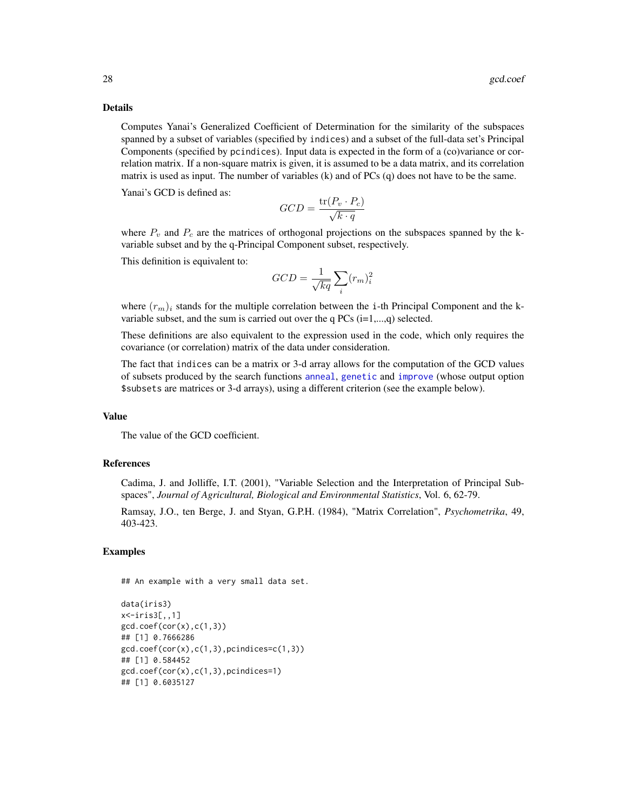#### Details

Computes Yanai's Generalized Coefficient of Determination for the similarity of the subspaces spanned by a subset of variables (specified by indices) and a subset of the full-data set's Principal Components (specified by pcindices). Input data is expected in the form of a (co)variance or correlation matrix. If a non-square matrix is given, it is assumed to be a data matrix, and its correlation matrix is used as input. The number of variables (k) and of PCs (q) does not have to be the same.

Yanai's GCD is defined as:

$$
GCD = \frac{\text{tr}(P_v \cdot P_c)}{\sqrt{k \cdot q}}
$$

where  $P_v$  and  $P_c$  are the matrices of orthogonal projections on the subspaces spanned by the kvariable subset and by the q-Principal Component subset, respectively.

This definition is equivalent to:

$$
GCD = \frac{1}{\sqrt{kq}} \sum_{i} (r_m)^2_i
$$

where  $(r_m)_i$  stands for the multiple correlation between the i-th Principal Component and the kvariable subset, and the sum is carried out over the q  $PCs$  (i=1,...,q) selected.

These definitions are also equivalent to the expression used in the code, which only requires the covariance (or correlation) matrix of the data under consideration.

The fact that indices can be a matrix or 3-d array allows for the computation of the GCD values of subsets produced by the search functions [anneal](#page-1-1), [genetic](#page-28-1) and [improve](#page-46-1) (whose output option \$subsets are matrices or 3-d arrays), using a different criterion (see the example below).

#### Value

The value of the GCD coefficient.

#### References

Cadima, J. and Jolliffe, I.T. (2001), "Variable Selection and the Interpretation of Principal Subspaces", *Journal of Agricultural, Biological and Environmental Statistics*, Vol. 6, 62-79.

Ramsay, J.O., ten Berge, J. and Styan, G.P.H. (1984), "Matrix Correlation", *Psychometrika*, 49, 403-423.

#### Examples

## An example with a very small data set.

```
data(iris3)
x<-iris3[,,1]
gcd.coef(cor(x),c(1,3))## [1] 0.7666286
gcd.coef(cor(x),c(1,3),pcindices=c(1,3))## [1] 0.584452
gcd.coef(cor(x),c(1,3),pcindices=1)
## [1] 0.6035127
```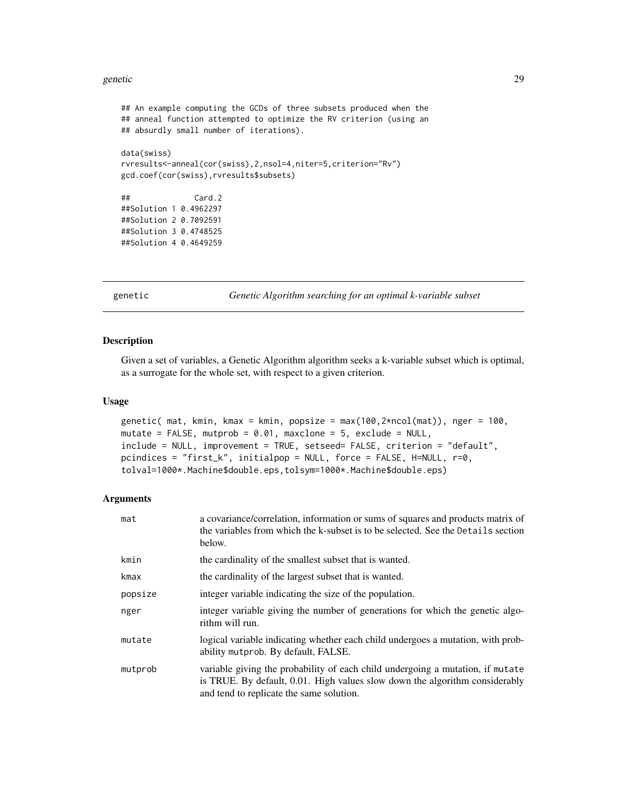#### <span id="page-28-0"></span>genetic 29

```
## An example computing the GCDs of three subsets produced when the
## anneal function attempted to optimize the RV criterion (using an
## absurdly small number of iterations).
data(swiss)
rvresults<-anneal(cor(swiss),2,nsol=4,niter=5,criterion="Rv")
gcd.coef(cor(swiss),rvresults$subsets)
## Card.2
##Solution 1 0.4962297
##Solution 2 0.7092591
##Solution 3 0.4748525
##Solution 4 0.4649259
```
<span id="page-28-1"></span>genetic *Genetic Algorithm searching for an optimal k-variable subset*

#### Description

Given a set of variables, a Genetic Algorithm algorithm seeks a k-variable subset which is optimal, as a surrogate for the whole set, with respect to a given criterion.

#### Usage

```
genetic( mat, kmin, kmax = kmin, popsize = max(100,2*ncol(mat)), nger = 100,
mutate = FALSE, mutprob = 0.01, maxclone = 5, exclude = NULL,
include = NULL, improvement = TRUE, setseed= FALSE, criterion = "default",
pcindices = "first_k", initialpop = NULL, force = FALSE, H=NULL, r=0,
tolval=1000*.Machine$double.eps,tolsym=1000*.Machine$double.eps)
```
#### Arguments

| mat     | a covariance/correlation, information or sums of squares and products matrix of<br>the variables from which the k-subset is to be selected. See the Details section<br>below.                             |
|---------|-----------------------------------------------------------------------------------------------------------------------------------------------------------------------------------------------------------|
| kmin    | the cardinality of the smallest subset that is wanted.                                                                                                                                                    |
| kmax    | the cardinality of the largest subset that is wanted.                                                                                                                                                     |
| popsize | integer variable indicating the size of the population.                                                                                                                                                   |
| nger    | integer variable giving the number of generations for which the genetic algo-<br>rithm will run.                                                                                                          |
| mutate  | logical variable indicating whether each child undergoes a mutation, with prob-<br>ability mutprob. By default, FALSE.                                                                                    |
| mutprob | variable giving the probability of each child undergoing a mutation, if mutate<br>is TRUE. By default, 0.01. High values slow down the algorithm considerably<br>and tend to replicate the same solution. |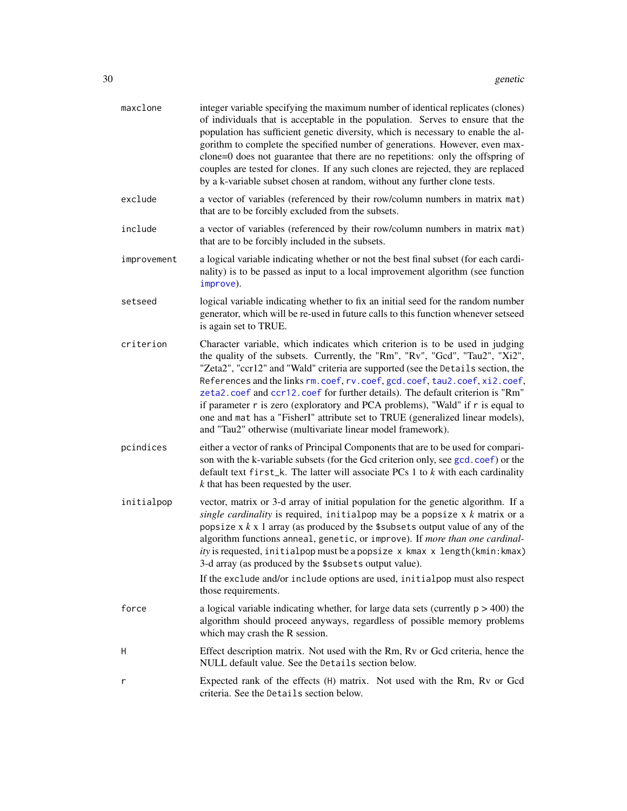| maxclone    | integer variable specifying the maximum number of identical replicates (clones)<br>of individuals that is acceptable in the population. Serves to ensure that the<br>population has sufficient genetic diversity, which is necessary to enable the al-<br>gorithm to complete the specified number of generations. However, even max-<br>clone=0 does not guarantee that there are no repetitions: only the offspring of<br>couples are tested for clones. If any such clones are rejected, they are replaced<br>by a k-variable subset chosen at random, without any further clone tests.                                                             |
|-------------|--------------------------------------------------------------------------------------------------------------------------------------------------------------------------------------------------------------------------------------------------------------------------------------------------------------------------------------------------------------------------------------------------------------------------------------------------------------------------------------------------------------------------------------------------------------------------------------------------------------------------------------------------------|
| exclude     | a vector of variables (referenced by their row/column numbers in matrix mat)<br>that are to be forcibly excluded from the subsets.                                                                                                                                                                                                                                                                                                                                                                                                                                                                                                                     |
| include     | a vector of variables (referenced by their row/column numbers in matrix mat)<br>that are to be forcibly included in the subsets.                                                                                                                                                                                                                                                                                                                                                                                                                                                                                                                       |
| improvement | a logical variable indicating whether or not the best final subset (for each cardi-<br>nality) is to be passed as input to a local improvement algorithm (see function<br>improve).                                                                                                                                                                                                                                                                                                                                                                                                                                                                    |
| setseed     | logical variable indicating whether to fix an initial seed for the random number<br>generator, which will be re-used in future calls to this function whenever setseed<br>is again set to TRUE.                                                                                                                                                                                                                                                                                                                                                                                                                                                        |
| criterion   | Character variable, which indicates which criterion is to be used in judging<br>the quality of the subsets. Currently, the "Rm", "Rv", "Gcd", "Tau2", "Xi2",<br>"Zeta2", "ccr12" and "Wald" criteria are supported (see the Details section, the<br>References and the links rm. coef, rv. coef, gcd. coef, tau2. coef, xi2. coef,<br>zeta2.coef and ccr12.coef for further details). The default criterion is "Rm"<br>if parameter r is zero (exploratory and PCA problems), "Wald" if r is equal to<br>one and mat has a "FisherI" attribute set to TRUE (generalized linear models),<br>and "Tau2" otherwise (multivariate linear model framework). |
| pcindices   | either a vector of ranks of Principal Components that are to be used for compari-<br>son with the k-variable subsets (for the Gcd criterion only, see gcd. coef) or the<br>default text $first_k$ . The latter will associate PCs 1 to $k$ with each cardinality<br>$k$ that has been requested by the user.                                                                                                                                                                                                                                                                                                                                           |
| initialpop  | vector, matrix or 3-d array of initial population for the genetic algorithm. If a<br>single cardinality is required, initialpop may be a popsize $x$ $k$ matrix or a<br>popsize $x \, k \, x$ 1 array (as produced by the \$subsets output value of any of the<br>algorithm functions anneal, genetic, or improve). If more than one cardinal-<br>ity is requested, initialpop must be a popsize x kmax x length (kmin: kmax)<br>3-d array (as produced by the \$subsets output value).                                                                                                                                                                |
|             | If the exclude and/or include options are used, initialpop must also respect<br>those requirements.                                                                                                                                                                                                                                                                                                                                                                                                                                                                                                                                                    |
| force       | a logical variable indicating whether, for large data sets (currently $p > 400$ ) the<br>algorithm should proceed anyways, regardless of possible memory problems<br>which may crash the R session.                                                                                                                                                                                                                                                                                                                                                                                                                                                    |
| н           | Effect description matrix. Not used with the Rm, Rv or Gcd criteria, hence the<br>NULL default value. See the Details section below.                                                                                                                                                                                                                                                                                                                                                                                                                                                                                                                   |
| r           | Expected rank of the effects (H) matrix. Not used with the Rm, Rv or Gcd<br>criteria. See the Details section below.                                                                                                                                                                                                                                                                                                                                                                                                                                                                                                                                   |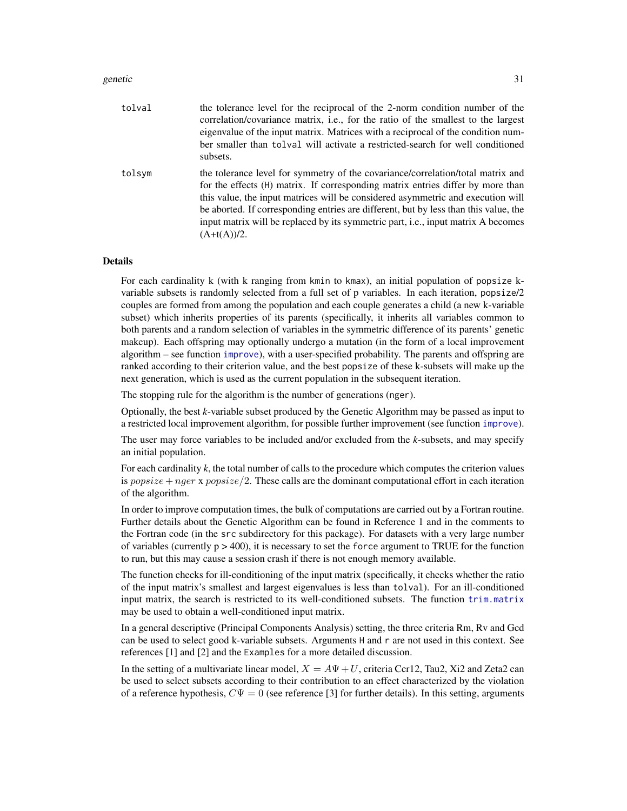#### genetic 31

| tolval | the tolerance level for the reciprocal of the 2-norm condition number of the<br>correlation/covariance matrix, i.e., for the ratio of the smallest to the largest<br>eigenvalue of the input matrix. Matrices with a reciprocal of the condition num-<br>ber smaller than tolval will activate a restricted-search for well conditioned<br>subsets.                                                                                                 |
|--------|-----------------------------------------------------------------------------------------------------------------------------------------------------------------------------------------------------------------------------------------------------------------------------------------------------------------------------------------------------------------------------------------------------------------------------------------------------|
| tolsym | the tolerance level for symmetry of the covariance/correlation/total matrix and<br>for the effects (H) matrix. If corresponding matrix entries differ by more than<br>this value, the input matrices will be considered asymmetric and execution will<br>be aborted. If corresponding entries are different, but by less than this value, the<br>input matrix will be replaced by its symmetric part, i.e., input matrix A becomes<br>$(A+t(A))/2.$ |

#### Details

For each cardinality k (with k ranging from kmin to kmax), an initial population of popsize kvariable subsets is randomly selected from a full set of p variables. In each iteration, popsize/2 couples are formed from among the population and each couple generates a child (a new k-variable subset) which inherits properties of its parents (specifically, it inherits all variables common to both parents and a random selection of variables in the symmetric difference of its parents' genetic makeup). Each offspring may optionally undergo a mutation (in the form of a local improvement algorithm – see function [improve](#page-46-1)), with a user-specified probability. The parents and offspring are ranked according to their criterion value, and the best popsize of these k-subsets will make up the next generation, which is used as the current population in the subsequent iteration.

The stopping rule for the algorithm is the number of generations (nger).

Optionally, the best *k*-variable subset produced by the Genetic Algorithm may be passed as input to a restricted local improvement algorithm, for possible further improvement (see function [improve](#page-46-1)).

The user may force variables to be included and/or excluded from the *k*-subsets, and may specify an initial population.

For each cardinality *k*, the total number of calls to the procedure which computes the criterion values is popsize + nger x popsize  $/2$ . These calls are the dominant computational effort in each iteration of the algorithm.

In order to improve computation times, the bulk of computations are carried out by a Fortran routine. Further details about the Genetic Algorithm can be found in Reference 1 and in the comments to the Fortran code (in the src subdirectory for this package). For datasets with a very large number of variables (currently  $p > 400$ ), it is necessary to set the force argument to TRUE for the function to run, but this may cause a session crash if there is not enough memory available.

The function checks for ill-conditioning of the input matrix (specifically, it checks whether the ratio of the input matrix's smallest and largest eigenvalues is less than tolval). For an ill-conditioned input matrix, the search is restricted to its well-conditioned subsets. The function [trim.matrix](#page-70-1) may be used to obtain a well-conditioned input matrix.

In a general descriptive (Principal Components Analysis) setting, the three criteria Rm, Rv and Gcd can be used to select good k-variable subsets. Arguments H and r are not used in this context. See references [1] and [2] and the Examples for a more detailed discussion.

In the setting of a multivariate linear model,  $X = A\Psi + U$ , criteria Ccr12, Tau2, Xi2 and Zeta2 can be used to select subsets according to their contribution to an effect characterized by the violation of a reference hypothesis,  $C\Psi = 0$  (see reference [3] for further details). In this setting, arguments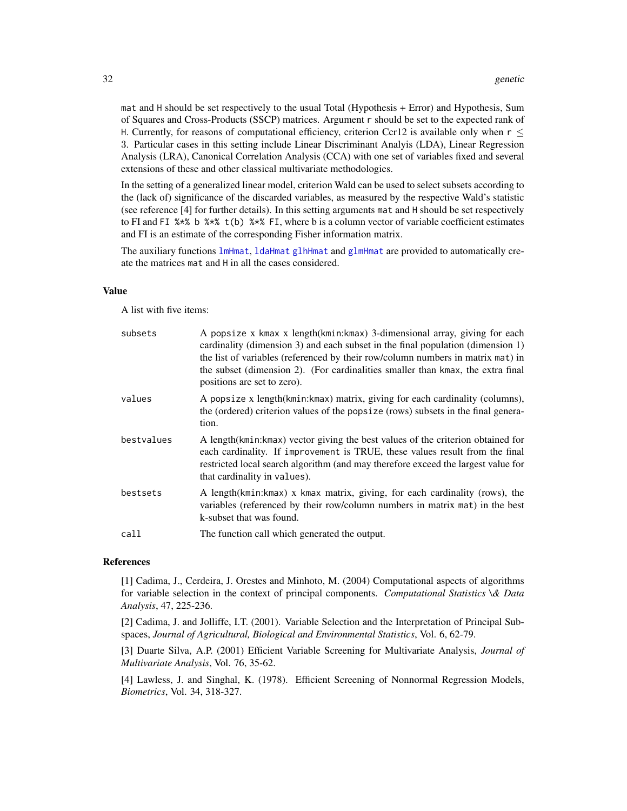mat and H should be set respectively to the usual Total (Hypothesis + Error) and Hypothesis, Sum of Squares and Cross-Products (SSCP) matrices. Argument r should be set to the expected rank of H. Currently, for reasons of computational efficiency, criterion Ccr12 is available only when  $r <$ 3. Particular cases in this setting include Linear Discriminant Analyis (LDA), Linear Regression Analysis (LRA), Canonical Correlation Analysis (CCA) with one set of variables fixed and several extensions of these and other classical multivariate methodologies.

In the setting of a generalized linear model, criterion Wald can be used to select subsets according to the (lack of) significance of the discarded variables, as measured by the respective Wald's statistic (see reference [4] for further details). In this setting arguments mat and H should be set respectively to FI and FI  $% \times$  b  $% \times$  t(b)  $% \times$  FI, where b is a column vector of variable coefficient estimates and FI is an estimate of the corresponding Fisher information matrix.

The auxiliary functions [lmHmat](#page-58-1), [ldaHmat](#page-56-1) [glhHmat](#page-37-1) and [glmHmat](#page-42-1) are provided to automatically create the matrices mat and H in all the cases considered.

#### Value

A list with five items:

| subsets    | A popsize x kmax x length(kmin:kmax) 3-dimensional array, giving for each<br>cardinality (dimension 3) and each subset in the final population (dimension 1)<br>the list of variables (referenced by their row/column numbers in matrix mat) in<br>the subset (dimension 2). (For cardinalities smaller than kmax, the extra final<br>positions are set to zero). |
|------------|-------------------------------------------------------------------------------------------------------------------------------------------------------------------------------------------------------------------------------------------------------------------------------------------------------------------------------------------------------------------|
| values     | A popsize x length (kmin: kmax) matrix, giving for each cardinality (columns),<br>the (ordered) criterion values of the popsize (rows) subsets in the final genera-<br>tion.                                                                                                                                                                                      |
| bestvalues | A length (kmin: kmax) vector giving the best values of the criterion obtained for<br>each cardinality. If improvement is TRUE, these values result from the final<br>restricted local search algorithm (and may therefore exceed the largest value for<br>that cardinality in values).                                                                            |
| bestsets   | A length(kmin:kmax) x kmax matrix, giving, for each cardinality (rows), the<br>variables (referenced by their row/column numbers in matrix mat) in the best<br>k-subset that was found.                                                                                                                                                                           |
| call       | The function call which generated the output.                                                                                                                                                                                                                                                                                                                     |

#### References

[1] Cadima, J., Cerdeira, J. Orestes and Minhoto, M. (2004) Computational aspects of algorithms for variable selection in the context of principal components. *Computational Statistics \& Data Analysis*, 47, 225-236.

[2] Cadima, J. and Jolliffe, I.T. (2001). Variable Selection and the Interpretation of Principal Subspaces, *Journal of Agricultural, Biological and Environmental Statistics*, Vol. 6, 62-79.

[3] Duarte Silva, A.P. (2001) Efficient Variable Screening for Multivariate Analysis, *Journal of Multivariate Analysis*, Vol. 76, 35-62.

[4] Lawless, J. and Singhal, K. (1978). Efficient Screening of Nonnormal Regression Models, *Biometrics*, Vol. 34, 318-327.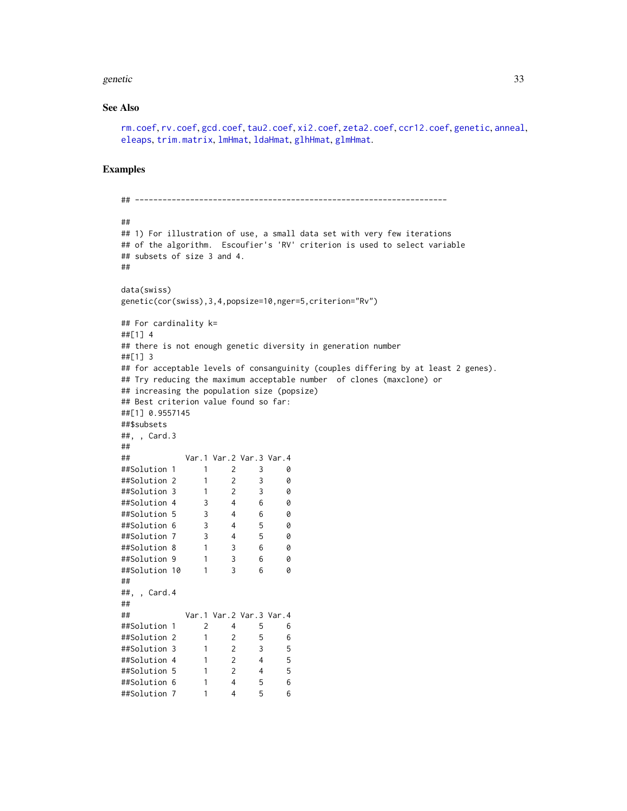#### genetic 33

#### See Also

```
rm.coef, rv.coef, gcd.coef, tau2.coef, xi2.coef, zeta2.coef, ccr12.coef, genetic, anneal,
eleaps, trim.matrix, lmHmat, ldaHmat, glhHmat, glmHmat.
```
#### Examples

```
## --------------------------------------------------------------------
##
## 1) For illustration of use, a small data set with very few iterations
## of the algorithm. Escoufier's 'RV' criterion is used to select variable
## subsets of size 3 and 4.
##
data(swiss)
genetic(cor(swiss),3,4,popsize=10,nger=5,criterion="Rv")
## For cardinality k=
##[1] 4
## there is not enough genetic diversity in generation number
##[1] 3
## for acceptable levels of consanguinity (couples differing by at least 2 genes).
## Try reducing the maximum acceptable number of clones (maxclone) or
## increasing the population size (popsize)
## Best criterion value found so far:
##[1] 0.9557145
##$subsets
##, , Card.3
##
## Var.1 Var.2 Var.3 Var.4
##Solution 1 1 2 3 0
##Solution 2 1 2 3 0
##Solution 3 1 2 3 0
##Solution 4 3 4 6 0
##Solution 5 3 4 6 0
##Solution 6 3 4 5 0
##Solution 7 3 4 5 0
##Solution 8 1 3 6 0
##Solution 9 1 3 6 0
##Solution 10 1 3 6 0
##
##, , Card.4
##
## Var.1 Var.2 Var.3 Var.4
##Solution 1 2 4 5 6
##Solution 2 1 2 5 6
##Solution 3 1 2 3 5
##Solution 4 1 2 4 5
##Solution 5 1 2 4 5
##Solution 6 1 4 5 6
            1 4 5 6
```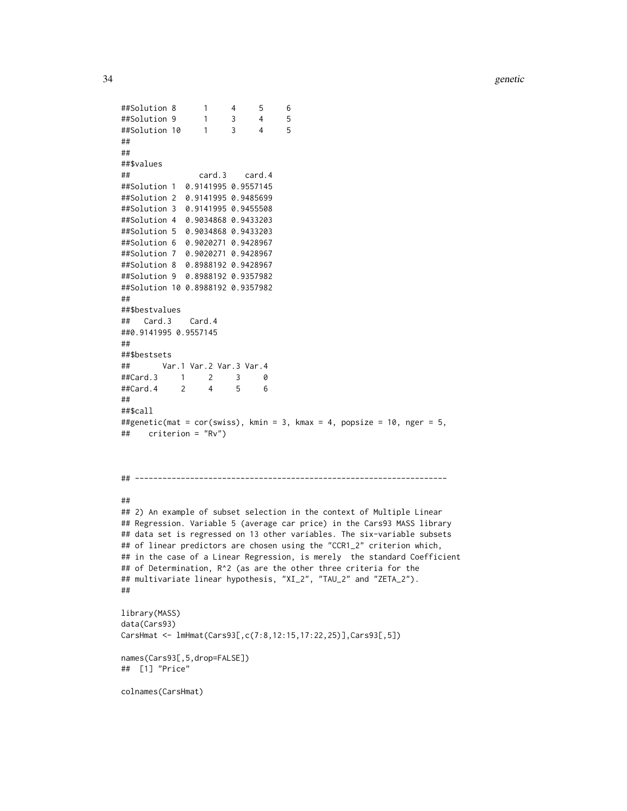```
##Solution 8 1 4 5 6
##Solution 9 1 3 4 5
##Solution 10 1 3 4 5
##
##
##$values
## card.3 card.4
##Solution 1 0.9141995 0.9557145
##Solution 2 0.9141995 0.9485699
##Solution 3 0.9141995 0.9455508
##Solution 4 0.9034868 0.9433203
##Solution 5 0.9034868 0.9433203
##Solution 6 0.9020271 0.9428967
##Solution 7 0.9020271 0.9428967
##Solution 8 0.8988192 0.9428967
##Solution 9 0.8988192 0.9357982
##Solution 10 0.8988192 0.9357982
##
##$bestvalues
## Card.3 Card.4
##0.9141995 0.9557145
##
##$bestsets
## Var.1 Var.2 Var.3 Var.4
##Card.3 1 2 3 0
##Card.4 2 4 5 6
##
##$call
##genetic(mat = cor(swiss), kmin = 3, kmax = 4, popsize = 10, nger = 5,
## criterion = "Rv")
## --------------------------------------------------------------------
##
## 2) An example of subset selection in the context of Multiple Linear
## Regression. Variable 5 (average car price) in the Cars93 MASS library
## data set is regressed on 13 other variables. The six-variable subsets
## of linear predictors are chosen using the "CCR1_2" criterion which,
## in the case of a Linear Regression, is merely the standard Coefficient
## of Determination, R^2 (as are the other three criteria for the
## multivariate linear hypothesis, "XI_2", "TAU_2" and "ZETA_2").
##
library(MASS)
data(Cars93)
CarsHmat <- lmHmat(Cars93[,c(7:8,12:15,17:22,25)],Cars93[,5])
names(Cars93[,5,drop=FALSE])
## [1] "Price"
colnames(CarsHmat)
```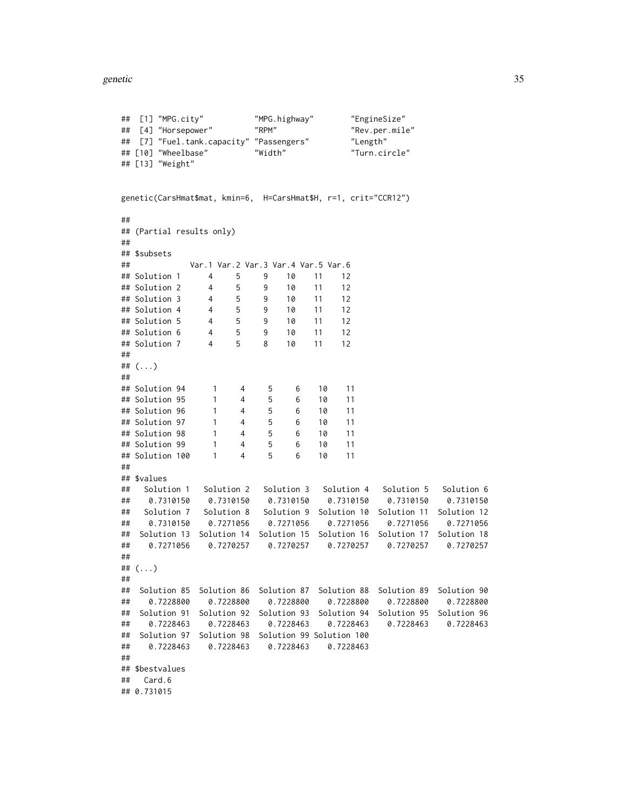```
## [1] "MPG.city" "MPG.highway" "EngineSize"
## [4] "Horsepower" "RPM" "Rev.per.mile"
## [7] "Fuel.tank.capacity" "Passengers" "Length"
## [10] "Wheelbase" "Width" "Turn.circle"
## [13] "Weight"
genetic(CarsHmat$mat, kmin=6, H=CarsHmat$H, r=1, crit="CCR12")
##
## (Partial results only)
##
## $subsets
## Var.1 Var.2 Var.3 Var.4 Var.5 Var.6
## Solution 1 4 5 9 10 11 12
## Solution 2 4 5 9 10 11 12
## Solution 3 4 5 9 10 11 12
## Solution 4 4 5 9 10 11 12
## Solution 5 4 5 9 10 11 12
## Solution 6 4 5 9 10 11 12
## Solution 7 4 5 8 10 11 12
##
## (...)
##
## Solution 94 1 4 5 6 10 11
## Solution 95 1 4 5 6 10 11
## Solution 96 1 4 5 6 10 11
## Solution 97 1 4 5 6 10 11
## Solution 98 1 4 5 6 10 11
## Solution 99 1 4 5 6 10 11
## Solution 100 1 4 5 6 10 11
##
## $values
## Solution 1 Solution 2 Solution 3 Solution 4 Solution 5 Solution 6
## 0.7310150 0.7310150 0.7310150 0.7310150 0.7310150 0.7310150
## Solution 7 Solution 8 Solution 9 Solution 10 Solution 11 Solution 12
## 0.7310150 0.7271056 0.7271056 0.7271056 0.7271056 0.7271056
## Solution 13 Solution 14 Solution 15 Solution 16 Solution 17 Solution 18
## 0.7271056 0.7270257 0.7270257 0.7270257 0.7270257 0.7270257
##
## (...)
##
## Solution 85 Solution 86 Solution 87 Solution 88 Solution 89 Solution 90
  ## 0.7228800 0.7228800 0.7228800 0.7228800 0.7228800 0.7228800
## Solution 91 Solution 92 Solution 93 Solution 94 Solution 95 Solution 96
## 0.7228463 0.7228463 0.7228463 0.7228463 0.7228463 0.7228463
## Solution 97 Solution 98 Solution 99 Solution 100
## 0.7228463 0.7228463 0.7228463 0.7228463
##
## $bestvalues
## Card.6
## 0.731015
```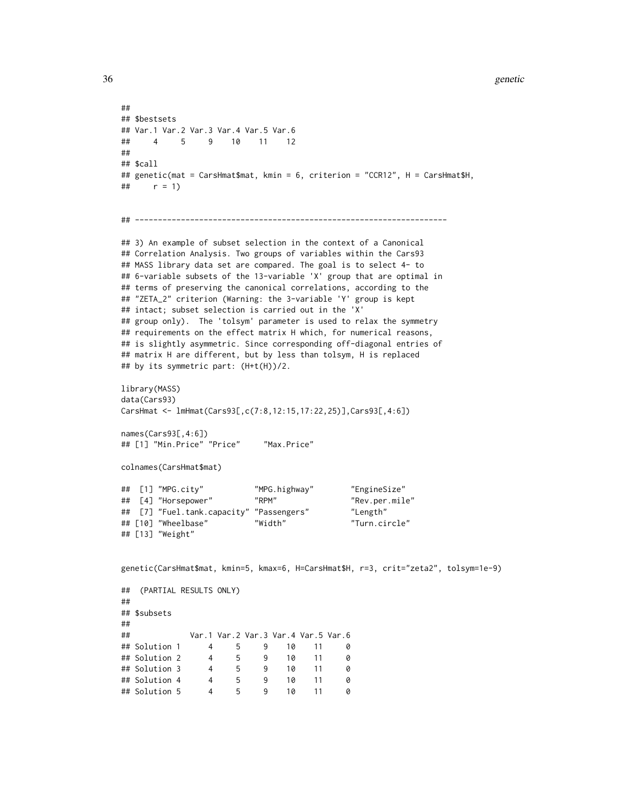```
36 genetic
```

```
##
## $bestsets
## Var.1 Var.2 Var.3 Var.4 Var.5 Var.6
## 4 5 9 10 11 12
##
## $call
## genetic(mat = CarsHmat$mat, kmin = 6, criterion = "CCR12", H = CarsHmat$H,
## r = 1)
## --------------------------------------------------------------------
## 3) An example of subset selection in the context of a Canonical
## Correlation Analysis. Two groups of variables within the Cars93
## MASS library data set are compared. The goal is to select 4- to
## 6-variable subsets of the 13-variable 'X' group that are optimal in
## terms of preserving the canonical correlations, according to the
## "ZETA_2" criterion (Warning: the 3-variable 'Y' group is kept
## intact; subset selection is carried out in the 'X'
## group only). The 'tolsym' parameter is used to relax the symmetry
## requirements on the effect matrix H which, for numerical reasons,
## is slightly asymmetric. Since corresponding off-diagonal entries of
## matrix H are different, but by less than tolsym, H is replaced
## by its symmetric part: (H+t(H))/2.
library(MASS)
data(Cars93)
CarsHmat <- lmHmat(Cars93[,c(7:8,12:15,17:22,25)],Cars93[,4:6])
names(Cars93[,4:6])
## [1] "Min.Price" "Price" "Max.Price"
colnames(CarsHmat$mat)
## [1] "MPG.city" "MPG.highway" "EngineSize"
## [4] "Horsepower" "RPM" "Rev.per.mile"
## [7] "Fuel.tank.capacity" "Passengers" "Length"
## [10] "Wheelbase" "Width" "Turn.circle"
## [13] "Weight"
genetic(CarsHmat$mat, kmin=5, kmax=6, H=CarsHmat$H, r=3, crit="zeta2", tolsym=1e-9)
## (PARTIAL RESULTS ONLY)
##
## $subsets
##
## Var.1 Var.2 Var.3 Var.4 Var.5 Var.6
## Solution 1 4 5 9 10 11 0
## Solution 2 4 5 9 10 11 0
## Solution 3 4 5 9 10 11 0
## Solution 4 4 5 9 10 11 0
## Solution 5 4 5 9 10 11 0
```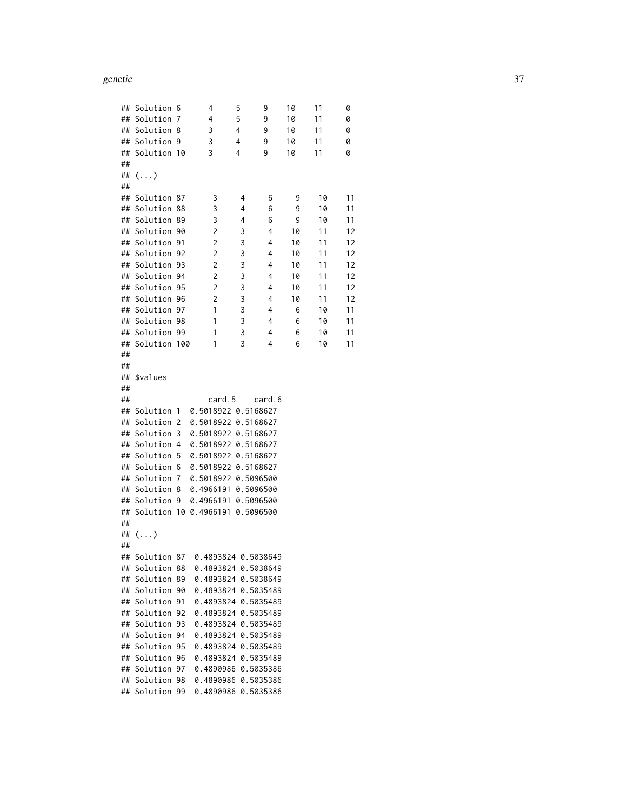### genetic 37

| ## | Solution 6     |     | 4                                 | 5 | 9         | 10 | 11 | 0  |
|----|----------------|-----|-----------------------------------|---|-----------|----|----|----|
| ## | Solution       | 7   | 4                                 | 5 | 9         | 10 | 11 | 0  |
| ## | Solution       | 8   | 3                                 | 4 | 9         | 10 | 11 | 0  |
| ## | Solution       | 9   | 3                                 | 4 | 9         | 10 | 11 | 0  |
| ## | Solution       | -10 | 3                                 | 4 | 9         | 10 | 11 | 0  |
| ## |                |     |                                   |   |           |    |    |    |
| ## | $(\ldots)$     |     |                                   |   |           |    |    |    |
| ## |                |     |                                   |   |           |    |    |    |
| ## | Solution 87    |     | 3                                 | 4 | 6         | 9  | 10 | 11 |
| ## | Solution       | 88  | 3                                 | 4 | 6         | 9  | 10 | 11 |
| ## | Solution 89    |     | 3                                 | 4 | 6         | 9  | 10 | 11 |
| ## | Solution       | 90  | 2                                 | 3 | 4         | 10 | 11 | 12 |
| ## | Solution       | 91  | 2                                 | 3 | 4         | 10 | 11 | 12 |
| ## | Solution       | 92  | 2                                 | 3 | 4         | 10 | 11 | 12 |
| ## | Solution       | -93 | 2                                 | 3 | 4         | 10 | 11 | 12 |
| ## | Solution       | 94  | 2                                 | 3 | 4         | 10 | 11 | 12 |
| ## | Solution 95    |     | $\overline{c}$                    | 3 | 4         | 10 | 11 | 12 |
| ## | Solution       | 96  | $\overline{c}$                    | 3 | 4         | 10 | 11 | 12 |
| ## | Solution       | 97  | 1                                 | 3 | 4         | 6  | 10 | 11 |
|    | ## Solution    | -98 | 1                                 | 3 | 4         | 6  | 10 | 11 |
| ## | Solution       | -99 | 1                                 | 3 | 4         | 6  | 10 | 11 |
| ## | Solution       | 100 | 1                                 | 3 | 4         | 6  | 10 | 11 |
| ## |                |     |                                   |   |           |    |    |    |
| ## |                |     |                                   |   |           |    |    |    |
| ## | \$values       |     |                                   |   |           |    |    |    |
| ## |                |     |                                   |   |           |    |    |    |
| ## |                |     | card.5                            |   | card.6    |    |    |    |
| ## | Solution       | -1  | 0.5018922 0.5168627               |   |           |    |    |    |
| ## | Solution       | 2   | 0.5018922 0.5168627               |   |           |    |    |    |
| ## | Solution       | 3   | 0.5018922 0.5168627               |   |           |    |    |    |
| ## | Solution       | 4   | 0.5018922 0.5168627               |   |           |    |    |    |
| ## | Solution       | 5   | 0.5018922 0.5168627               |   |           |    |    |    |
| ## | Solution       | 6   | 0.5018922 0.5168627               |   |           |    |    |    |
| ## | Solution       | 7   | 0.5018922 0.5096500               |   |           |    |    |    |
| ## | Solution       | 8   | 0.4966191 0.5096500               |   |           |    |    |    |
| ## | Solution       | 9   | 0.4966191 0.5096500               |   |           |    |    |    |
| ## |                |     | Solution 10 0.4966191             |   | 0.5096500 |    |    |    |
| ## |                |     |                                   |   |           |    |    |    |
| ## | $(\ldots)$     |     |                                   |   |           |    |    |    |
| ## |                |     |                                   |   |           |    |    |    |
| ## |                |     | Solution 87  0.4893824  0.5038649 |   |           |    |    |    |
|    | ## Solution 88 |     | 0.4893824 0.5038649               |   |           |    |    |    |
|    | ## Solution 89 |     | 0.4893824 0.5038649               |   |           |    |    |    |
|    | ## Solution    | 90  | 0.4893824 0.5035489               |   |           |    |    |    |
|    | ## Solution    | 91  | 0.4893824 0.5035489               |   |           |    |    |    |
|    | ## Solution 92 |     | 0.4893824 0.5035489               |   |           |    |    |    |
| ## | Solution       | 93  | 0.4893824 0.5035489               |   |           |    |    |    |
|    | ## Solution 94 |     | 0.4893824 0.5035489               |   |           |    |    |    |
|    | ## Solution 95 |     | 0.4893824 0.5035489               |   |           |    |    |    |
|    | ## Solution 96 |     | 0.4893824 0.5035489               |   |           |    |    |    |
|    | ## Solution 97 |     | 0.4890986 0.5035386               |   |           |    |    |    |
| ## | Solution 98    |     | 0.4890986 0.5035386               |   |           |    |    |    |
| ## | Solution 99    |     | 0.4890986 0.5035386               |   |           |    |    |    |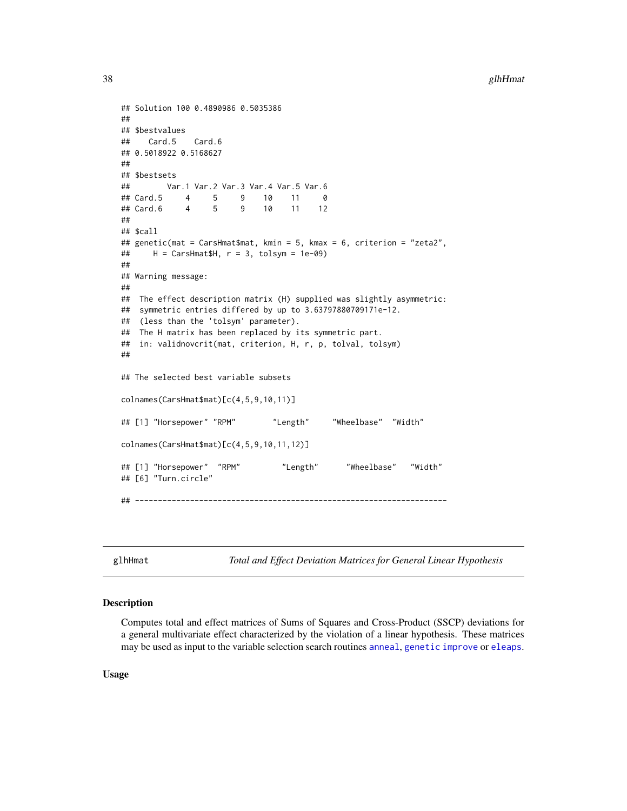```
## Solution 100 0.4890986 0.5035386
##
## $bestvalues
## Card.5 Card.6
## 0.5018922 0.5168627
##
## $bestsets
## Var.1 Var.2 Var.3 Var.4 Var.5 Var.6
## Card.5 4 5 9 10 11 0
## Card.6 4 5 9 10 11 12
##
## $call
## genetic(mat = CarsHmat$mat, kmin = 5, kmax = 6, criterion = "zeta2",
## H = CarsHmat$H, r = 3, tolsym = 1e-09)
##
## Warning message:
##
## The effect description matrix (H) supplied was slightly asymmetric:
## symmetric entries differed by up to 3.63797880709171e-12.
## (less than the 'tolsym' parameter).
## The H matrix has been replaced by its symmetric part.
## in: validnovcrit(mat, criterion, H, r, p, tolval, tolsym)
##
## The selected best variable subsets
colnames(CarsHmat$mat)[c(4,5,9,10,11)]
## [1] "Horsepower" "RPM" "Length" "Wheelbase" "Width"
colnames(CarsHmat$mat)[c(4,5,9,10,11,12)]
## [1] "Horsepower" "RPM" "Length" "Wheelbase" "Width"
## [6] "Turn.circle"
## --------------------------------------------------------------------
```
<span id="page-37-0"></span>glhHmat *Total and Effect Deviation Matrices for General Linear Hypothesis*

## Description

Computes total and effect matrices of Sums of Squares and Cross-Product (SSCP) deviations for a general multivariate effect characterized by the violation of a linear hypothesis. These matrices may be used as input to the variable selection search routines [anneal](#page-1-0), [genetic](#page-28-0) [improve](#page-46-0) or [eleaps](#page-14-0).

Usage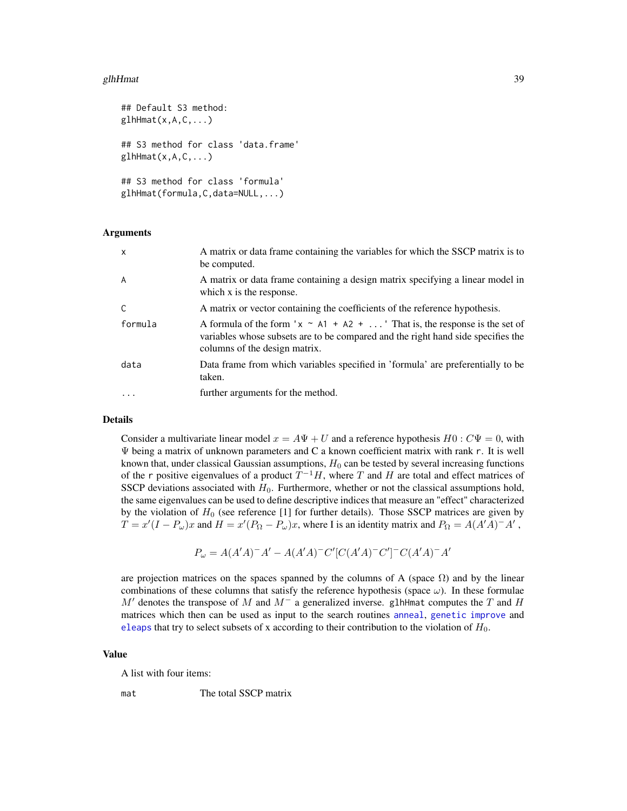### glhHmat 39

```
## Default S3 method:
g1hHmat(x, A, C, \ldots)## S3 method for class 'data.frame'
g1hHmat(x, A, C, \ldots)## S3 method for class 'formula'
glhHmat(formula,C,data=NULL,...)
```
## Arguments

| $\mathsf{x}$ | A matrix or data frame containing the variables for which the SSCP matrix is to<br>be computed.                                                                                                        |
|--------------|--------------------------------------------------------------------------------------------------------------------------------------------------------------------------------------------------------|
| A            | A matrix or data frame containing a design matrix specifying a linear model in<br>which x is the response.                                                                                             |
| C            | A matrix or vector containing the coefficients of the reference hypothesis.                                                                                                                            |
| formula      | A formula of the form ' $x \sim A1 + A2 + $ ' That is, the response is the set of<br>variables whose subsets are to be compared and the right hand side specifies the<br>columns of the design matrix. |
| data         | Data frame from which variables specified in 'formula' are preferentially to be<br>taken.                                                                                                              |
|              | further arguments for the method.                                                                                                                                                                      |

### Details

Consider a multivariate linear model  $x = A\Psi + U$  and a reference hypothesis  $H0 : C\Psi = 0$ , with Ψ being a matrix of unknown parameters and C a known coefficient matrix with rank r. It is well known that, under classical Gaussian assumptions,  $H_0$  can be tested by several increasing functions of the r positive eigenvalues of a product  $T^{-1}H$ , where T and H are total and effect matrices of SSCP deviations associated with  $H_0$ . Furthermore, whether or not the classical assumptions hold, the same eigenvalues can be used to define descriptive indices that measure an "effect" characterized by the violation of  $H_0$  (see reference [1] for further details). Those SSCP matrices are given by  $T = x'(I - P_{\omega})x$  and  $H = x'(P_{\Omega} - P_{\omega})x$ , where I is an identity matrix and  $P_{\Omega} = A(A'A)^{-1}A'$ ,

$$
P_{\omega} = A(A'A)^{-}A' - A(A'A)^{-}C'[C(A'A)^{-}C']^{-}C(A'A)^{-}A'
$$

are projection matrices on the spaces spanned by the columns of A (space  $\Omega$ ) and by the linear combinations of these columns that satisfy the reference hypothesis (space  $\omega$ ). In these formulae M' denotes the transpose of M and  $M^-$  a generalized inverse. glhHmat computes the T and H matrices which then can be used as input to the search routines [anneal](#page-1-0), [genetic](#page-28-0) [improve](#page-46-0) and [eleaps](#page-14-0) that try to select subsets of x according to their contribution to the violation of  $H_0$ .

## Value

A list with four items:

mat The total SSCP matrix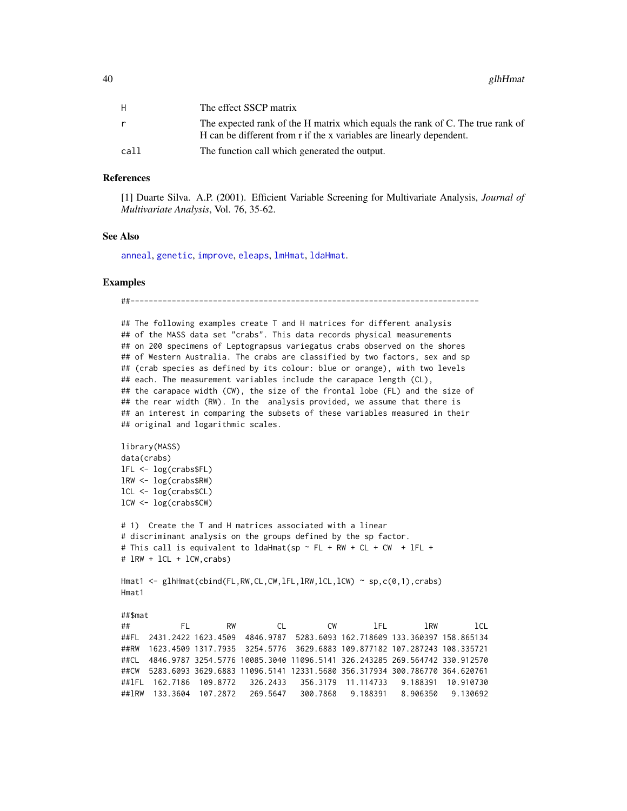| H    | The effect SSCP matrix                                                         |
|------|--------------------------------------------------------------------------------|
|      | The expected rank of the H matrix which equals the rank of C. The true rank of |
|      | H can be different from r if the x variables are linearly dependent.           |
| call | The function call which generated the output.                                  |

#### References

[1] Duarte Silva. A.P. (2001). Efficient Variable Screening for Multivariate Analysis, *Journal of Multivariate Analysis*, Vol. 76, 35-62.

## See Also

[anneal](#page-1-0), [genetic](#page-28-0), [improve](#page-46-0), [eleaps](#page-14-0), [lmHmat](#page-58-0), [ldaHmat](#page-56-0).

#### Examples

##---------------------------------------------------------------------------- ## The following examples create T and H matrices for different analysis

## of the MASS data set "crabs". This data records physical measurements ## on 200 specimens of Leptograpsus variegatus crabs observed on the shores ## of Western Australia. The crabs are classified by two factors, sex and sp ## (crab species as defined by its colour: blue or orange), with two levels ## each. The measurement variables include the carapace length (CL), ## the carapace width (CW), the size of the frontal lobe (FL) and the size of ## the rear width (RW). In the analysis provided, we assume that there is ## an interest in comparing the subsets of these variables measured in their ## original and logarithmic scales.

```
library(MASS)
data(crabs)
lFL <- log(crabs$FL)
lRW <- log(crabs$RW)
lCL <- log(crabs$CL)
lCW <- log(crabs$CW)
```

```
# 1) Create the T and H matrices associated with a linear
# discriminant analysis on the groups defined by the sp factor.
# This call is equivalent to ldaHmat(sp ~ FL + RW + CL + CW + lFL +
# lRW + lCL + lCW,crabs)
```
Hmat1 <- glhHmat(cbind(FL,RW,CL,CW,lFL,lRW,lCL,lCW) ~ sp,c(0,1),crabs) Hmat1

##\$mat

## FL RW CL CW lFL lRW lCL ##FL 2431.2422 1623.4509 4846.9787 5283.6093 162.718609 133.360397 158.865134 ##RW 1623.4509 1317.7935 3254.5776 3629.6883 109.877182 107.287243 108.335721 ##CL 4846.9787 3254.5776 10085.3040 11096.5141 326.243285 269.564742 330.912570 ##CW 5283.6093 3629.6883 11096.5141 12331.5680 356.317934 300.786770 364.620761 ##lFL 162.7186 109.8772 326.2433 356.3179 11.114733 9.188391 10.910730 ##lRW 133.3604 107.2872 269.5647 300.7868 9.188391 8.906350 9.130692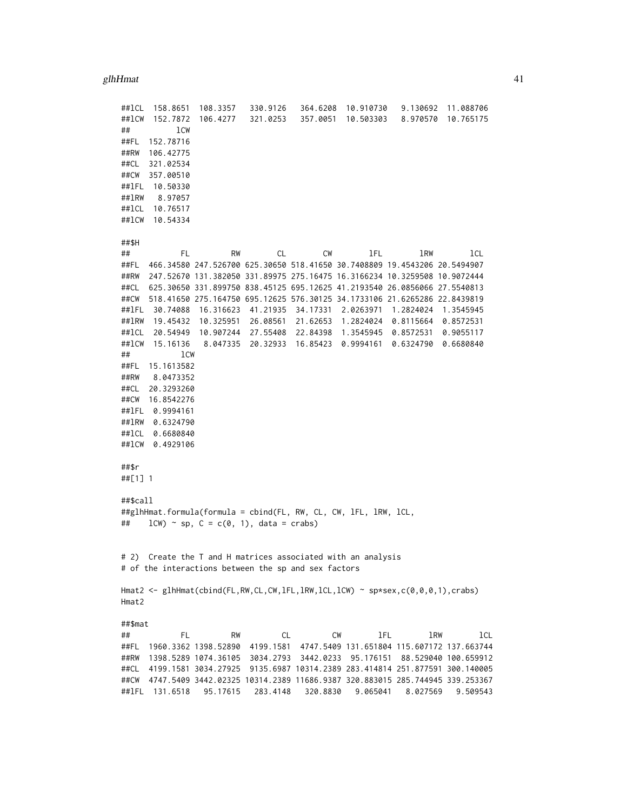| ##lCL       | 158.8651        | 108.3357                                             | 330.9126  | 364.6208          | 10.910730                                                                      | 9.130692            | 11.088706            |
|-------------|-----------------|------------------------------------------------------|-----------|-------------------|--------------------------------------------------------------------------------|---------------------|----------------------|
| ##1CW<br>## | 152.7872<br>1CW | 106.4277                                             | 321.0253  | 357.0051          | 10.503303                                                                      | 8.970570            | 10.765175            |
| ##FL        | 152.78716       |                                                      |           |                   |                                                                                |                     |                      |
| ##RW        | 106.42775       |                                                      |           |                   |                                                                                |                     |                      |
| ##CL        | 321.02534       |                                                      |           |                   |                                                                                |                     |                      |
| ##CW        | 357.00510       |                                                      |           |                   |                                                                                |                     |                      |
| ##1FL       | 10.50330        |                                                      |           |                   |                                                                                |                     |                      |
| ##1RW       | 8.97057         |                                                      |           |                   |                                                                                |                     |                      |
| ##1CL       | 10.76517        |                                                      |           |                   |                                                                                |                     |                      |
| ##1CW       | 10.54334        |                                                      |           |                   |                                                                                |                     |                      |
|             |                 |                                                      |           |                   |                                                                                |                     |                      |
| ##\$H       |                 |                                                      |           |                   |                                                                                |                     |                      |
| ##          | FL              | RW                                                   | CL        | СW                | lFL                                                                            | lRW                 | lCL                  |
| ##FL        |                 |                                                      |           |                   | 466.34580 247.526700 625.30650 518.41650 30.7408809 19.4543206 20.5494907      |                     |                      |
| ##RW        |                 |                                                      |           |                   | 247.52670 131.382050 331.89975 275.16475 16.3166234 10.3259508 10.9072444      |                     |                      |
| ##CL        |                 |                                                      |           |                   | 625.30650 331.899750 838.45125 695.12625 41.2193540 26.0856066 27.5540813      |                     |                      |
| ##CW        |                 |                                                      |           |                   | 518.41650 275.164750 695.12625 576.30125 34.1733106 21.6265286 22.8439819      |                     |                      |
| ##1FL       | 30.74088        | 16.316623                                            |           | 41.21935 34.17331 | 2.0263971                                                                      | 1.2824024           | 1.3545945            |
| ##1RW       | 19.45432        | 10.325951                                            | 26.08561  | 21.62653          | 1.2824024                                                                      | 0.8115664           | 0.8572531            |
| ##lCL       |                 | 20.54949 10.907244                                   |           | 27.55408 22.84398 | 1.3545945                                                                      | 0.8572531           | 0.9055117            |
| ##1CW       | 15.16136        | 8.047335                                             |           | 20.32933 16.85423 | 0.9994161                                                                      | 0.6324790 0.6680840 |                      |
| ##          | lCW             |                                                      |           |                   |                                                                                |                     |                      |
| ##FL        | 15.1613582      |                                                      |           |                   |                                                                                |                     |                      |
| ##RW        | 8.0473352       |                                                      |           |                   |                                                                                |                     |                      |
| ##CL        | 20.3293260      |                                                      |           |                   |                                                                                |                     |                      |
| ##CW        | 16.8542276      |                                                      |           |                   |                                                                                |                     |                      |
| ##1FL       | 0.9994161       |                                                      |           |                   |                                                                                |                     |                      |
| ##1RW       | 0.6324790       |                                                      |           |                   |                                                                                |                     |                      |
| ##1CL       | 0.6680840       |                                                      |           |                   |                                                                                |                     |                      |
| ##lCW       | 0.4929106       |                                                      |           |                   |                                                                                |                     |                      |
| ##\$r       |                 |                                                      |           |                   |                                                                                |                     |                      |
| ##[1] 1     |                 |                                                      |           |                   |                                                                                |                     |                      |
|             |                 |                                                      |           |                   |                                                                                |                     |                      |
| ##\$call    |                 |                                                      |           |                   |                                                                                |                     |                      |
|             |                 |                                                      |           |                   | ##glhHmat.formula(formula = cbind(FL, RW, CL, CW, 1FL, 1RW, 1CL,               |                     |                      |
| ##          |                 | $lcW$ ) ~ sp, $C = c(0, 1)$ , data = crabs)          |           |                   |                                                                                |                     |                      |
|             |                 |                                                      |           |                   |                                                                                |                     |                      |
|             |                 |                                                      |           |                   |                                                                                |                     |                      |
| # 2)        |                 |                                                      |           |                   | Create the T and H matrices associated with an analysis                        |                     |                      |
|             |                 | # of the interactions between the sp and sex factors |           |                   |                                                                                |                     |                      |
|             |                 |                                                      |           |                   | Hmat2 <- glhHmat(cbind(FL,RW,CL,CW,1FL,1RW,1CL,1CW) ~ sp*sex,c(0,0,0,1),crabs) |                     |                      |
| Hmat2       |                 |                                                      |           |                   |                                                                                |                     |                      |
|             |                 |                                                      |           |                   |                                                                                |                     |                      |
| ##\$mat     |                 |                                                      |           |                   |                                                                                |                     |                      |
| ##          | FL.             | RW                                                   | CL        | CW                | lFL                                                                            | 1RW                 | lcl                  |
| ##FL        |                 | 1960.3362 1398.52890                                 | 4199.1581 |                   | 4747.5409 131.651804 115.607172 137.663744                                     |                     |                      |
| ##RW        |                 | 1398.5289 1074.36105                                 | 3034.2793 | 3442.0233         | 95.176151                                                                      |                     | 88.529040 100.659912 |
| ##CL        |                 | 4199.1581 3034.27925                                 |           |                   | 9135.6987 10314.2389 283.414814 251.877591 300.140005                          |                     |                      |
| ##CW        |                 |                                                      |           |                   | 4747.5409 3442.02325 10314.2389 11686.9387 320.883015 285.744945 339.253367    |                     |                      |
| ##1FL       | 131.6518        | 95.17615                                             | 283.4148  | 320.8830          | 9.065041                                                                       | 8.027569            | 9.509543             |
|             |                 |                                                      |           |                   |                                                                                |                     |                      |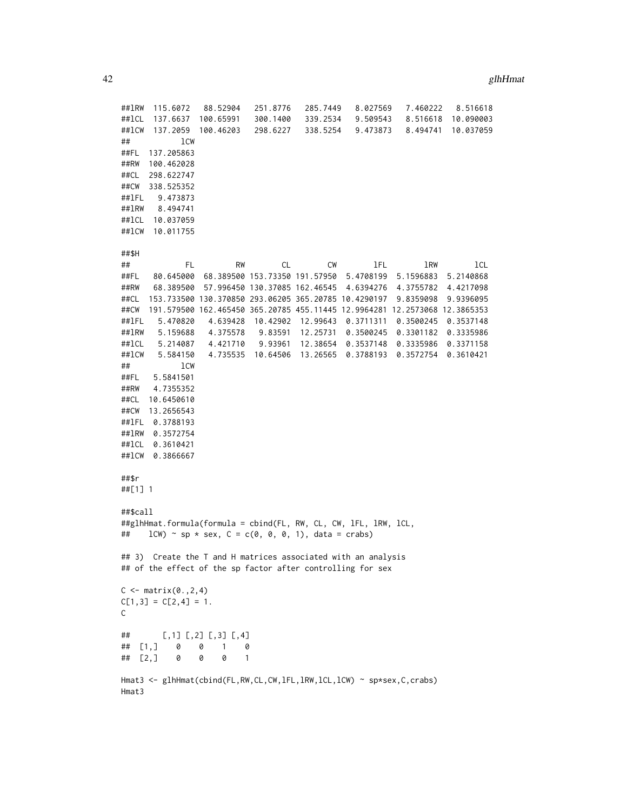```
##lRW 115.6072 88.52904 251.8776 285.7449 8.027569 7.460222 8.516618
##lCL 137.6637 100.65991 300.1400 339.2534 9.509543 8.516618 10.090003
##lCW 137.2059 100.46203 298.6227 338.5254 9.473873 8.494741 10.037059
## lCW
##FL 137.205863
##RW 100.462028
##CL 298.622747
##CW 338.525352
##lFL 9.473873
##lRW 8.494741
##lCL 10.037059
##lCW 10.011755
##$H
## FL RW CL CW lFL lRW lCL
##FL 80.645000 68.389500 153.73350 191.57950 5.4708199 5.1596883 5.2140868
##RW 68.389500 57.996450 130.37085 162.46545 4.6394276 4.3755782 4.4217098
##CL 153.733500 130.370850 293.06205 365.20785 10.4290197 9.8359098 9.9396095
##CW 191.579500 162.465450 365.20785 455.11445 12.9964281 12.2573068 12.3865353
##lFL 5.470820 4.639428 10.42902 12.99643 0.3711311 0.3500245 0.3537148
##lRW 5.159688 4.375578 9.83591 12.25731 0.3500245 0.3301182 0.3335986
##lCL 5.214087 4.421710 9.93961 12.38654 0.3537148 0.3335986 0.3371158
##lCW 5.584150 4.735535 10.64506 13.26565 0.3788193 0.3572754 0.3610421
## lCW
##FL 5.5841501
##RW 4.7355352
##CL 10.6450610
##CW 13.2656543
##lFL 0.3788193
##lRW 0.3572754
##lCL 0.3610421
##lCW 0.3866667
##$r
##[1] 1
##$call
##glhHmat.formula(formula = cbind(FL, RW, CL, CW, lFL, lRW, lCL,
## lcW \sim sp * sex, C = c(0, 0, 0, 1), data = crabs)
## 3) Create the T and H matrices associated with an analysis
## of the effect of the sp factor after controlling for sex
C \leq - matrix(0., 2, 4)C[1,3] = C[2,4] = 1.C
## [,1] [,2] [,3] [,4]
## [1,] 0 0 1 0
## [2,] 0 0 0 1
Hmat3 <- glhHmat(cbind(FL,RW,CL,CW,lFL,lRW,lCL,lCW) ~ sp*sex,C,crabs)
Hmat3
```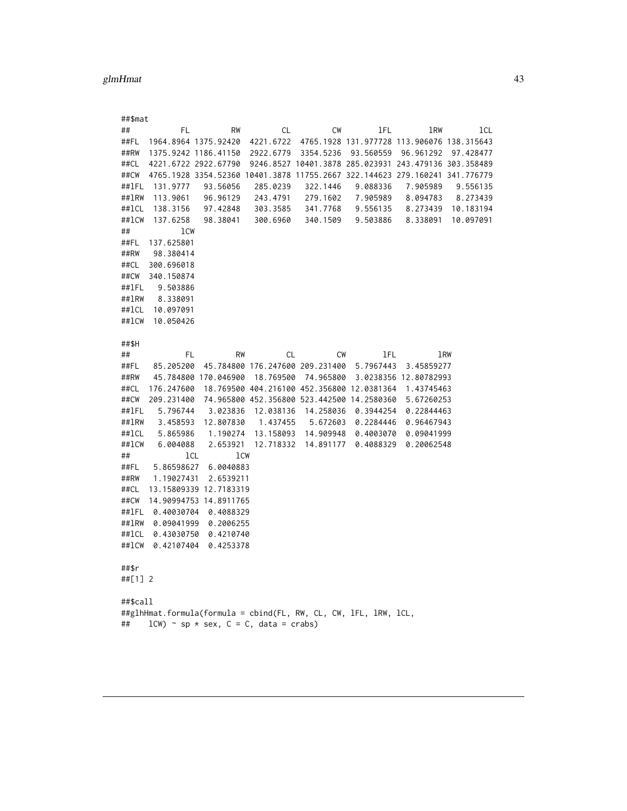<span id="page-42-0"></span>

| ##\$mat  |                                                                             |     |                                 |           |                     |           |                                                       |            |     |           |
|----------|-----------------------------------------------------------------------------|-----|---------------------------------|-----------|---------------------|-----------|-------------------------------------------------------|------------|-----|-----------|
| ##       | FL                                                                          |     | RW                              | <b>CL</b> |                     | <b>CW</b> | lFL                                                   | 1RW        |     | lcl       |
| ##FL     | 1964.8964 1375.92420                                                        |     |                                 | 4221.6722 |                     |           | 4765.1928 131.977728 113.906076 138.315643            |            |     |           |
| ##RW     | 1375.9242 1186.41150                                                        |     |                                 | 2922.6779 |                     | 3354.5236 | 93.560559                                             | 96.961292  |     | 97.428477 |
| ##CL     | 4221.6722 2922.67790                                                        |     |                                 |           |                     |           | 9246.8527 10401.3878 285.023931 243.479136 303.358489 |            |     |           |
| ##CW     | 4765.1928 3354.52360 10401.3878 11755.2667 322.144623 279.160241 341.776779 |     |                                 |           |                     |           |                                                       |            |     |           |
| ##1FL    | 131.9777                                                                    |     | 93.56056                        | 285.0239  |                     | 322.1446  | 9.088336                                              | 7.905989   |     | 9.556135  |
| ##1RW    | 113.9061                                                                    |     | 96.96129                        | 243.4791  |                     | 279.1602  | 7.905989                                              | 8.094783   |     | 8.273439  |
| ##1CL    | 138.3156                                                                    |     | 97.42848                        | 303.3585  |                     | 341.7768  | 9.556135                                              | 8.273439   |     | 10.183194 |
| ##1CW    | 137.6258                                                                    |     | 98.38041                        | 300.6960  |                     | 340.1509  | 9.503886                                              | 8.338091   |     | 10.097091 |
| ##       | 1CW                                                                         |     |                                 |           |                     |           |                                                       |            |     |           |
| ##FL     | 137.625801                                                                  |     |                                 |           |                     |           |                                                       |            |     |           |
| ##RW     | 98.380414                                                                   |     |                                 |           |                     |           |                                                       |            |     |           |
| ##CL     | 300.696018                                                                  |     |                                 |           |                     |           |                                                       |            |     |           |
| ##CW     | 340.150874                                                                  |     |                                 |           |                     |           |                                                       |            |     |           |
| ##1FL    | 9.503886                                                                    |     |                                 |           |                     |           |                                                       |            |     |           |
| ##1RW    | 8.338091                                                                    |     |                                 |           |                     |           |                                                       |            |     |           |
| ##1CL    | 10.097091                                                                   |     |                                 |           |                     |           |                                                       |            |     |           |
| ##1CW    | 10.050426                                                                   |     |                                 |           |                     |           |                                                       |            |     |           |
|          |                                                                             |     |                                 |           |                     |           |                                                       |            |     |           |
| ##\$H    |                                                                             |     |                                 |           |                     |           |                                                       |            |     |           |
| ##       | FL                                                                          |     | <b>RW</b>                       | <b>CL</b> |                     | CW        | lFL                                                   |            | 1RW |           |
| ##FL     | 85.205200                                                                   |     | 45.784800 176.247600 209.231400 |           |                     |           | 5.7967443                                             | 3.45859277 |     |           |
| ##RW     | 45.784800 170.046900                                                        |     |                                 | 18.769500 |                     | 74.965800 | 3.0238356 12.80782993                                 |            |     |           |
| ##CL     | 176.247600                                                                  |     |                                 |           |                     |           | 18.769500 404.216100 452.356800 12.0381364            | 1.43745463 |     |           |
| ##CW     | 209.231400                                                                  |     |                                 |           |                     |           | 74.965800 452.356800 523.442500 14.2580360            | 5.67260253 |     |           |
| ##1FL    | 5.796744                                                                    |     | 3.023836                        |           | 12.038136 14.258036 |           | 0.3944254                                             | 0.22844463 |     |           |
| ##1RW    | 3.458593                                                                    |     | 12.807830                       | 1.437455  |                     |           | 5.672603 0.2284446                                    | 0.96467943 |     |           |
| ##1CL    | 5.865986                                                                    |     |                                 |           |                     |           | 1.190274 13.158093 14.909948 0.4003070                | 0.09041999 |     |           |
| ##1CW    | 6.004088                                                                    |     | 2.653921                        | 12.718332 |                     | 14.891177 | 0.4088329                                             | 0.20062548 |     |           |
| ##       |                                                                             | lCL | 1CW                             |           |                     |           |                                                       |            |     |           |
| ##FL     | 5.86598627                                                                  |     | 6.0040883                       |           |                     |           |                                                       |            |     |           |
| ##RW     | 1.19027431                                                                  |     | 2.6539211                       |           |                     |           |                                                       |            |     |           |
| ##CL     | 13.15809339 12.7183319                                                      |     |                                 |           |                     |           |                                                       |            |     |           |
| ##CW     | 14.90994753 14.8911765                                                      |     |                                 |           |                     |           |                                                       |            |     |           |
|          | ##1FL 0.40030704                                                            |     | 0.4088329                       |           |                     |           |                                                       |            |     |           |
|          | ##1RW 0.09041999                                                            |     | 0.2006255                       |           |                     |           |                                                       |            |     |           |
| ##1CL    | 0.43030750                                                                  |     | 0.4210740                       |           |                     |           |                                                       |            |     |           |
| ##1CW    | 0.42107404                                                                  |     | 0.4253378                       |           |                     |           |                                                       |            |     |           |
|          |                                                                             |     |                                 |           |                     |           |                                                       |            |     |           |
| ##\$r    |                                                                             |     |                                 |           |                     |           |                                                       |            |     |           |
| ##[1] 2  |                                                                             |     |                                 |           |                     |           |                                                       |            |     |           |
|          |                                                                             |     |                                 |           |                     |           |                                                       |            |     |           |
| ##\$call |                                                                             |     |                                 |           |                     |           |                                                       |            |     |           |
|          | ##glhHmat.formula(formula = cbind(FL, RW, CL, CW, 1FL, 1RW, 1CL,            |     |                                 |           |                     |           |                                                       |            |     |           |
| ##       | $lcW$ $\sim$ sp $\star$ sex, $C = C$ , data = crabs)                        |     |                                 |           |                     |           |                                                       |            |     |           |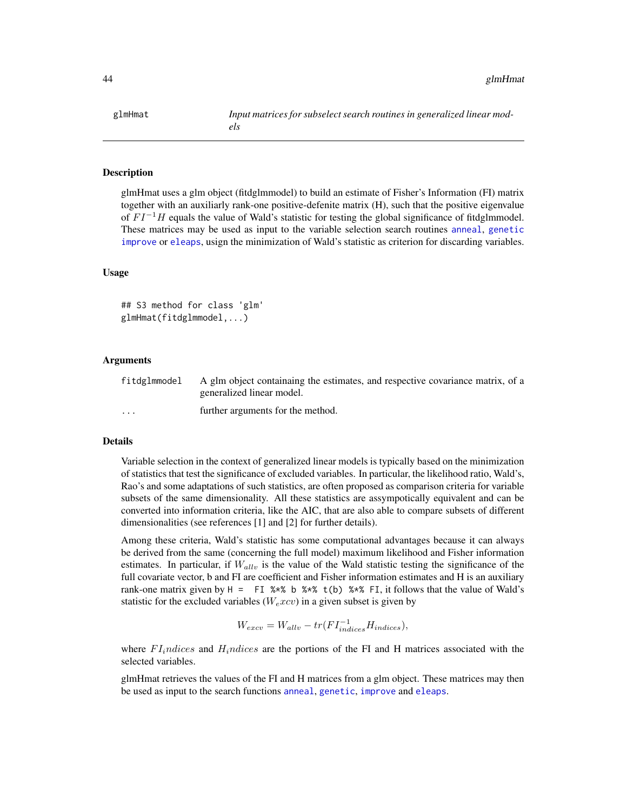#### **Description**

glmHmat uses a glm object (fitdglmmodel) to build an estimate of Fisher's Information (FI) matrix together with an auxiliarly rank-one positive-defenite matrix (H), such that the positive eigenvalue of  $FI^{-1}H$  equals the value of Wald's statistic for testing the global significance of fitdglmmodel. These matrices may be used as input to the variable selection search routines [anneal](#page-1-0), [genetic](#page-28-0) [improve](#page-46-0) or [eleaps](#page-14-0), usign the minimization of Wald's statistic as criterion for discarding variables.

#### Usage

```
## S3 method for class 'glm'
glmHmat(fitdglmmodel,...)
```
## Arguments

| fitdglmmodel            | A glm object containaing the estimates, and respective covariance matrix, of a |
|-------------------------|--------------------------------------------------------------------------------|
|                         | generalized linear model.                                                      |
| $\cdot$ $\cdot$ $\cdot$ | further arguments for the method.                                              |

# Details

Variable selection in the context of generalized linear models is typically based on the minimization of statistics that test the significance of excluded variables. In particular, the likelihood ratio, Wald's, Rao's and some adaptations of such statistics, are often proposed as comparison criteria for variable subsets of the same dimensionality. All these statistics are assympotically equivalent and can be converted into information criteria, like the AIC, that are also able to compare subsets of different dimensionalities (see references [1] and [2] for further details).

Among these criteria, Wald's statistic has some computational advantages because it can always be derived from the same (concerning the full model) maximum likelihood and Fisher information estimates. In particular, if  $W_{allv}$  is the value of the Wald statistic testing the significance of the full covariate vector, b and FI are coefficient and Fisher information estimates and H is an auxiliary rank-one matrix given by  $H = FI$  %\* b %\* t(b) %\* FI, it follows that the value of Wald's statistic for the excluded variables ( $W_e x c v$ ) in a given subset is given by

$$
W_{excv} = W_{allv} - tr(FI_{indices}^{-1}H_{indices}),
$$

where  $FI<sub>i</sub>ndices$  and  $H<sub>i</sub>ndices$  are the portions of the FI and H matrices associated with the selected variables.

glmHmat retrieves the values of the FI and H matrices from a glm object. These matrices may then be used as input to the search functions [anneal](#page-1-0), [genetic](#page-28-0), [improve](#page-46-0) and [eleaps](#page-14-0).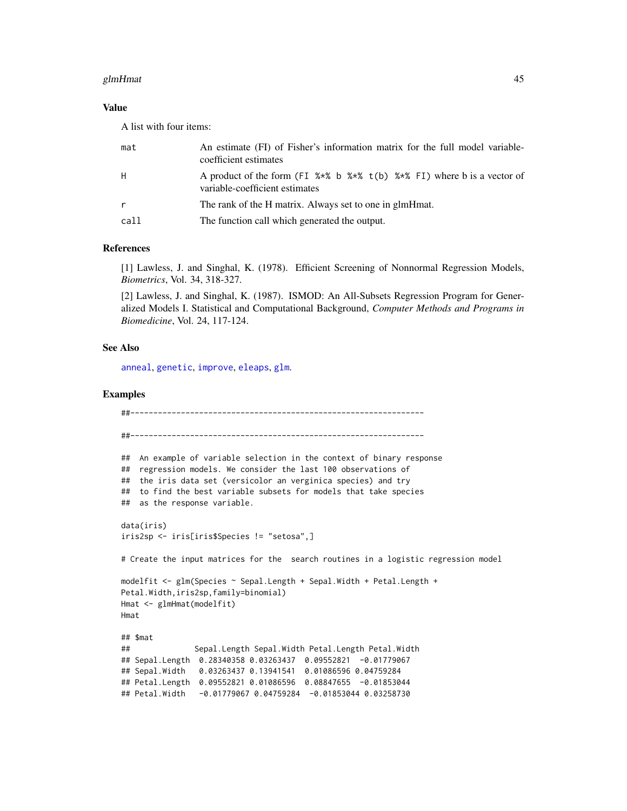## glmHmat **45**

# Value

A list with four items:

| mat          | An estimate (FI) of Fisher's information matrix for the full model variable-<br>coefficient estimates     |
|--------------|-----------------------------------------------------------------------------------------------------------|
| H            | A product of the form (FI %*% b %*% t(b) %*% FI) where b is a vector of<br>variable-coefficient estimates |
| $\mathsf{r}$ | The rank of the H matrix. Always set to one in glmHmat.                                                   |
| call         | The function call which generated the output.                                                             |

## References

[1] Lawless, J. and Singhal, K. (1978). Efficient Screening of Nonnormal Regression Models, *Biometrics*, Vol. 34, 318-327.

[2] Lawless, J. and Singhal, K. (1987). ISMOD: An All-Subsets Regression Program for Generalized Models I. Statistical and Computational Background, *Computer Methods and Programs in Biomedicine*, Vol. 24, 117-124.

## See Also

[anneal](#page-1-0), [genetic](#page-28-0), [improve](#page-46-0), [eleaps](#page-14-0), [glm](#page-0-0).

# Examples

```
##----------------------------------------------------------------
##----------------------------------------------------------------
## An example of variable selection in the context of binary response
## regression models. We consider the last 100 observations of
## the iris data set (versicolor an verginica species) and try
## to find the best variable subsets for models that take species
## as the response variable.
data(iris)
iris2sp <- iris[iris$Species != "setosa",]
# Create the input matrices for the search routines in a logistic regression model
modelfit <- glm(Species ~ Sepal.Length + Sepal.Width + Petal.Length +
Petal.Width,iris2sp,family=binomial)
Hmat <- glmHmat(modelfit)
Hmat
## $mat
## Sepal.Length Sepal.Width Petal.Length Petal.Width
## Sepal.Length 0.28340358 0.03263437 0.09552821 -0.01779067
## Sepal.Width 0.03263437 0.13941541 0.01086596 0.04759284
## Petal.Length 0.09552821 0.01086596 0.08847655 -0.01853044
## Petal.Width -0.01779067 0.04759284 -0.01853044 0.03258730
```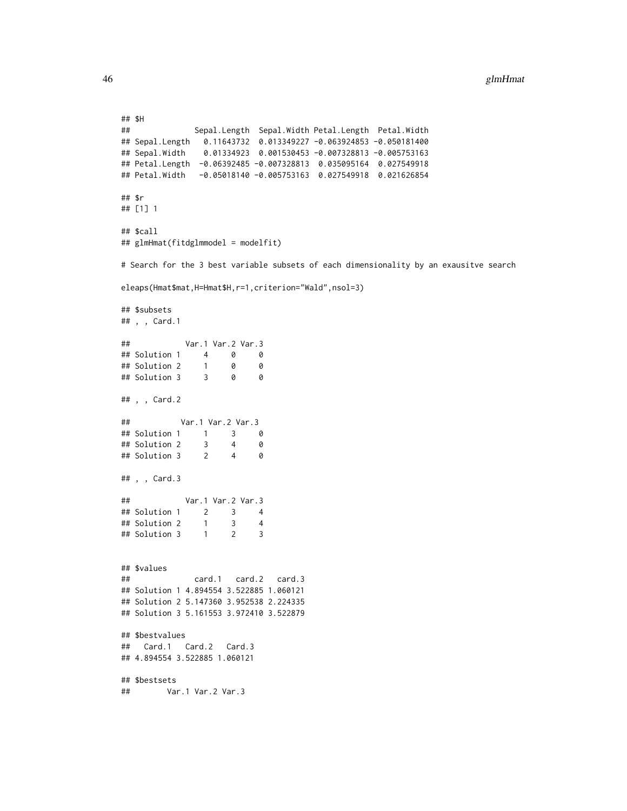```
## $H
## Sepal.Length Sepal.Width Petal.Length Petal.Width
## Sepal.Length 0.11643732 0.013349227 -0.063924853 -0.050181400
## Sepal.Width 0.01334923 0.001530453 -0.007328813 -0.005753163
## Petal.Length -0.06392485 -0.007328813 0.035095164 0.027549918
## Petal.Width -0.05018140 -0.005753163 0.027549918 0.021626854
## $r
## [1] 1
## $call
## glmHmat(fitdglmmodel = modelfit)
# Search for the 3 best variable subsets of each dimensionality by an exausitve search
eleaps(Hmat$mat,H=Hmat$H,r=1,criterion="Wald",nsol=3)
## $subsets
## , , Card.1
## Var.1 Var.2 Var.3
## Solution 1 4 0 0
## Solution 2 1 0 0
## Solution 3
## , , Card.2
## Var.1 Var.2 Var.3
## Solution 1 1 3 0
## Solution 2 3 4 0
## Solution 3 2 4 0
## , , Card.3
## Var.1 Var.2 Var.3
## Solution 1 2 3 4
## Solution 2 1 3 4
## Solution 3 1 2 3
## $values
## card.1 card.2 card.3
## Solution 1 4.894554 3.522885 1.060121
## Solution 2 5.147360 3.952538 2.224335
## Solution 3 5.161553 3.972410 3.522879
## $bestvalues
## Card.1 Card.2 Card.3
## 4.894554 3.522885 1.060121
## $bestsets
## Var.1 Var.2 Var.3
```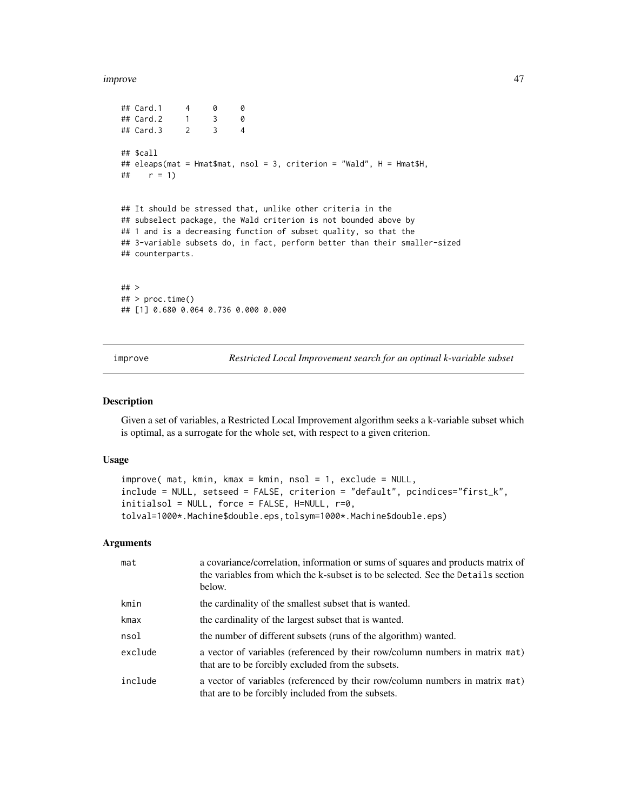```
## Card.1 4 0 0
## Card.2 1 3 0
## Card.3 2 3 4
## $call
## eleaps(mat = Hmat$mat, nsol = 3, criterion = "Wald", H = Hmat$H,
## r = 1)
## It should be stressed that, unlike other criteria in the
## subselect package, the Wald criterion is not bounded above by
## 1 and is a decreasing function of subset quality, so that the
## 3-variable subsets do, in fact, perform better than their smaller-sized
## counterparts.
## >
## > proc.time()
## [1] 0.680 0.064 0.736 0.000 0.000
```
<span id="page-46-0"></span>improve *Restricted Local Improvement search for an optimal k-variable subset*

## Description

Given a set of variables, a Restricted Local Improvement algorithm seeks a k-variable subset which is optimal, as a surrogate for the whole set, with respect to a given criterion.

## Usage

```
improve( mat, kmin, kmax = kmin, nsol = 1, exclude = NULL,
include = NULL, setseed = FALSE, criterion = "default", pcindices="first_k",
initialsol = NULL, force = FALSE, H=NULL, r=0,
tolval=1000*.Machine$double.eps,tolsym=1000*.Machine$double.eps)
```
## Arguments

| mat     | a covariance/correlation, information or sums of squares and products matrix of<br>the variables from which the k-subset is to be selected. See the Details section<br>below. |
|---------|-------------------------------------------------------------------------------------------------------------------------------------------------------------------------------|
| kmin    | the cardinality of the smallest subset that is wanted.                                                                                                                        |
| kmax    | the cardinality of the largest subset that is wanted.                                                                                                                         |
| nsol    | the number of different subsets (runs of the algorithm) wanted.                                                                                                               |
| exclude | a vector of variables (referenced by their row/column numbers in matrix mat)<br>that are to be forcibly excluded from the subsets.                                            |
| include | a vector of variables (referenced by their row/column numbers in matrix mat)<br>that are to be forcibly included from the subsets.                                            |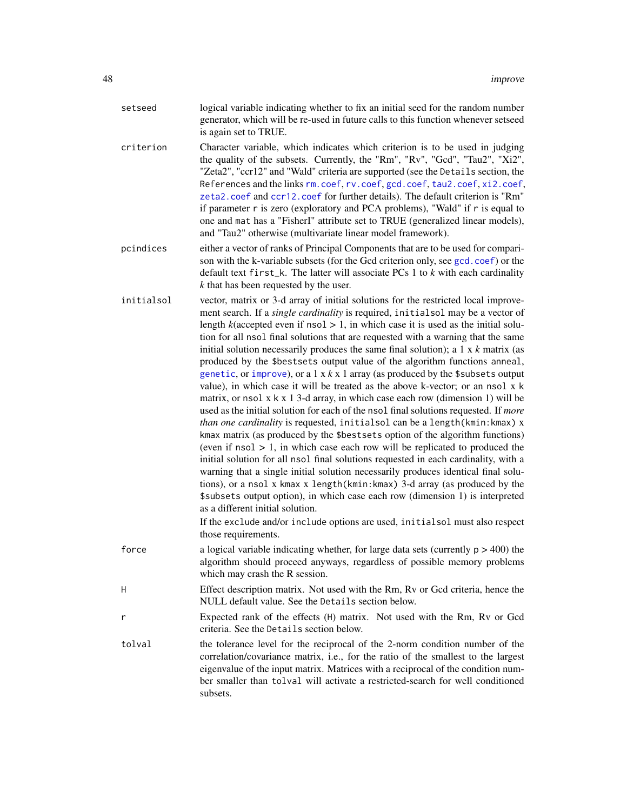| setseed | logical variable indicating whether to fix an initial seed for the random number   |
|---------|------------------------------------------------------------------------------------|
|         | generator, which will be re-used in future calls to this function whenever setseed |
|         | is again set to TRUE.                                                              |

- criterion Character variable, which indicates which criterion is to be used in judging the quality of the subsets. Currently, the "Rm", "Rv", "Gcd", "Tau2", "Xi2", "Zeta2", "ccr12" and "Wald" criteria are supported (see the Details section, the References and the links [rm.coef](#page-65-0), [rv.coef](#page-66-0), [gcd.coef](#page-26-0), [tau2.coef](#page-68-0), [xi2.coef](#page-76-0), [zeta2.coef](#page-77-0) and [ccr12.coef](#page-12-0) for further details). The default criterion is "Rm" if parameter r is zero (exploratory and PCA problems), "Wald" if r is equal to one and mat has a "FisherI" attribute set to TRUE (generalized linear models), and "Tau2" otherwise (multivariate linear model framework).
- pcindices either a vector of ranks of Principal Components that are to be used for comparison with the k-variable subsets (for the Gcd criterion only, see [gcd.coef](#page-26-0)) or the default text first\_k. The latter will associate PCs 1 to *k* with each cardinality *k* that has been requested by the user.
- initialsol vector, matrix or 3-d array of initial solutions for the restricted local improvement search. If a *single cardinality* is required, initialsol may be a vector of length  $k$ (accepted even if nsol  $> 1$ , in which case it is used as the initial solution for all nsol final solutions that are requested with a warning that the same initial solution necessarily produces the same final solution); a 1 x *k* matrix (as produced by the \$bestsets output value of the algorithm functions anneal, [genetic](#page-28-0), or [improve](#page-46-0)), or a  $1 \times k \times 1$  array (as produced by the \$subsets output value), in which case it will be treated as the above k-vector; or an nsol x k matrix, or nsol  $x \times x$  1 3-d array, in which case each row (dimension 1) will be used as the initial solution for each of the nsol final solutions requested. If *more than one cardinality* is requested, initialsol can be a length(kmin:kmax) x kmax matrix (as produced by the \$bestsets option of the algorithm functions) (even if  $nsol > 1$ , in which case each row will be replicated to produced the initial solution for all nsol final solutions requested in each cardinality, with a warning that a single initial solution necessarily produces identical final solutions), or a nsol x kmax x length(kmin:kmax) 3-d array (as produced by the \$subsets output option), in which case each row (dimension 1) is interpreted as a different initial solution.

If the exclude and/or include options are used, initialsol must also respect those requirements.

- force a logical variable indicating whether, for large data sets (currently  $p > 400$ ) the algorithm should proceed anyways, regardless of possible memory problems which may crash the R session.
- H Effect description matrix. Not used with the Rm, Rv or Gcd criteria, hence the NULL default value. See the Details section below.
- r Expected rank of the effects (H) matrix. Not used with the Rm, Rv or Gcd criteria. See the Details section below.
- tolval the tolerance level for the reciprocal of the 2-norm condition number of the correlation/covariance matrix, i.e., for the ratio of the smallest to the largest eigenvalue of the input matrix. Matrices with a reciprocal of the condition number smaller than tolval will activate a restricted-search for well conditioned subsets.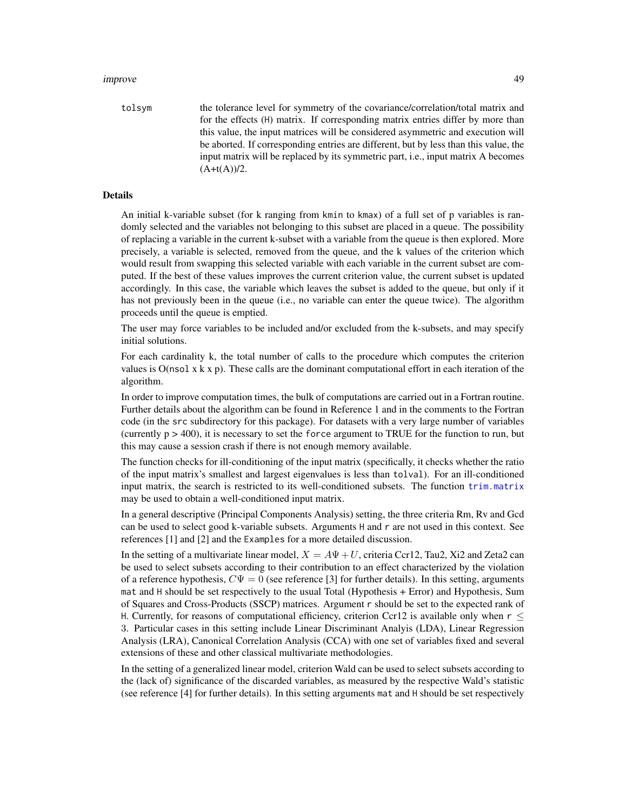tolsym the tolerance level for symmetry of the covariance/correlation/total matrix and for the effects (H) matrix. If corresponding matrix entries differ by more than this value, the input matrices will be considered asymmetric and execution will be aborted. If corresponding entries are different, but by less than this value, the input matrix will be replaced by its symmetric part, i.e., input matrix A becomes  $(A+t(A))/2.$ 

## Details

An initial k-variable subset (for k ranging from kmin to kmax) of a full set of p variables is randomly selected and the variables not belonging to this subset are placed in a queue. The possibility of replacing a variable in the current k-subset with a variable from the queue is then explored. More precisely, a variable is selected, removed from the queue, and the k values of the criterion which would result from swapping this selected variable with each variable in the current subset are computed. If the best of these values improves the current criterion value, the current subset is updated accordingly. In this case, the variable which leaves the subset is added to the queue, but only if it has not previously been in the queue (i.e., no variable can enter the queue twice). The algorithm proceeds until the queue is emptied.

The user may force variables to be included and/or excluded from the k-subsets, and may specify initial solutions.

For each cardinality k, the total number of calls to the procedure which computes the criterion values is  $O(n \text{sol } x \text{ k } x \text{ p})$ . These calls are the dominant computational effort in each iteration of the algorithm.

In order to improve computation times, the bulk of computations are carried out in a Fortran routine. Further details about the algorithm can be found in Reference 1 and in the comments to the Fortran code (in the src subdirectory for this package). For datasets with a very large number of variables (currently  $p > 400$ ), it is necessary to set the force argument to TRUE for the function to run, but this may cause a session crash if there is not enough memory available.

The function checks for ill-conditioning of the input matrix (specifically, it checks whether the ratio of the input matrix's smallest and largest eigenvalues is less than tolval). For an ill-conditioned input matrix, the search is restricted to its well-conditioned subsets. The function [trim.matrix](#page-70-0) may be used to obtain a well-conditioned input matrix.

In a general descriptive (Principal Components Analysis) setting, the three criteria Rm, Rv and Gcd can be used to select good k-variable subsets. Arguments H and r are not used in this context. See references [1] and [2] and the Examples for a more detailed discussion.

In the setting of a multivariate linear model,  $X = A\Psi + U$ , criteria Ccr12, Tau2, Xi2 and Zeta2 can be used to select subsets according to their contribution to an effect characterized by the violation of a reference hypothesis,  $C\Psi = 0$  (see reference [3] for further details). In this setting, arguments mat and H should be set respectively to the usual Total (Hypothesis + Error) and Hypothesis, Sum of Squares and Cross-Products (SSCP) matrices. Argument r should be set to the expected rank of H. Currently, for reasons of computational efficiency, criterion Ccr12 is available only when  $r \leq$ 3. Particular cases in this setting include Linear Discriminant Analyis (LDA), Linear Regression Analysis (LRA), Canonical Correlation Analysis (CCA) with one set of variables fixed and several extensions of these and other classical multivariate methodologies.

In the setting of a generalized linear model, criterion Wald can be used to select subsets according to the (lack of) significance of the discarded variables, as measured by the respective Wald's statistic (see reference [4] for further details). In this setting arguments mat and H should be set respectively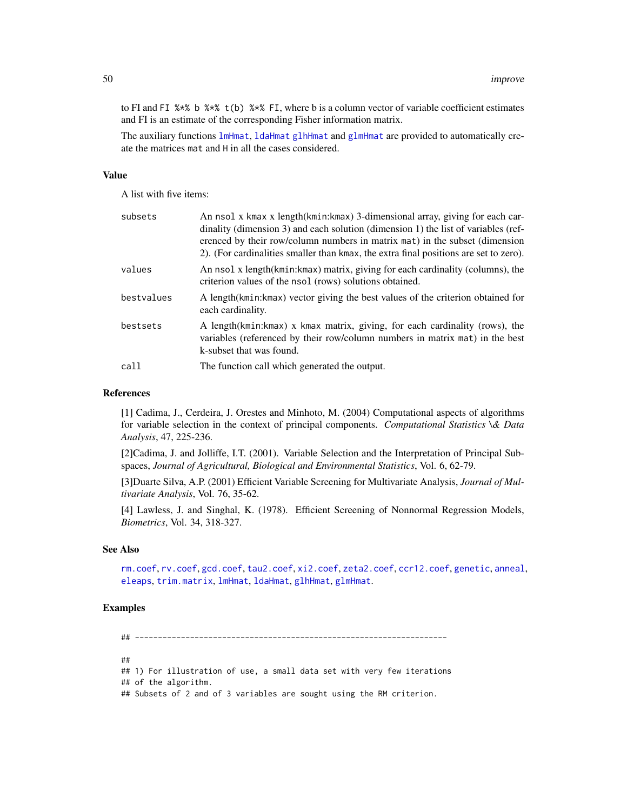to FI and FI %\*% b %\*% t(b) %\*% FI, where b is a column vector of variable coefficient estimates and FI is an estimate of the corresponding Fisher information matrix.

The auxiliary functions [lmHmat](#page-58-0), [ldaHmat](#page-56-0) [glhHmat](#page-37-0) and [glmHmat](#page-42-0) are provided to automatically create the matrices mat and H in all the cases considered.

#### Value

A list with five items:

| subsets    | An nsol x kmax x length(kmin:kmax) 3-dimensional array, giving for each car-<br>dinality (dimension 3) and each solution (dimension 1) the list of variables (ref-<br>erenced by their row/column numbers in matrix mat) in the subset (dimension<br>2). (For cardinalities smaller than kmax, the extra final positions are set to zero). |
|------------|--------------------------------------------------------------------------------------------------------------------------------------------------------------------------------------------------------------------------------------------------------------------------------------------------------------------------------------------|
| values     | An nsol x length (kmin: kmax) matrix, giving for each cardinality (columns), the<br>criterion values of the nsol (rows) solutions obtained.                                                                                                                                                                                                |
| bestvalues | A length (kmin: kmax) vector giving the best values of the criterion obtained for<br>each cardinality.                                                                                                                                                                                                                                     |
| bestsets   | A length(kmin: kmax) x kmax matrix, giving, for each cardinality (rows), the<br>variables (referenced by their row/column numbers in matrix mat) in the best<br>k-subset that was found.                                                                                                                                                   |
| call       | The function call which generated the output.                                                                                                                                                                                                                                                                                              |

# References

[1] Cadima, J., Cerdeira, J. Orestes and Minhoto, M. (2004) Computational aspects of algorithms for variable selection in the context of principal components. *Computational Statistics \& Data Analysis*, 47, 225-236.

[2]Cadima, J. and Jolliffe, I.T. (2001). Variable Selection and the Interpretation of Principal Subspaces, *Journal of Agricultural, Biological and Environmental Statistics*, Vol. 6, 62-79.

[3]Duarte Silva, A.P. (2001) Efficient Variable Screening for Multivariate Analysis, *Journal of Multivariate Analysis*, Vol. 76, 35-62.

[4] Lawless, J. and Singhal, K. (1978). Efficient Screening of Nonnormal Regression Models, *Biometrics*, Vol. 34, 318-327.

# See Also

[rm.coef](#page-65-0), [rv.coef](#page-66-0), [gcd.coef](#page-26-0), [tau2.coef](#page-68-0), [xi2.coef](#page-76-0), [zeta2.coef](#page-77-0), [ccr12.coef](#page-12-0), [genetic](#page-28-0), [anneal](#page-1-0), [eleaps](#page-14-0), [trim.matrix](#page-70-0), [lmHmat](#page-58-0), [ldaHmat](#page-56-0), [glhHmat](#page-37-0), [glmHmat](#page-42-0).

## Examples

## --------------------------------------------------------------------

##

```
## 1) For illustration of use, a small data set with very few iterations
## of the algorithm.
## Subsets of 2 and of 3 variables are sought using the RM criterion.
```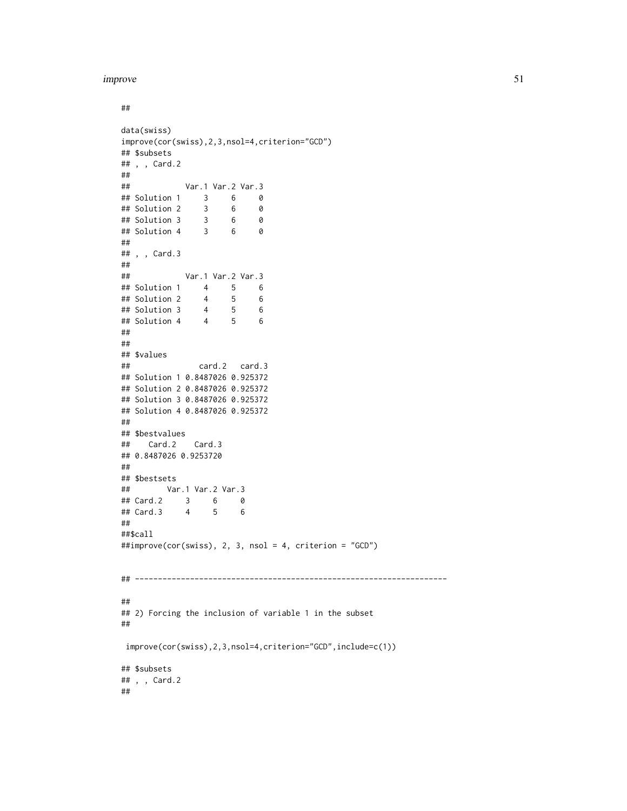##

```
data(swiss)
improve(cor(swiss),2,3,nsol=4,criterion="GCD")
## $subsets
## , , Card.2
##
## Var.1 Var.2 Var.3
## Solution 1 3 6 0
## Solution 2 3 6 0
## Solution 3 3 6 0
## Solution 4 3 6 0
##
## , , Card.3
##
## Var.1 Var.2 Var.3
## Solution 1 4 5 6
## Solution 2 4 5 6
## Solution 3 4 5 6
## Solution 4 4 5 6
##
##
## $values
## card.2 card.3
## Solution 1 0.8487026 0.925372
## Solution 2 0.8487026 0.925372
## Solution 3 0.8487026 0.925372
## Solution 4 0.8487026 0.925372
##
## $bestvalues
## Card.2 Card.3
## 0.8487026 0.9253720
##
## $bestsets
## Var.1 Var.2 Var.3
## Card.2 3 6 0
## Card.3 4 5 6
##
##$call
##improve(cor(swiss), 2, 3, nsol = 4, criterion = "GCD")
## --------------------------------------------------------------------
##
## 2) Forcing the inclusion of variable 1 in the subset
##
improve(cor(swiss),2,3,nsol=4,criterion="GCD",include=c(1))
## $subsets
## , , Card.2
##
```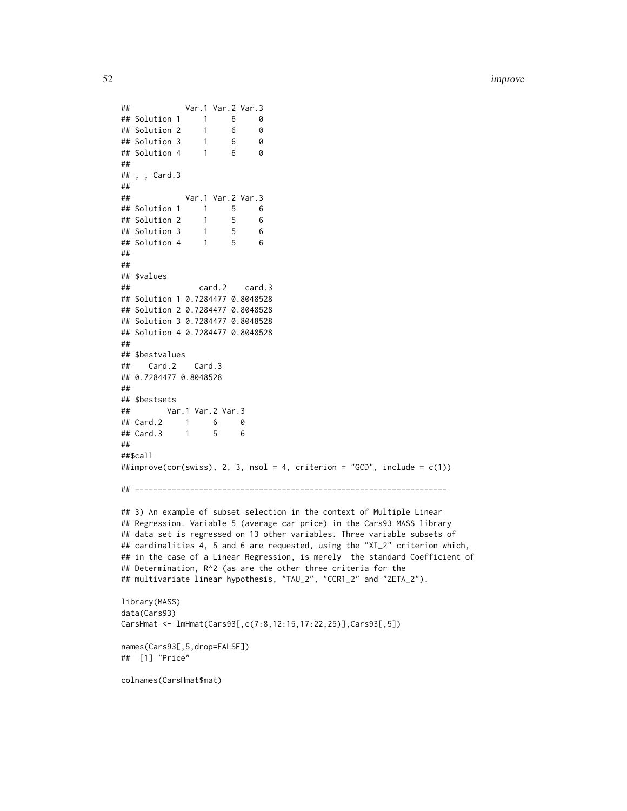```
## Var.1 Var.2 Var.3
## Solution 1 1 6 0
## Solution 2 1 6 0
## Solution 3 1 6 0
## Solution 4 1 6 0
##
## , , Card.3
##
## Var.1 Var.2 Var.3
## Solution 1 1 5 6
## Solution 2 1 5 6
## Solution 3 1 5 6
## Solution 4 1 5 6
##
##
## $values
## card.2 card.3
## Solution 1 0.7284477 0.8048528
## Solution 2 0.7284477 0.8048528
## Solution 3 0.7284477 0.8048528
## Solution 4 0.7284477 0.8048528
##
## $bestvalues
## Card.2 Card.3
## 0.7284477 0.8048528
##
## $bestsets
## Var.1 Var.2 Var.3
## Card.2 1 6 0
## Card.3 1 5 6
##
##$call
##improve(cor(swiss), 2, 3, nsol = 4, criterion = "GCD", include = c(1))
## --------------------------------------------------------------------
## 3) An example of subset selection in the context of Multiple Linear
## Regression. Variable 5 (average car price) in the Cars93 MASS library
## data set is regressed on 13 other variables. Three variable subsets of
## cardinalities 4, 5 and 6 are requested, using the "XI_2" criterion which,
## in the case of a Linear Regression, is merely the standard Coefficient of
## Determination, R^2 (as are the other three criteria for the
## multivariate linear hypothesis, "TAU_2", "CCR1_2" and "ZETA_2").
library(MASS)
data(Cars93)
CarsHmat <- lmHmat(Cars93[,c(7:8,12:15,17:22,25)],Cars93[,5])
names(Cars93[,5,drop=FALSE])
## [1] "Price"
colnames(CarsHmat$mat)
```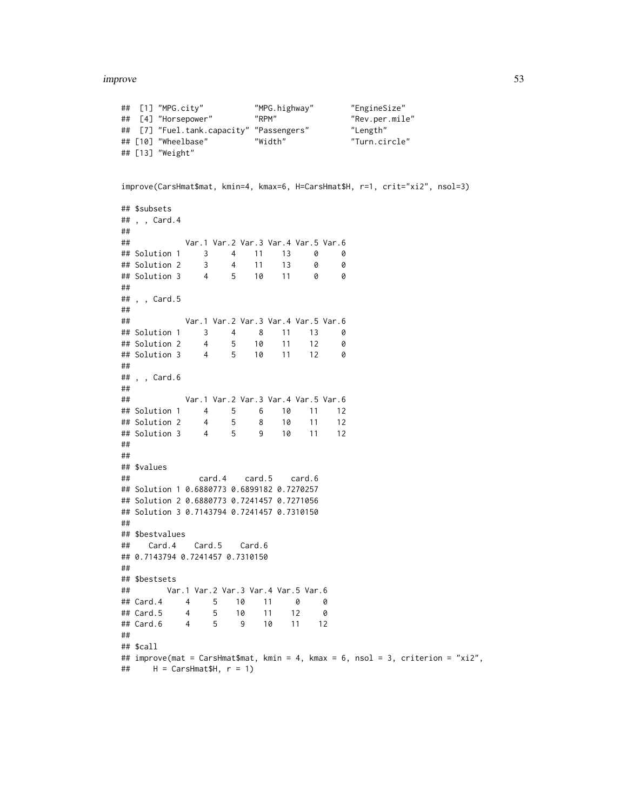```
## [1] "MPG.city" "MPG.highway" "EngineSize"
## [4] "Horsepower" "RPM" "Rev.per.mile"
## [7] "Fuel.tank.capacity" "Passengers" "Length"
## [10] "Wheelbase" "Width" "Turn.circle"
## [13] "Weight"
improve(CarsHmat$mat, kmin=4, kmax=6, H=CarsHmat$H, r=1, crit="xi2", nsol=3)
## $subsets
## , , Card.4
##
## Var.1 Var.2 Var.3 Var.4 Var.5 Var.6
## Solution 1 3 4 11 13 0 0
## Solution 2 3 4 11 13 0 0
## Solution 3 4 5 10 11 0 0
##
## , , Card.5
##
## Var.1 Var.2 Var.3 Var.4 Var.5 Var.6
## Solution 1 3 4 8 11 13 0
## Solution 2 4 5 10 11 12 0
## Solution 3 4 5 10 11 12 0
##
## , , Card.6
##
## Var.1 Var.2 Var.3 Var.4 Var.5 Var.6
## Solution 1 4 5 6 10 11 12
## Solution 2 4 5 8 10 11 12
## Solution 3 4 5 9 10 11 12
##
##
## $values
## card.4 card.5 card.6
## Solution 1 0.6880773 0.6899182 0.7270257
## Solution 2 0.6880773 0.7241457 0.7271056
## Solution 3 0.7143794 0.7241457 0.7310150
##
## $bestvalues
## Card.4 Card.5 Card.6
## 0.7143794 0.7241457 0.7310150
##
## $bestsets
## Var.1 Var.2 Var.3 Var.4 Var.5 Var.6
## Card.4 4 5 10 11 0 0
## Card.5 4 5 10 11 12 0
## Card.6 4 5 9 10 11 12
##
## $call
## improve(mat = CarsHmat$mat, kmin = 4, kmax = 6, nsol = 3, criterion = "xi2",
\# H = CarsHmat$H, r = 1)
```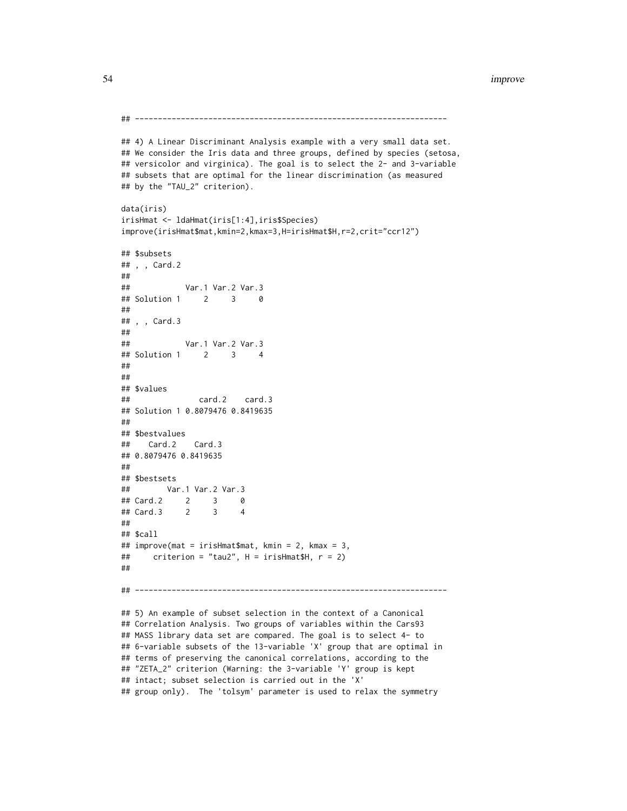```
## --------------------------------------------------------------------
## 4) A Linear Discriminant Analysis example with a very small data set.
## We consider the Iris data and three groups, defined by species (setosa,
## versicolor and virginica). The goal is to select the 2- and 3-variable
## subsets that are optimal for the linear discrimination (as measured
## by the "TAU_2" criterion).
data(iris)
irisHmat <- ldaHmat(iris[1:4],iris$Species)
improve(irisHmat$mat,kmin=2,kmax=3,H=irisHmat$H,r=2,crit="ccr12")
## $subsets
## , , Card.2
##
## Var.1 Var.2 Var.3
## Solution 1 2 3 0
##
## , , Card.3
##
## Var.1 Var.2 Var.3
## Solution 1 2 3 4
##
##
## $values
## card.2 card.3
## Solution 1 0.8079476 0.8419635
##
## $bestvalues
## Card.2 Card.3
## 0.8079476 0.8419635
##
## $bestsets
## Var.1 Var.2 Var.3
## Card.2 2 3 0
## Card.3 2 3 4
##
## $call
## improve(mat = irisHmat$mat, kmin = 2, kmax = 3,
## criterion = "tau2", H = irisHmat$H, r = 2)
##
## --------------------------------------------------------------------
## 5) An example of subset selection in the context of a Canonical
## Correlation Analysis. Two groups of variables within the Cars93
## MASS library data set are compared. The goal is to select 4- to
## 6-variable subsets of the 13-variable 'X' group that are optimal in
## terms of preserving the canonical correlations, according to the
## "ZETA_2" criterion (Warning: the 3-variable 'Y' group is kept
```
## intact; subset selection is carried out in the 'X'

```
## group only). The 'tolsym' parameter is used to relax the symmetry
```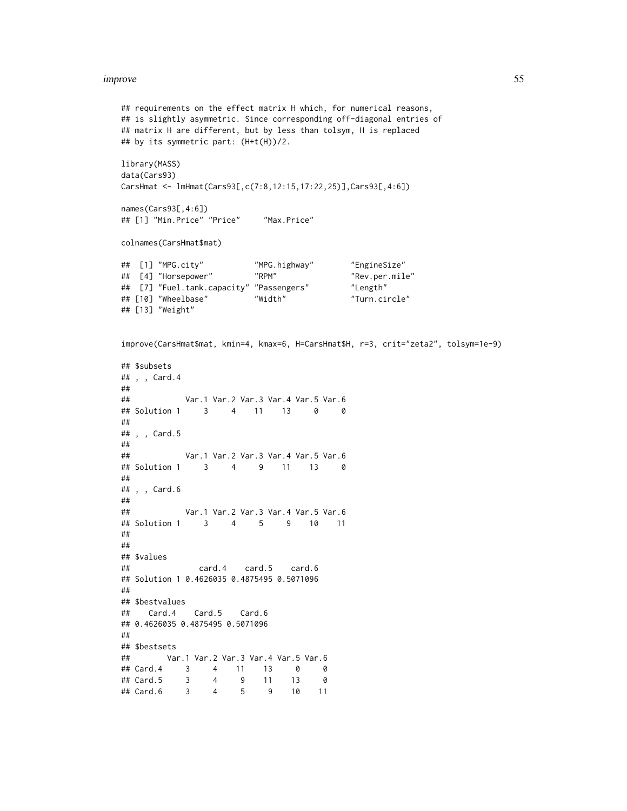```
## requirements on the effect matrix H which, for numerical reasons,
## is slightly asymmetric. Since corresponding off-diagonal entries of
## matrix H are different, but by less than tolsym, H is replaced
## by its symmetric part: (H+t(H))/2.
library(MASS)
data(Cars93)
CarsHmat <- lmHmat(Cars93[,c(7:8,12:15,17:22,25)],Cars93[,4:6])
names(Cars93[,4:6])
## [1] "Min.Price" "Price" "Max.Price"
colnames(CarsHmat$mat)
## [1] "MPG.city" "MPG.highway" "EngineSize"
## [4] "Horsepower" "RPM" "Rev.per.mile"
## [7] "Fuel.tank.capacity" "Passengers" "Length"
## [10] "Wheelbase" "Width" "Turn.circle"
## [13] "Weight"
improve(CarsHmat$mat, kmin=4, kmax=6, H=CarsHmat$H, r=3, crit="zeta2", tolsym=1e-9)
## $subsets
## , , Card.4
##
## Var.1 Var.2 Var.3 Var.4 Var.5 Var.6
## Solution 1 3 4 11 13 0 0
##
## , , Card.5
##
## Var.1 Var.2 Var.3 Var.4 Var.5 Var.6
## Solution 1 3 4 9 11 13 0
##
## , , Card.6
##
## Var.1 Var.2 Var.3 Var.4 Var.5 Var.6
## Solution 1 3 4 5 9 10 11
##
##
## $values
## card.4 card.5 card.6
## Solution 1 0.4626035 0.4875495 0.5071096
##
## $bestvalues
## Card.4 Card.5 Card.6
## 0.4626035 0.4875495 0.5071096
##
## $bestsets
## Var.1 Var.2 Var.3 Var.4 Var.5 Var.6
## Card.4 3 4 11 13 0 0
## Card.5 3 4 9 11 13 0
## Card.6 3 4 5 9 10 11
```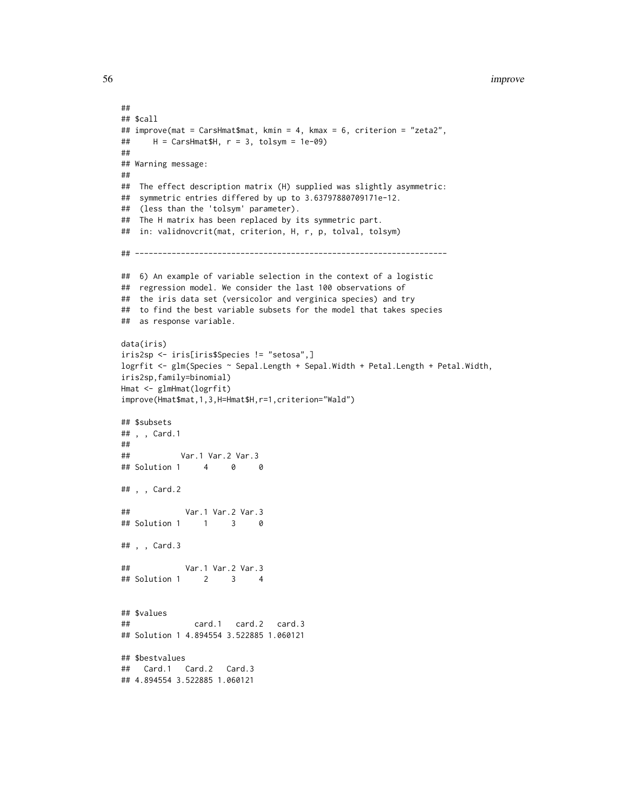```
##
## $call
## improve(mat = CarsHmat$mat, kmin = 4, kmax = 6, criterion = "zeta2",
## H = CarsHmat$H, r = 3, tolsym = 1e-09)
##
## Warning message:
##
## The effect description matrix (H) supplied was slightly asymmetric:
## symmetric entries differed by up to 3.63797880709171e-12.
## (less than the 'tolsym' parameter).
## The H matrix has been replaced by its symmetric part.
## in: validnovcrit(mat, criterion, H, r, p, tolval, tolsym)
## --------------------------------------------------------------------
## 6) An example of variable selection in the context of a logistic
## regression model. We consider the last 100 observations of
## the iris data set (versicolor and verginica species) and try
## to find the best variable subsets for the model that takes species
## as response variable.
data(iris)
iris2sp <- iris[iris$Species != "setosa",]
logrfit <- glm(Species ~ Sepal.Length + Sepal.Width + Petal.Length + Petal.Width,
iris2sp,family=binomial)
Hmat <- glmHmat(logrfit)
improve(Hmat$mat,1,3,H=Hmat$H,r=1,criterion="Wald")
## $subsets
## , , Card.1
##
## Var.1 Var.2 Var.3
## Solution 1 4 0 0
## , , Card.2
## Var.1 Var.2 Var.3
## Solution 1 1 3 0
## , , Card.3
## Var.1 Var.2 Var.3
## Solution 1 2 3 4
## $values
## card.1 card.2 card.3
## Solution 1 4.894554 3.522885 1.060121
## $bestvalues
## Card.1 Card.2 Card.3
## 4.894554 3.522885 1.060121
```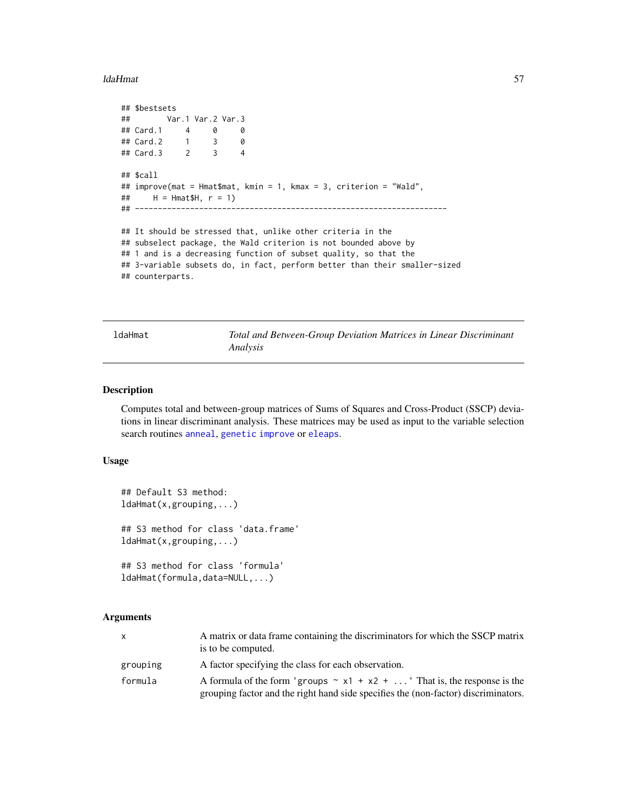### ldaHmat 57

```
## $bestsets
## Var.1 Var.2 Var.3
## Card.1 4 0 0<br>## Card.2 1 3 0
## Card.2 1 3 0
## Card.3 2 3 4
## $call
## improve(mat = Hmat$mat, kmin = 1, kmax = 3, criterion = "Wald",
## H = Hmat$H, r = 1)
## --------------------------------------------------------------------
## It should be stressed that, unlike other criteria in the
## subselect package, the Wald criterion is not bounded above by
## 1 and is a decreasing function of subset quality, so that the
## 3-variable subsets do, in fact, perform better than their smaller-sized
## counterparts.
```
<span id="page-56-0"></span>ldaHmat *Total and Between-Group Deviation Matrices in Linear Discriminant Analysis*

# Description

Computes total and between-group matrices of Sums of Squares and Cross-Product (SSCP) deviations in linear discriminant analysis. These matrices may be used as input to the variable selection search routines [anneal](#page-1-0), [genetic](#page-28-0) [improve](#page-46-0) or [eleaps](#page-14-0).

### Usage

```
## Default S3 method:
ldaHmat(x,grouping,...)
## S3 method for class 'data.frame'
ldaHmat(x,grouping,...)
## S3 method for class 'formula'
ldaHmat(formula,data=NULL,...)
```
# Arguments

| X        | A matrix or data frame containing the discriminators for which the SSCP matrix<br>is to be computed.                                                                 |
|----------|----------------------------------------------------------------------------------------------------------------------------------------------------------------------|
| grouping | A factor specifying the class for each observation.                                                                                                                  |
| formula  | A formula of the form 'groups $\sim x1 + x2 + $ ' That is, the response is the<br>grouping factor and the right hand side specifies the (non-factor) discriminators. |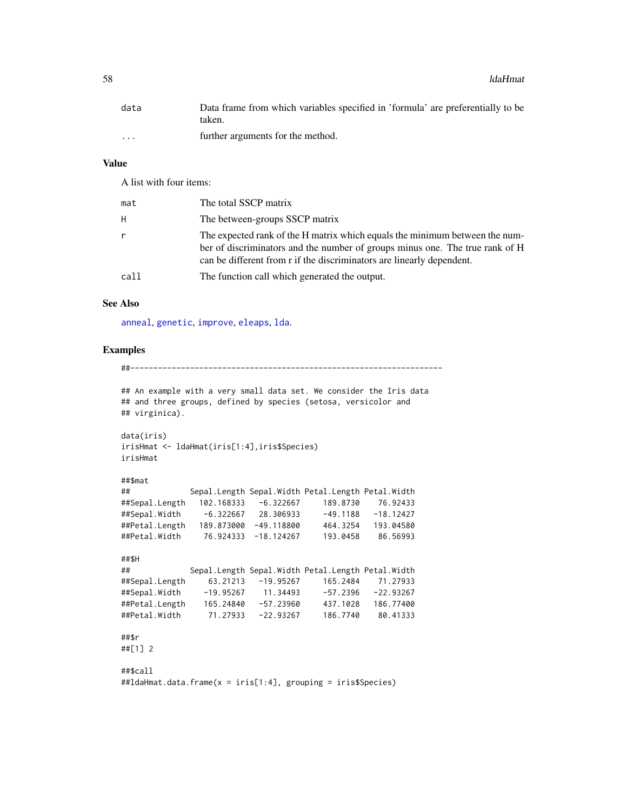58 ldaHmat and the control of the control of the control of the control of the control of the control of the control of the control of the control of the control of the control of the control of the control of the control

| data     | Data frame from which variables specified in 'formula' are preferentially to be |
|----------|---------------------------------------------------------------------------------|
|          | taken.                                                                          |
| $\cdots$ | further arguments for the method.                                               |

# Value

A list with four items:

| mat  | The total SSCP matrix                                                                                                                                                                                                                |
|------|--------------------------------------------------------------------------------------------------------------------------------------------------------------------------------------------------------------------------------------|
| H    | The between-groups SSCP matrix                                                                                                                                                                                                       |
|      | The expected rank of the H matrix which equals the minimum between the num-<br>ber of discriminators and the number of groups minus one. The true rank of H<br>can be different from r if the discriminators are linearly dependent. |
| call | The function call which generated the output.                                                                                                                                                                                        |

## See Also

[anneal](#page-1-0), [genetic](#page-28-0), [improve](#page-46-0), [eleaps](#page-14-0), [lda](#page-0-0).

### Examples

##--------------------------------------------------------------------

```
## An example with a very small data set. We consider the Iris data
## and three groups, defined by species (setosa, versicolor and
## virginica).
data(iris)
irisHmat <- ldaHmat(iris[1:4],iris$Species)
irisHmat
##$mat
## Sepal.Length Sepal.Width Petal.Length Petal.Width
##Sepal.Length 102.168333 -6.322667 189.8730 76.92433
##Sepal.Width -6.322667 28.306933 -49.1188 -18.12427
##Petal.Length 189.873000 -49.118800 464.3254 193.04580
##Petal.Width 76.924333 -18.124267 193.0458 86.56993
##$H
## Sepal.Length Sepal.Width Petal.Length Petal.Width
##Sepal.Length 63.21213 -19.95267 165.2484 71.27933
##Sepal.Width -19.95267 11.34493 -57.2396 -22.93267
##Petal.Length 165.24840 -57.23960 437.1028 186.77400
##Petal.Width 71.27933 -22.93267 186.7740 80.41333
##$r
##[1] 2
##$call
##ldaHmat.data.frame(x = iris[1:4], grouping = iris$Species)
```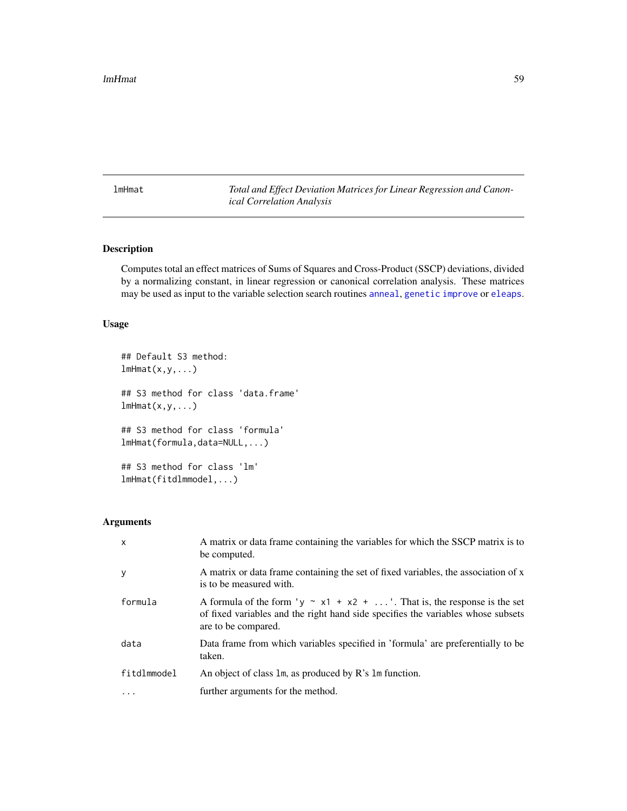<span id="page-58-0"></span>lmHmat *Total and Effect Deviation Matrices for Linear Regression and Canonical Correlation Analysis*

# Description

Computes total an effect matrices of Sums of Squares and Cross-Product (SSCP) deviations, divided by a normalizing constant, in linear regression or canonical correlation analysis. These matrices may be used as input to the variable selection search routines [anneal](#page-1-0), [genetic](#page-28-0) [improve](#page-46-0) or [eleaps](#page-14-0).

## Usage

```
## Default S3 method:
lmHmat(x,y,...)## S3 method for class 'data.frame'
lmHmat(x,y,...)## S3 method for class 'formula'
lmHmat(formula,data=NULL,...)
## S3 method for class 'lm'
lmHmat(fitdlmmodel,...)
```
# Arguments

| $\mathsf{x}$ | A matrix or data frame containing the variables for which the SSCP matrix is to<br>be computed.                                                                                           |
|--------------|-------------------------------------------------------------------------------------------------------------------------------------------------------------------------------------------|
| y            | A matrix or data frame containing the set of fixed variables, the association of x<br>is to be measured with.                                                                             |
| formula      | A formula of the form 'y $\sim x1 + x2 + $ '. That is, the response is the set<br>of fixed variables and the right hand side specifies the variables whose subsets<br>are to be compared. |
| data         | Data frame from which variables specified in 'formula' are preferentially to be<br>taken.                                                                                                 |
| fitdlmmodel  | An object of class 1m, as produced by R's 1m function.                                                                                                                                    |
| .            | further arguments for the method.                                                                                                                                                         |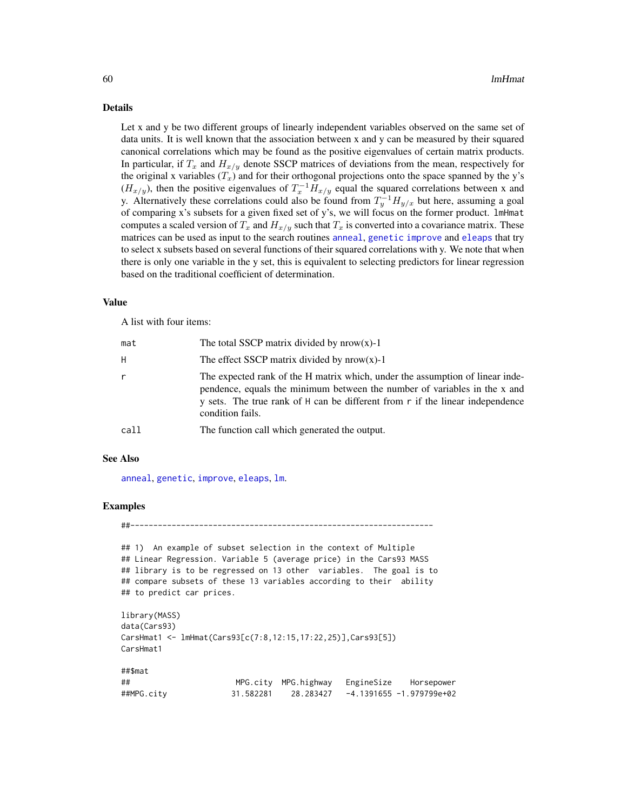## Details

Let x and y be two different groups of linearly independent variables observed on the same set of data units. It is well known that the association between x and y can be measured by their squared canonical correlations which may be found as the positive eigenvalues of certain matrix products. In particular, if  $T_x$  and  $H_{x/y}$  denote SSCP matrices of deviations from the mean, respectively for the original x variables  $(T_x)$  and for their orthogonal projections onto the space spanned by the y's  $(H_{x/y})$ , then the positive eigenvalues of  $T_x^{-1}H_{x/y}$  equal the squared correlations between x and y. Alternatively these correlations could also be found from  $T_y^{-1}H_{y/x}$  but here, assuming a goal of comparing x's subsets for a given fixed set of y's, we will focus on the former product. lmHmat computes a scaled version of  $T_x$  and  $H_{x/y}$  such that  $T_x$  is converted into a covariance matrix. These matrices can be used as input to the search routines [anneal](#page-1-0), [genetic](#page-28-0) [improve](#page-46-0) and [eleaps](#page-14-0) that try to select x subsets based on several functions of their squared correlations with y. We note that when there is only one variable in the y set, this is equivalent to selecting predictors for linear regression based on the traditional coefficient of determination.

#### Value

A list with four items:

| mat  | The total SSCP matrix divided by $nrow(x)-1$                                                                                                                                                                                                                    |
|------|-----------------------------------------------------------------------------------------------------------------------------------------------------------------------------------------------------------------------------------------------------------------|
| H    | The effect SSCP matrix divided by $nrow(x)-1$                                                                                                                                                                                                                   |
| r    | The expected rank of the H matrix which, under the assumption of linear inde-<br>pendence, equals the minimum between the number of variables in the x and<br>y sets. The true rank of H can be different from r if the linear independence<br>condition fails. |
| call | The function call which generated the output.                                                                                                                                                                                                                   |
|      |                                                                                                                                                                                                                                                                 |

## See Also

[anneal](#page-1-0), [genetic](#page-28-0), [improve](#page-46-0), [eleaps](#page-14-0), [lm](#page-0-0).

## Examples

##------------------------------------------------------------------

```
## 1) An example of subset selection in the context of Multiple
## Linear Regression. Variable 5 (average price) in the Cars93 MASS
## library is to be regressed on 13 other variables. The goal is to
## compare subsets of these 13 variables according to their ability
## to predict car prices.
```

```
library(MASS)
data(Cars93)
CarsHmat1 <- lmHmat(Cars93[c(7:8,12:15,17:22,25)],Cars93[5])
CarsHmat1
##$mat
```

```
## MPG.city MPG.highway EngineSize Horsepower
##MPG.city 31.582281 28.283427 -4.1391655 -1.979799e+02
```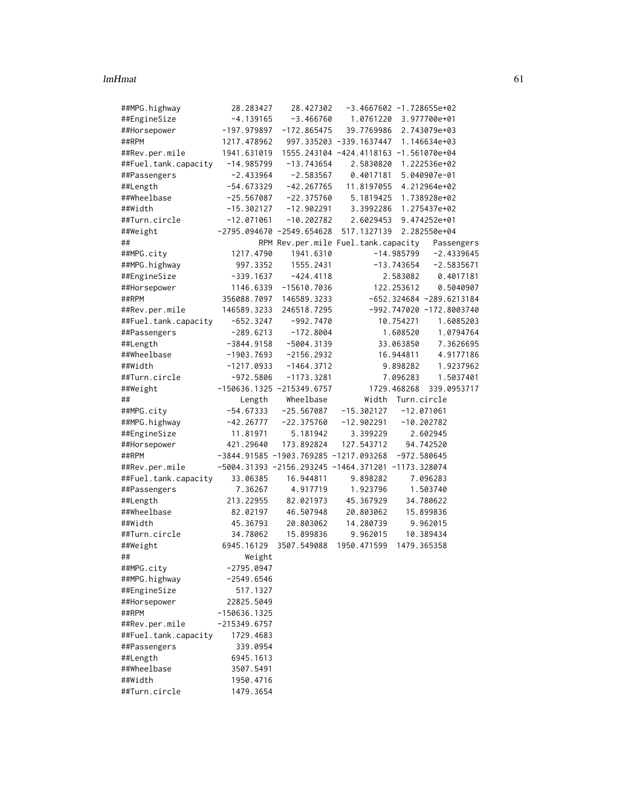### lmHmat 61

| ##MPG.highway        | 28.283427      | 28.427302                                          |                         | $-3.4667602 -1.728655e+02$             |
|----------------------|----------------|----------------------------------------------------|-------------------------|----------------------------------------|
| ##EngineSize         | $-4.139165$    | $-3.466760$                                        | 1.0761220               | 3.977700e+01                           |
| ##Horsepower         | $-197.979897$  | $-172.865475$                                      | 39.7769986              | 2.743079e+03                           |
| ##RPM                | 1217.478962    |                                                    | 997.335203 -339.1637447 | 1.146634e+03                           |
| ##Rev.per.mile       | 1941.631019    |                                                    |                         | 1555.243104 -424.4118163 -1.561070e+04 |
| ##Fuel.tank.capacity | $-14.985799$   | $-13.743654$                                       | 2.5830820               | 1.222536e+02                           |
| ##Passengers         | $-2.433964$    | $-2.583567$                                        | 0.4017181               | 5.040907e-01                           |
| ##Length             | $-54.673329$   | $-42.267765$                                       | 11.8197055              | 4.212964e+02                           |
| ##Wheelbase          | $-25.567087$   | $-22.375760$                                       | 5.1819425               | 1.738928e+02                           |
| ##Width              | $-15.302127$   | $-12.902291$                                       | 3.3992286               | 1.275437e+02                           |
| ##Turn.circle        | $-12.071061$   | $-10.202782$                                       | 2.6029453               | 9.474252e+01                           |
| ##Weight             |                | $-2795.094670 - 2549.654628$                       | 517.1327139             | 2.282550e+04                           |
| ##                   |                | RPM Rev.per.mile Fuel.tank.capacity                |                         | Passengers                             |
| ##MPG.city           | 1217.4790      | 1941.6310                                          |                         | $-14.985799$<br>$-2.4339645$           |
| ##MPG.highway        | 997.3352       | 1555.2431                                          |                         | $-13.743654$<br>$-2.5835671$           |
| ##EngineSize         | $-339.1637$    | $-424.4118$                                        |                         | 2.583082<br>0.4017181                  |
| ##Horsepower         | 1146.6339      | $-15610.7036$                                      |                         | 122.253612<br>0.5040907                |
| ##RPM                | 356088.7097    | 146589.3233                                        |                         | $-652.324684 - 289.6213184$            |
| ##Rev.per.mile       | 146589.3233    | 246518.7295                                        |                         | $-992.747020 -172.8003740$             |
| ##Fuel.tank.capacity | $-652.3247$    | $-992.7470$                                        |                         | 10.754271<br>1.6085203                 |
| ##Passengers         | $-289.6213$    | $-172.8004$                                        |                         | 1.608520<br>1.0794764                  |
| ##Length             | $-3844.9158$   | $-5004.3139$                                       |                         | 33.063850<br>7.3626695                 |
| ##Wheelbase          | $-1903.7693$   | $-2156.2932$                                       |                         | 16.944811<br>4.9177186                 |
| ##Width              | $-1217.0933$   | $-1464.3712$                                       |                         | 9.898282<br>1.9237962                  |
| ##Turn.circle        | $-972.5806$    | $-1173.3281$                                       |                         | 1.5037401<br>7.096283                  |
| ##Weight             |                | $-150636.1325 -215349.6757$                        |                         | 1729.468268<br>339.0953717             |
| ##                   | Length         | Wheelbase                                          | Width                   | Turn.circle                            |
| ##MPG.city           | $-54.67333$    | $-25.567087$                                       | $-15.302127$            | $-12.071061$                           |
| ##MPG.highway        | $-42.26777$    | $-22.375760$                                       | $-12.902291$            | $-10.202782$                           |
| ##EngineSize         | 11.81971       | 5.181942                                           | 3.399229                | 2.602945                               |
| ##Horsepower         | 421.29640      | 173.892824                                         | 127.543712              | 94.742520                              |
| ##RPM                |                | $-3844.91585 -1903.769285 -1217.093268$            |                         | $-972.580645$                          |
| ##Rev.per.mile       |                | -5004.31393 -2156.293245 -1464.371201 -1173.328074 |                         |                                        |
| ##Fuel.tank.capacity | 33.06385       | 16.944811                                          | 9.898282                | 7.096283                               |
| ##Passengers         | 7.36267        | 4.917719                                           | 1.923796                | 1.503740                               |
| ##Length             | 213.22955      | 82.021973                                          | 45.367929               | 34.780622                              |
| ##Wheelbase          | 82.02197       | 46.507948                                          | 20.803062               | 15.899836                              |
| ##Width              | 45.36793       | 20.803062                                          | 14.280739               | 9.962015                               |
| ##Turn.circle        | 34.78062       | 15.899836                                          | 9.962015                | 10.389434                              |
|                      | 6945.16129     | 3507.549088                                        | 1950.471599             |                                        |
| ##Weight             |                |                                                    |                         | 1479.365358                            |
| ##                   | Weight         |                                                    |                         |                                        |
| ##MPG.city           | $-2795.0947$   |                                                    |                         |                                        |
| ##MPG.highway        | $-2549.6546$   |                                                    |                         |                                        |
| ##EngineSize         | 517.1327       |                                                    |                         |                                        |
| ##Horsepower         | 22825.5049     |                                                    |                         |                                        |
| ##RPM                | -150636.1325   |                                                    |                         |                                        |
| ##Rev.per.mile       | $-215349.6757$ |                                                    |                         |                                        |
| ##Fuel.tank.capacity | 1729.4683      |                                                    |                         |                                        |
| ##Passengers         | 339.0954       |                                                    |                         |                                        |
| ##Length             | 6945.1613      |                                                    |                         |                                        |
| ##Wheelbase          | 3507.5491      |                                                    |                         |                                        |
| ##Width              | 1950.4716      |                                                    |                         |                                        |
| ##Turn.circle        | 1479.3654      |                                                    |                         |                                        |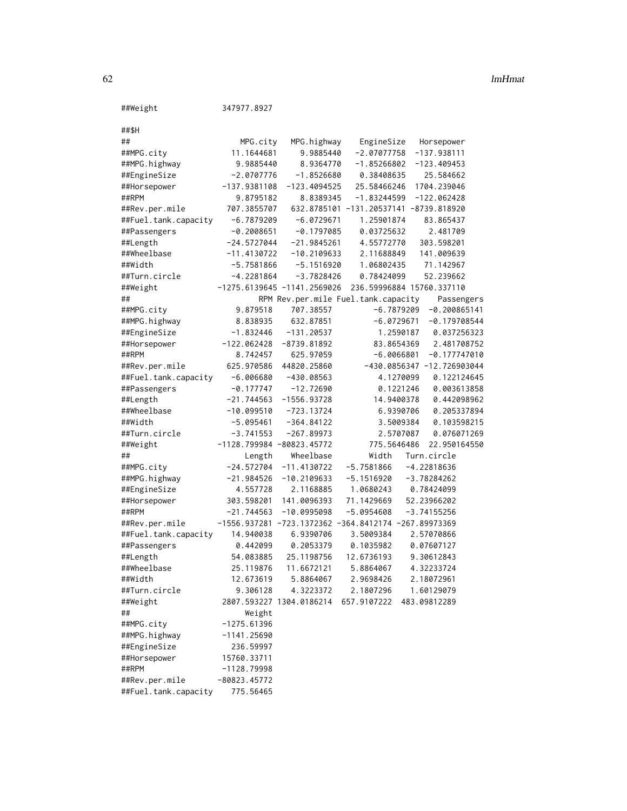### 62 **ImHmat**

| ##Weight                      | 347977.8927                   |                               |                                                         |                              |
|-------------------------------|-------------------------------|-------------------------------|---------------------------------------------------------|------------------------------|
| ##\$H                         |                               |                               |                                                         |                              |
| ##                            |                               |                               |                                                         |                              |
| ##MPG.city                    | MPG.city<br>11.1644681        | MPG.highway<br>9.9885440      | EngineSize<br>$-2.07077758$                             | Horsepower<br>$-137.938111$  |
|                               | 9.9885440                     | 8.9364770                     | $-1.85266802$                                           | $-123.409453$                |
| ##MPG.highway<br>##EngineSize | $-2.0707776$                  | $-1.8526680$                  | 0.38408635                                              |                              |
|                               | $-137.9381108$                | $-123.4094525$                | 25.58466246                                             | 25.584662<br>1704.239046     |
| ##Horsepower<br>##RPM         |                               |                               |                                                         |                              |
|                               | 9.8795182<br>707.3855707      | 8.8389345                     | $-1.83244599$<br>632.8785101 -131.20537141 -8739.818920 | $-122.062428$                |
| ##Rev.per.mile                |                               | $-6.0729671$                  |                                                         |                              |
| ##Fuel.tank.capacity          | $-6.7879209$                  | $-0.1797085$                  | 1.25901874                                              | 83.865437                    |
| ##Passengers                  | $-0.2008651$<br>$-24.5727044$ | $-21.9845261$                 | 0.03725632<br>4.55772770                                | 2.481709                     |
| ##Length<br>##Wheelbase       |                               | $-10.2109633$                 | 2.11688849                                              | 303.598201                   |
|                               | $-11.4130722$                 |                               |                                                         | 141.009639                   |
| ##Width                       | $-5.7581866$                  | $-5.1516920$                  | 1.06802435                                              | 71.142967                    |
| ##Turn.circle                 | $-4.2281864$                  | $-3.7828426$                  | 0.78424099                                              | 52.239662                    |
| ##Weight                      |                               | $-1275.6139645 -1141.2569026$ |                                                         | 236.59996884 15760.337110    |
| ##                            |                               |                               | RPM Rev.per.mile Fuel.tank.capacity                     | Passengers                   |
| ##MPG.city                    | 9.879518                      | 707.38557                     | $-6.7879209$                                            | $-0.200865141$               |
| ##MPG.highway                 | 8.838935                      | 632.87851                     | $-6.0729671$                                            | $-0.179708544$               |
| ##EngineSize                  | $-1.832446$                   | $-131.20537$                  | 1.2590187                                               | 0.037256323                  |
| ##Horsepower                  | $-122.062428$                 | $-8739.81892$                 | 83.8654369                                              | 2.481708752                  |
| ##RPM                         | 8.742457                      | 625.97059                     | $-6.0066801$                                            | $-0.177747010$               |
| ##Rev.per.mile                | 625.970586                    | 44820.25860                   |                                                         | $-430.0856347 -12.726903044$ |
| ##Fuel.tank.capacity          | $-6.006680$                   | $-430.08563$                  | 4.1270099                                               | 0.122124645                  |
| ##Passengers                  | $-0.177747$                   | $-12.72690$                   | 0.1221246                                               | 0.003613858                  |
| ##Length                      | $-21.744563$                  | $-1556.93728$                 | 14.9400378                                              | 0.442098962                  |
| ##Wheelbase                   | $-10.099510$                  | $-723.13724$                  | 6.9390706                                               | 0.205337894                  |
| ##Width                       | $-5.095461$                   | $-364.84122$                  | 3.5009384                                               | 0.103598215                  |
| ##Turn.circle                 | $-3.741553$                   | $-267.89973$                  | 2.5707087                                               | 0.076071269                  |
| ##Weight                      | $-1128.799984 -80823.45772$   |                               | 775.5646486                                             | 22.950164550                 |
| ##                            | Length                        | Wheelbase                     | Width                                                   | Turn.circle                  |
| ##MPG.city                    | $-24.572704$                  | $-11.4130722$                 | $-5.7581866$                                            | $-4.22818636$                |
| ##MPG.highway                 | $-21.984526$                  | $-10.2109633$                 | $-5.1516920$                                            | $-3.78284262$                |
| ##EngineSize                  | 4.557728                      | 2.1168885                     | 1.0680243                                               | 0.78424099                   |
| ##Horsepower                  | 303.598201                    | 141.0096393                   | 71.1429669                                              | 52.23966202                  |
| ##RPM                         | $-21.744563$                  | $-10.0995098$                 | $-5.0954608$                                            | $-3.74155256$                |
| ##Rev.per.mile                |                               |                               | $-1556.937281 -723.1372362 -364.8412174 -267.89973369$  |                              |
| ##Fuel.tank.capacity          | 14.940038                     | 6.9390706                     | 3.5009384                                               | 2.57070866                   |
| ##Passengers                  | 0.442099                      | 0.2053379                     | 0.1035982                                               | 0.07607127                   |
| ##Length                      | 54.083885                     | 25.1198756                    | 12.6736193                                              | 9.30612843                   |
| ##Wheelbase                   | 25.119876                     | 11.6672121                    | 5.8864067                                               | 4.32233724                   |
| ##Width                       | 12.673619                     | 5.8864067                     | 2.9698426                                               | 2.18072961                   |
| ##Turn.circle                 | 9.306128                      | 4.3223372                     | 2.1807296                                               | 1.60129079                   |
| ##Weight                      | 2807.593227 1304.0186214      |                               | 657.9107222                                             | 483.09812289                 |
| ##                            | Weight                        |                               |                                                         |                              |
| ##MPG.city                    | $-1275.61396$                 |                               |                                                         |                              |
| ##MPG.highway                 | $-1141.25690$                 |                               |                                                         |                              |
| ##EngineSize                  | 236.59997                     |                               |                                                         |                              |
| ##Horsepower                  | 15760.33711                   |                               |                                                         |                              |
| ##RPM                         | $-1128.79998$                 |                               |                                                         |                              |
| ##Rev.per.mile                | $-80823.45772$                |                               |                                                         |                              |
| ##Fuel.tank.capacity          | 775.56465                     |                               |                                                         |                              |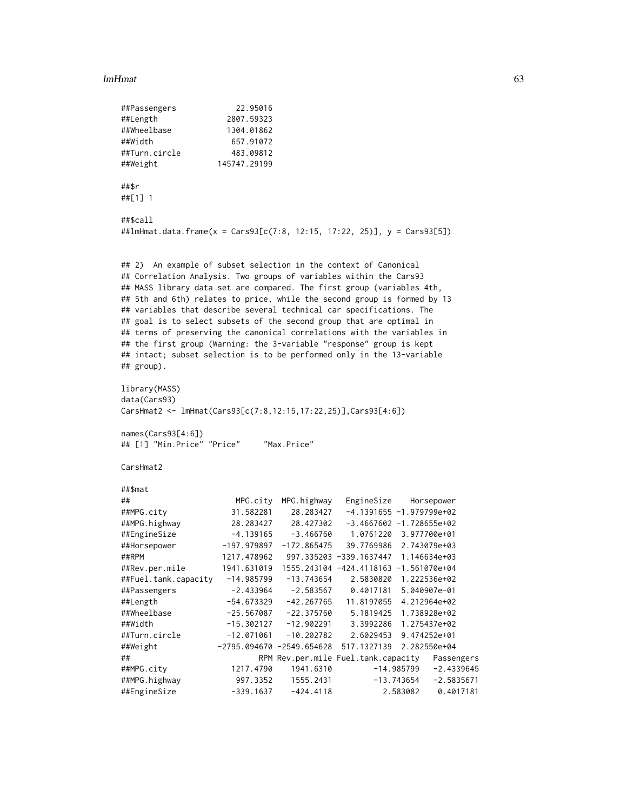### lmHmat 63

```
##Passengers 22.95016
##Length 2807.59323
##Wheelbase 1304.01862
##Width 657.91072
##Turn.circle 483.09812
##Weight 145747.29199
##$r
##[1] 1
##$call
##lmHmat.data.frame(x = Cars93[c(7:8, 12:15, 17:22, 25)], y = Cars93[5])
## 2) An example of subset selection in the context of Canonical
## Correlation Analysis. Two groups of variables within the Cars93
## MASS library data set are compared. The first group (variables 4th,
## 5th and 6th) relates to price, while the second group is formed by 13
## variables that describe several technical car specifications. The
## goal is to select subsets of the second group that are optimal in
## terms of preserving the canonical correlations with the variables in
## the first group (Warning: the 3-variable "response" group is kept
## intact; subset selection is to be performed only in the 13-variable
## group).
library(MASS)
data(Cars93)
CarsHmat2 <- lmHmat(Cars93[c(7:8,12:15,17:22,25)],Cars93[4:6])
names(Cars93[4:6])
## [1] "Min.Price" "Price" "Max.Price"
CarsHmat2
##$mat
## MPG.city MPG.highway EngineSize Horsepower
##MPG.city 31.582281 28.283427 -4.1391655 -1.979799e+02
##MPG.highway 28.283427 28.427302 -3.4667602 -1.728655e+02
##EngineSize -4.139165 -3.466760 1.0761220 3.977700e+01
##Horsepower -197.979897 -172.865475 39.7769986 2.743079e+03
##RPM 1217.478962 997.335203 -339.1637447 1.146634e+03
##Rev.per.mile 1941.631019 1555.243104 -424.4118163 -1.561070e+04
##Fuel.tank.capacity -14.985799 -13.743654 2.5830820 1.222536e+02
##Passengers -2.433964 -2.583567 0.4017181 5.040907e-01
##Length -54.673329 -42.267765 11.8197055 4.212964e+02
##Wheelbase -25.567087 -22.375760 5.1819425 1.738928e+02
##Width -15.302127 -12.902291 3.3992286 1.275437e+02
##Turn.circle -12.071061 -10.202782 2.6029453 9.474252e+01
##Weight -2795.094670 -2549.654628 517.1327139 2.282550e+04
## RPM Rev.per.mile Fuel.tank.capacity Passengers
##MPG.city 1217.4790 1941.6310 -14.985799 -2.4339645
##MPG.highway 997.3352 1555.2431 -13.743654 -2.5835671
##EngineSize -339.1637 -424.4118 2.583082 0.4017181
```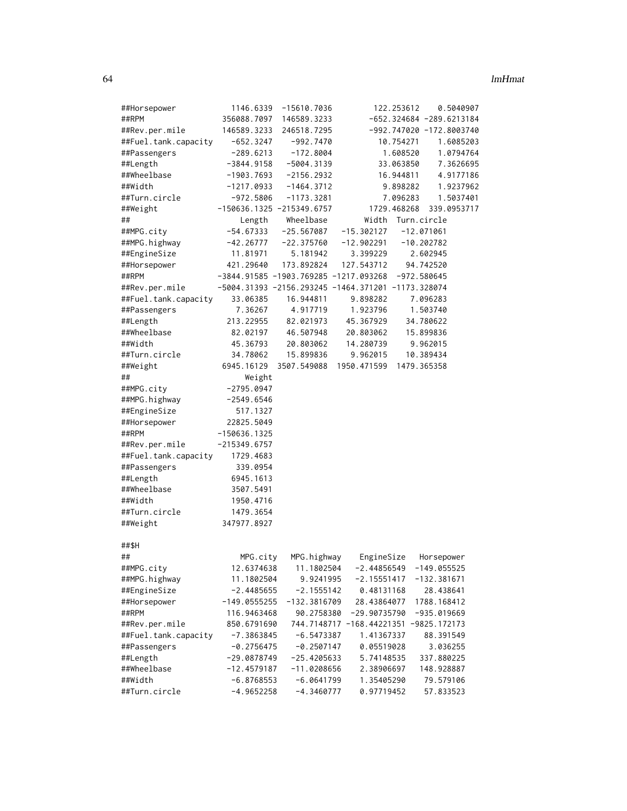| ##Horsepower         | 1146.6339                     | -15610.7036                                        |                           | 122.253612  | 0.5040907                  |  |
|----------------------|-------------------------------|----------------------------------------------------|---------------------------|-------------|----------------------------|--|
| ##RPM                | 356088.7097                   | 146589.3233                                        |                           |             | $-652.324684 -289.6213184$ |  |
| ##Rev.per.mile       | 146589.3233                   | 246518.7295                                        |                           |             | $-992.747020 -172.8003740$ |  |
| ##Fuel.tank.capacity | $-652.3247$                   | $-992.7470$                                        |                           | 10.754271   | 1.6085203                  |  |
| ##Passengers         | $-289.6213$                   | $-172.8004$                                        |                           | 1.608520    | 1.0794764                  |  |
| ##Length             | $-3844.9158$                  | $-5004.3139$                                       |                           | 33.063850   | 7.3626695                  |  |
| ##Wheelbase          | -1903.7693                    | $-2156.2932$                                       |                           | 16.944811   | 4.9177186                  |  |
| ##Width              | $-1217.0933$                  | $-1464.3712$                                       |                           | 9.898282    | 1.9237962                  |  |
| ##Turn.circle        | $-972.5806$                   | $-1173.3281$                                       |                           | 7.096283    | 1.5037401                  |  |
| ##Weight             |                               | $-150636.1325 -215349.6757$                        |                           | 1729.468268 | 339.0953717                |  |
| ##                   | Length                        | Wheelbase                                          | Width                     | Turn.circle |                            |  |
| ##MPG.city           | $-54.67333$                   | $-25.567087$                                       | $-15.302127$              |             | $-12.071061$               |  |
| ##MPG.highway        | $-42.26777$                   | $-22.375760$                                       | $-12.902291$              |             | $-10.202782$               |  |
| ##EngineSize         | 11.81971                      | 5.181942                                           | 3.399229                  |             | 2.602945                   |  |
| ##Horsepower         | 421.29640                     | 173.892824                                         | 127.543712                |             | 94.742520                  |  |
| ##RPM                |                               | $-3844.91585 -1903.769285 -1217.093268$            |                           | -972.580645 |                            |  |
| ##Rev.per.mile       |                               | -5004.31393 -2156.293245 -1464.371201 -1173.328074 |                           |             |                            |  |
| ##Fuel.tank.capacity | 33.06385                      | 16.944811                                          | 9.898282                  |             | 7.096283                   |  |
| ##Passengers         | 7.36267                       | 4.917719                                           | 1.923796                  |             | 1.503740                   |  |
| ##Length             | 213.22955                     | 82.021973                                          | 45.367929                 |             | 34.780622                  |  |
| ##Wheelbase          | 82.02197                      | 46.507948                                          | 20.803062                 |             | 15.899836                  |  |
| ##Width              | 45.36793                      | 20.803062                                          | 14.280739                 |             | 9.962015                   |  |
| ##Turn.circle        | 34.78062                      | 15.899836                                          | 9.962015                  |             | 10.389434                  |  |
| ##Weight             | 6945.16129                    | 3507.549088                                        | 1950.471599               | 1479.365358 |                            |  |
| ##                   | Weight                        |                                                    |                           |             |                            |  |
| ##MPG.city           | $-2795.0947$                  |                                                    |                           |             |                            |  |
| ##MPG.highway        | $-2549.6546$                  |                                                    |                           |             |                            |  |
| ##EngineSize         | 517.1327                      |                                                    |                           |             |                            |  |
| ##Horsepower         | 22825.5049                    |                                                    |                           |             |                            |  |
| ##RPM                | -150636.1325                  |                                                    |                           |             |                            |  |
| ##Rev.per.mile       | $-215349.6757$                |                                                    |                           |             |                            |  |
| ##Fuel.tank.capacity | 1729.4683                     |                                                    |                           |             |                            |  |
| ##Passengers         | 339.0954                      |                                                    |                           |             |                            |  |
| ##Length             | 6945.1613                     |                                                    |                           |             |                            |  |
| ##Wheelbase          | 3507.5491                     |                                                    |                           |             |                            |  |
| ##Width              | 1950.4716                     |                                                    |                           |             |                            |  |
| ##Turn.circle        | 1479.3654                     |                                                    |                           |             |                            |  |
| ##Weight             | 347977.8927                   |                                                    |                           |             |                            |  |
|                      |                               |                                                    |                           |             |                            |  |
| ##\$H                |                               |                                                    |                           |             |                            |  |
| ##                   | MPG.city                      | MPG.highway                                        | EngineSize                |             | Horsepower                 |  |
| ##MPG.city           | 12.6374638                    | 11.1802504                                         | $-2.44856549$             |             | -149.055525                |  |
| ##MPG.highway        | 11.1802504                    | 9.9241995                                          | $-2.15551417$             |             | $-132.381671$              |  |
| ##EngineSize         | $-2.4485655$                  | $-2.1555142$                                       | 0.48131168                |             | 28.438641                  |  |
| ##Horsepower         | $-149.0555255$                | $-132.3816709$                                     | 28.43864077               |             | 1788.168412                |  |
| ##RPM                | 116.9463468                   | 90.2758380                                         | $-29.90735790$            |             | $-935.019669$              |  |
| ##Rev.per.mile       | 850.6791690                   |                                                    | 744.7148717 -168.44221351 |             | -9825.172173               |  |
| ##Fuel.tank.capacity | $-7.3863845$                  | $-6.5473387$                                       | 1.41367337                |             | 88.391549                  |  |
| ##Passengers         |                               |                                                    | 0.05519028                |             |                            |  |
| ##Length             | $-0.2756475$<br>$-29.0878749$ | $-0.2507147$                                       |                           |             | 3.036255<br>337.880225     |  |
|                      |                               | $-25.4205633$                                      | 5.74148535                |             |                            |  |
| ##Wheelbase          | $-12.4579187$                 | $-11.0208656$                                      | 2.38906697                |             | 148.928887                 |  |
| ##Width              | $-6.8768553$                  | $-6.0641799$                                       | 1.35405290                |             | 79.579106                  |  |
| ##Turn.circle        | $-4.9652258$                  | $-4.3460777$                                       | 0.97719452                |             | 57.833523                  |  |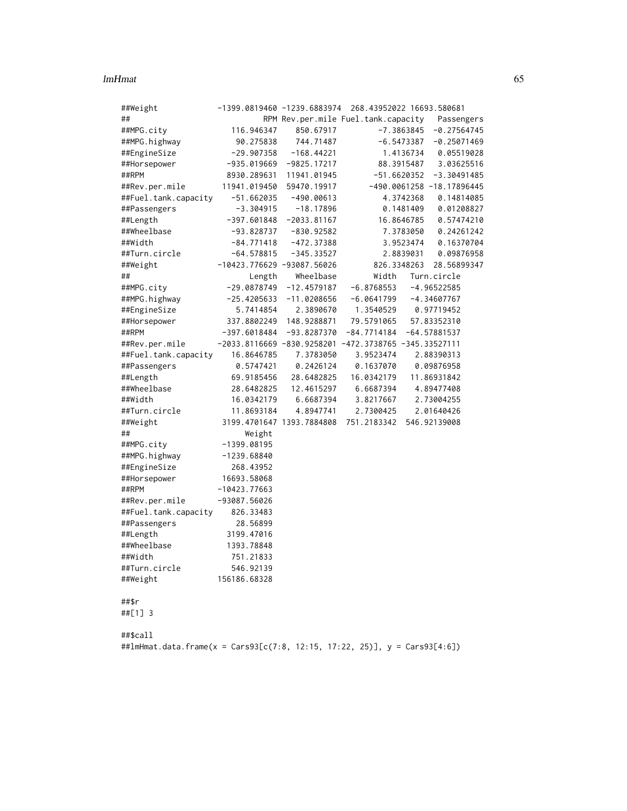### lmHmat 65

| ##Weight                                                                   | -1399.0819460 -1239.6883974                             |                              |               | 268.43952022 16693.580681                      |
|----------------------------------------------------------------------------|---------------------------------------------------------|------------------------------|---------------|------------------------------------------------|
| ##                                                                         |                                                         |                              |               | RPM Rev.per.mile Fuel.tank.capacity Passengers |
| ##MPG.city                                                                 | 116.946347                                              | 850.67917                    |               | $-7.3863845$<br>$-0.27564745$                  |
| ##MPG.highway                                                              | 90.275838                                               | 744.71487                    |               | $-6.5473387$<br>$-0.25071469$                  |
| ##EngineSize                                                               | -29.907358                                              | $-168.44221$                 |               | 1.4136734<br>0.05519028                        |
| ##Horsepower                                                               | $-935.019669$                                           | $-9825.17217$                |               | 3.03625516<br>88.3915487                       |
| ##RPM                                                                      | 8930.289631                                             | 11941.01945                  | $-51.6620352$ | $-3.30491485$                                  |
| ##Rev.per.mile                                                             | 11941.019450                                            | 59470.19917                  |               | -490.0061258 -18.17896445                      |
| ##Fuel.tank.capacity                                                       | $-51.662035$                                            | $-490.00613$                 |               | 4.3742368<br>0.14814085                        |
| ##Passengers                                                               | -3.304915                                               | $-18.17896$                  |               | 0.1481409<br>0.01208827                        |
| ##Length                                                                   | $-397.601848$                                           | $-2033.81167$                |               | 16.8646785<br>0.57474210                       |
| ##Wheelbase                                                                | -93.828737                                              | $-830.92582$                 |               | 7.3783050<br>0.24261242                        |
| ##Width                                                                    | -84.771418                                              |                              |               | 0.16370704<br>3.9523474                        |
| ##Turn.circle                                                              | $-64.578815$                                            | $-472.37388$<br>$-345.33527$ |               | 2.8839031<br>0.09876958                        |
|                                                                            |                                                         |                              |               |                                                |
| ##Weight                                                                   | $-10423.776629 -93087.56026$                            |                              | 826.3348263   | 28.56899347                                    |
| ##                                                                         | Length                                                  | Wheelbase                    | Width         | Turn.circle                                    |
| ##MPG.city                                                                 | $-29.0878749$                                           | $-12.4579187$                | $-6.8768553$  | $-4.96522585$                                  |
| ##MPG.highway                                                              | $-25.4205633$                                           | $-11.0208656$                | -6.0641799    | $-4.34607767$                                  |
| ##EngineSize                                                               | 5.7414854                                               | 2.3890670                    | 1.3540529     | 0.97719452                                     |
| ##Horsepower                                                               | 337.8802249                                             | 148.9288871                  | 79.5791065    | 57.83352310                                    |
| ##RPM                                                                      | $-397.6018484$                                          | $-93.8287370$                | $-84.7714184$ | $-64.57881537$                                 |
| ##Rev.per.mile                                                             | $-2033.8116669 -830.9258201 -472.3738765 -345.33527111$ |                              |               |                                                |
| ##Fuel.tank.capacity                                                       | 16.8646785                                              | 7.3783050                    | 3.9523474     | 2.88390313                                     |
| ##Passengers                                                               | 0.5747421                                               | 0.2426124                    | 0.1637070     | 0.09876958                                     |
| ##Length                                                                   | 69.9185456                                              | 28.6482825                   | 16.0342179    | 11.86931842                                    |
| ##Wheelbase                                                                | 28.6482825                                              | 12.4615297                   | 6.6687394     | 4.89477408                                     |
| ##Width                                                                    | 16.0342179                                              | 6.6687394                    | 3.8217667     | 2.73004255                                     |
| ##Turn.circle                                                              | 11.8693184                                              | 4.8947741                    | 2.7300425     | 2.01640426                                     |
| ##Weight                                                                   |                                                         | 3199.4701647 1393.7884808    | 751.2183342   | 546.92139008                                   |
| ##                                                                         | Weight                                                  |                              |               |                                                |
| ##MPG.city                                                                 | $-1399.08195$                                           |                              |               |                                                |
| ##MPG.highway                                                              | $-1239.68840$                                           |                              |               |                                                |
| ##EngineSize                                                               | 268.43952                                               |                              |               |                                                |
| ##Horsepower                                                               | 16693.58068                                             |                              |               |                                                |
| ##RPM                                                                      | $-10423.77663$                                          |                              |               |                                                |
| ##Rev.per.mile                                                             | $-93087.56026$                                          |                              |               |                                                |
| ##Fuel.tank.capacity                                                       | 826.33483                                               |                              |               |                                                |
| ##Passengers                                                               | 28.56899                                                |                              |               |                                                |
| ##Length                                                                   | 3199.47016                                              |                              |               |                                                |
| ##Wheelbase                                                                | 1393.78848                                              |                              |               |                                                |
| ##Width                                                                    | 751.21833                                               |                              |               |                                                |
| ##Turn.circle                                                              | 546.92139                                               |                              |               |                                                |
| ##Weight                                                                   | 156186.68328                                            |                              |               |                                                |
|                                                                            |                                                         |                              |               |                                                |
| ##\$r                                                                      |                                                         |                              |               |                                                |
| ##[1] 3                                                                    |                                                         |                              |               |                                                |
|                                                                            |                                                         |                              |               |                                                |
| ##\$call                                                                   |                                                         |                              |               |                                                |
| ##1mHmat.data.frame(x = Cars93[c(7:8, 12:15, 17:22, 25)], y = Cars93[4:6]) |                                                         |                              |               |                                                |
|                                                                            |                                                         |                              |               |                                                |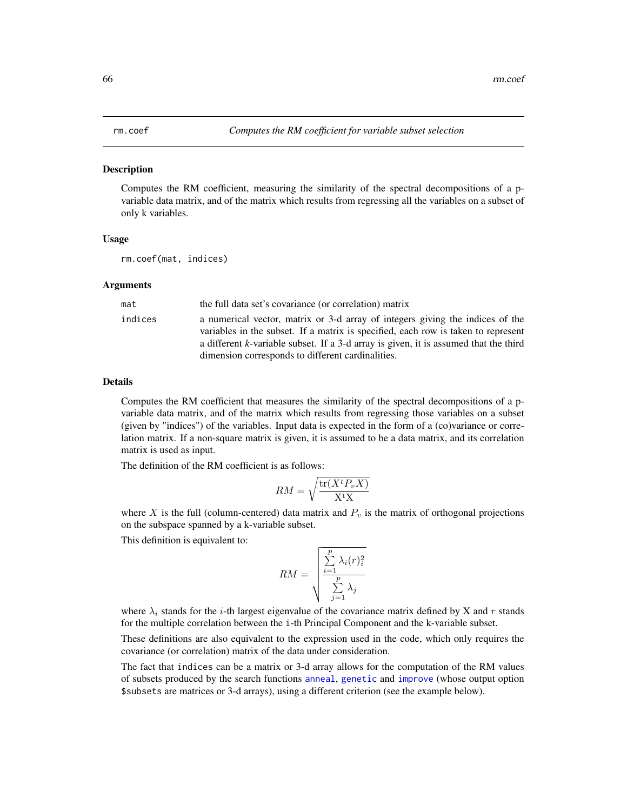## <span id="page-65-0"></span>Description

Computes the RM coefficient, measuring the similarity of the spectral decompositions of a pvariable data matrix, and of the matrix which results from regressing all the variables on a subset of only k variables.

#### Usage

rm.coef(mat, indices)

## Arguments

| mat     | the full data set's covariance (or correlation) matrix                                                                                                                                                                                                                                                          |
|---------|-----------------------------------------------------------------------------------------------------------------------------------------------------------------------------------------------------------------------------------------------------------------------------------------------------------------|
| indices | a numerical vector, matrix or 3-d array of integers giving the indices of the<br>variables in the subset. If a matrix is specified, each row is taken to represent<br>a different k-variable subset. If a 3-d array is given, it is assumed that the third<br>dimension corresponds to different cardinalities. |

# Details

Computes the RM coefficient that measures the similarity of the spectral decompositions of a pvariable data matrix, and of the matrix which results from regressing those variables on a subset (given by "indices") of the variables. Input data is expected in the form of a (co)variance or correlation matrix. If a non-square matrix is given, it is assumed to be a data matrix, and its correlation matrix is used as input.

The definition of the RM coefficient is as follows:

$$
RM = \sqrt{\frac{\text{tr}(X^t P_v X)}{X^t X}}
$$

where X is the full (column-centered) data matrix and  $P<sub>v</sub>$  is the matrix of orthogonal projections on the subspace spanned by a k-variable subset.

This definition is equivalent to:

$$
RM = \sqrt{\frac{\sum_{i=1}^{p} \lambda_i(r)_i^2}{\sum_{j=1}^{p} \lambda_j}}
$$

where  $\lambda_i$  stands for the *i*-th largest eigenvalue of the covariance matrix defined by X and r stands for the multiple correlation between the i-th Principal Component and the k-variable subset.

These definitions are also equivalent to the expression used in the code, which only requires the covariance (or correlation) matrix of the data under consideration.

The fact that indices can be a matrix or 3-d array allows for the computation of the RM values of subsets produced by the search functions [anneal](#page-1-0), [genetic](#page-28-0) and [improve](#page-46-0) (whose output option \$subsets are matrices or 3-d arrays), using a different criterion (see the example below).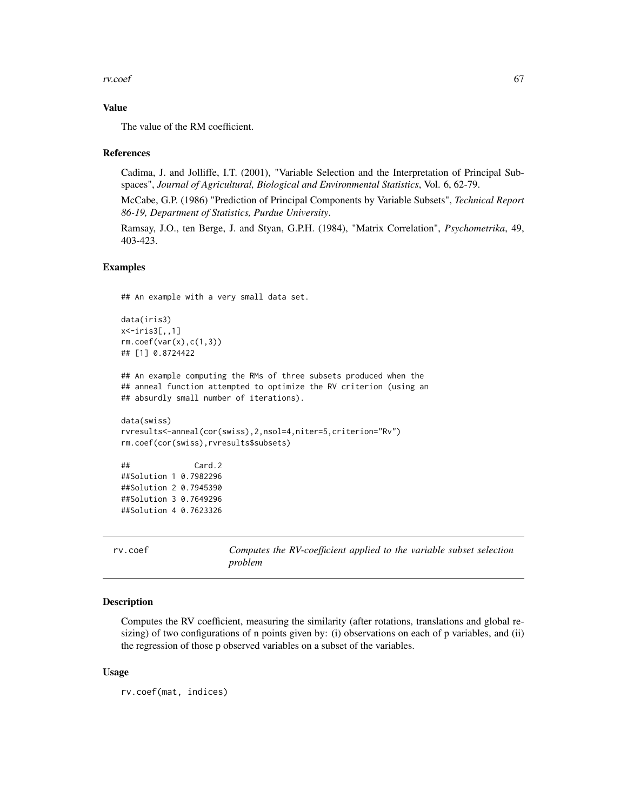### rv.coef 67

## Value

The value of the RM coefficient.

## References

Cadima, J. and Jolliffe, I.T. (2001), "Variable Selection and the Interpretation of Principal Subspaces", *Journal of Agricultural, Biological and Environmental Statistics*, Vol. 6, 62-79.

McCabe, G.P. (1986) "Prediction of Principal Components by Variable Subsets", *Technical Report 86-19, Department of Statistics, Purdue University*.

Ramsay, J.O., ten Berge, J. and Styan, G.P.H. (1984), "Matrix Correlation", *Psychometrika*, 49, 403-423.

## Examples

## An example with a very small data set.

```
data(iris3)
x<-iris3[,,1]
rm.coef(var(x),c(1,3))## [1] 0.8724422
```
## An example computing the RMs of three subsets produced when the ## anneal function attempted to optimize the RV criterion (using an ## absurdly small number of iterations).

```
data(swiss)
rvresults<-anneal(cor(swiss),2,nsol=4,niter=5,criterion="Rv")
rm.coef(cor(swiss),rvresults$subsets)
```
## Card.2 ##Solution 1 0.7982296 ##Solution 2 0.7945390 ##Solution 3 0.7649296 ##Solution 4 0.7623326

<span id="page-66-0"></span>rv.coef *Computes the RV-coefficient applied to the variable subset selection problem*

## Description

Computes the RV coefficient, measuring the similarity (after rotations, translations and global resizing) of two configurations of n points given by: (i) observations on each of p variables, and (ii) the regression of those p observed variables on a subset of the variables.

#### Usage

rv.coef(mat, indices)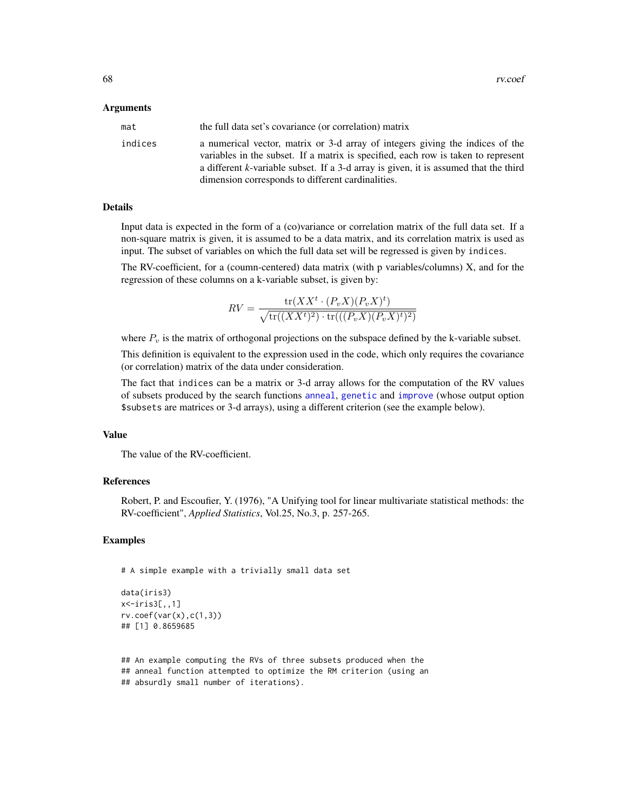### Arguments

| mat     | the full data set's covariance (or correlation) matrix                                                                                                                                                                                                                                                          |
|---------|-----------------------------------------------------------------------------------------------------------------------------------------------------------------------------------------------------------------------------------------------------------------------------------------------------------------|
| indices | a numerical vector, matrix or 3-d array of integers giving the indices of the<br>variables in the subset. If a matrix is specified, each row is taken to represent<br>a different k-variable subset. If a 3-d array is given, it is assumed that the third<br>dimension corresponds to different cardinalities. |

### Details

Input data is expected in the form of a (co)variance or correlation matrix of the full data set. If a non-square matrix is given, it is assumed to be a data matrix, and its correlation matrix is used as input. The subset of variables on which the full data set will be regressed is given by indices.

The RV-coefficient, for a (coumn-centered) data matrix (with p variables/columns) X, and for the regression of these columns on a k-variable subset, is given by:

$$
RV = \frac{\text{tr}(XX^t \cdot (P_v X)(P_v X)^t)}{\sqrt{\text{tr}((XX^t)^2) \cdot \text{tr}(((P_v X)(P_v X)^t)^2)}}
$$

where  $P<sub>v</sub>$  is the matrix of orthogonal projections on the subspace defined by the k-variable subset.

This definition is equivalent to the expression used in the code, which only requires the covariance (or correlation) matrix of the data under consideration.

The fact that indices can be a matrix or 3-d array allows for the computation of the RV values of subsets produced by the search functions [anneal](#page-1-0), [genetic](#page-28-0) and [improve](#page-46-0) (whose output option \$subsets are matrices or 3-d arrays), using a different criterion (see the example below).

#### Value

The value of the RV-coefficient.

## References

Robert, P. and Escoufier, Y. (1976), "A Unifying tool for linear multivariate statistical methods: the RV-coefficient", *Applied Statistics*, Vol.25, No.3, p. 257-265.

## Examples

```
# A simple example with a trivially small data set
```

```
data(iris3)
x<-iris3[,,1]
rv.coref(var(x),c(1,3))## [1] 0.8659685
```
## An example computing the RVs of three subsets produced when the ## anneal function attempted to optimize the RM criterion (using an ## absurdly small number of iterations).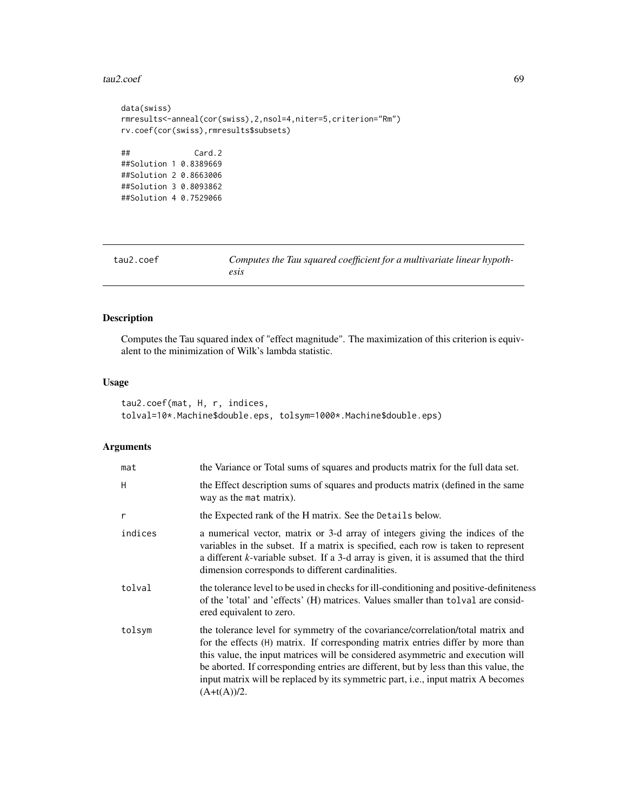## $tau2.coef$  69

```
data(swiss)
rmresults<-anneal(cor(swiss),2,nsol=4,niter=5,criterion="Rm")
rv.coef(cor(swiss),rmresults$subsets)
## Card.2
##Solution 1 0.8389669
##Solution 2 0.8663006
##Solution 3 0.8093862
##Solution 4 0.7529066
```
<span id="page-68-0"></span>

| tau2.coef |  |
|-----------|--|
|           |  |

Computes the Tau squared coefficient for a multivariate linear hypoth*esis*

# Description

Computes the Tau squared index of "effect magnitude". The maximization of this criterion is equivalent to the minimization of Wilk's lambda statistic.

## Usage

```
tau2.coef(mat, H, r, indices,
tolval=10*.Machine$double.eps, tolsym=1000*.Machine$double.eps)
```
# Arguments

| mat     | the Variance or Total sums of squares and products matrix for the full data set.                                                                                                                                                                                                                                                                                                                                                                    |
|---------|-----------------------------------------------------------------------------------------------------------------------------------------------------------------------------------------------------------------------------------------------------------------------------------------------------------------------------------------------------------------------------------------------------------------------------------------------------|
| H       | the Effect description sums of squares and products matrix (defined in the same<br>way as the mat matrix).                                                                                                                                                                                                                                                                                                                                          |
| r       | the Expected rank of the H matrix. See the Details below.                                                                                                                                                                                                                                                                                                                                                                                           |
| indices | a numerical vector, matrix or 3-d array of integers giving the indices of the<br>variables in the subset. If a matrix is specified, each row is taken to represent<br>a different k-variable subset. If a 3-d array is given, it is assumed that the third<br>dimension corresponds to different cardinalities.                                                                                                                                     |
| tolval  | the tolerance level to be used in checks for ill-conditioning and positive-definiteness<br>of the 'total' and 'effects' (H) matrices. Values smaller than tolval are consid-<br>ered equivalent to zero.                                                                                                                                                                                                                                            |
| tolsym  | the tolerance level for symmetry of the covariance/correlation/total matrix and<br>for the effects (H) matrix. If corresponding matrix entries differ by more than<br>this value, the input matrices will be considered asymmetric and execution will<br>be aborted. If corresponding entries are different, but by less than this value, the<br>input matrix will be replaced by its symmetric part, i.e., input matrix A becomes<br>$(A+t(A))/2.$ |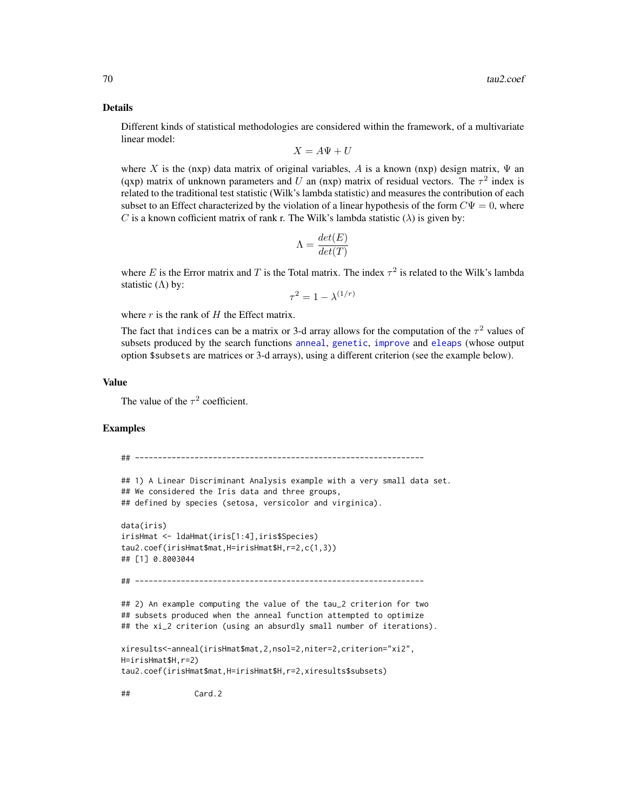#### Details

Different kinds of statistical methodologies are considered within the framework, of a multivariate linear model:

$$
X = A\Psi + U
$$

where X is the (nxp) data matrix of original variables, A is a known (nxp) design matrix,  $\Psi$  and (qxp) matrix of unknown parameters and U an (nxp) matrix of residual vectors. The  $\tau^2$  index is related to the traditional test statistic (Wilk's lambda statistic) and measures the contribution of each subset to an Effect characterized by the violation of a linear hypothesis of the form  $C\Psi = 0$ , where C is a known cofficient matrix of rank r. The Wilk's lambda statistic  $(\lambda)$  is given by:

$$
\Lambda = \frac{det(E)}{det(T)}
$$

where E is the Error matrix and T is the Total matrix. The index  $\tau^2$  is related to the Wilk's lambda statistic  $(Λ)$  by:

 $\tau^2 = 1 - \lambda^{(1/r)}$ 

where  $r$  is the rank of  $H$  the Effect matrix.

The fact that indices can be a matrix or 3-d array allows for the computation of the  $\tau^2$  values of subsets produced by the search functions [anneal](#page-1-0), [genetic](#page-28-0), [improve](#page-46-0) and [eleaps](#page-14-0) (whose output option \$subsets are matrices or 3-d arrays), using a different criterion (see the example below).

## Value

The value of the  $\tau^2$  coefficient.

## Examples

```
## ---------------------------------------------------------------
## 1) A Linear Discriminant Analysis example with a very small data set.
## We considered the Iris data and three groups,
## defined by species (setosa, versicolor and virginica).
data(iris)
irisHmat <- ldaHmat(iris[1:4],iris$Species)
tau2.coef(irisHmat$mat,H=irisHmat$H,r=2,c(1,3))
## [1] 0.8003044
## ---------------------------------------------------------------
## 2) An example computing the value of the tau_2 criterion for two
## subsets produced when the anneal function attempted to optimize
## the xi_2 criterion (using an absurdly small number of iterations).
xiresults<-anneal(irisHmat$mat,2,nsol=2,niter=2,criterion="xi2",
H=irisHmat$H,r=2)
tau2.coef(irisHmat$mat,H=irisHmat$H,r=2,xiresults$subsets)
## Card.2
```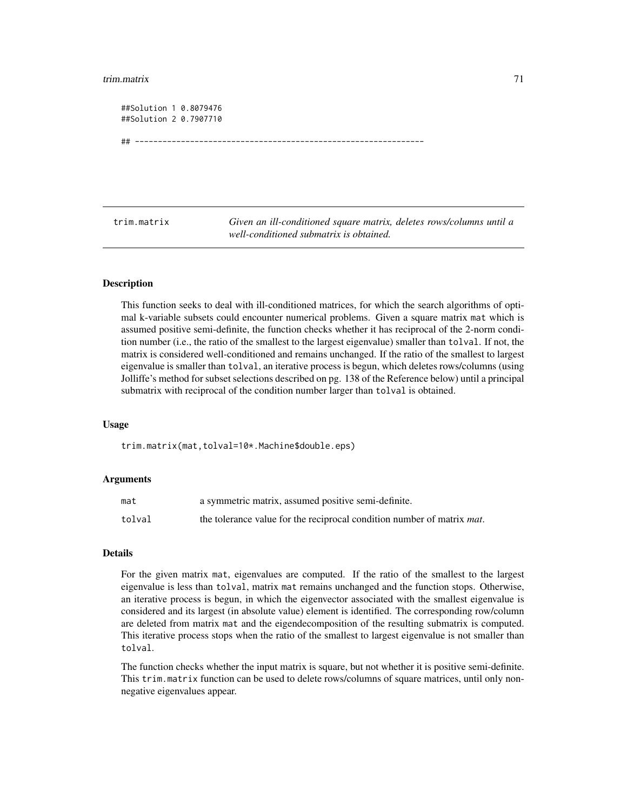### trim.matrix 71

| ##Solution 1 0.8079476 |  |
|------------------------|--|
| ##Solution 2 0.7907710 |  |
|                        |  |
| ##                     |  |

<span id="page-70-0"></span>trim.matrix *Given an ill-conditioned square matrix, deletes rows/columns until a well-conditioned submatrix is obtained.*

#### **Description**

This function seeks to deal with ill-conditioned matrices, for which the search algorithms of optimal k-variable subsets could encounter numerical problems. Given a square matrix mat which is assumed positive semi-definite, the function checks whether it has reciprocal of the 2-norm condition number (i.e., the ratio of the smallest to the largest eigenvalue) smaller than tolval. If not, the matrix is considered well-conditioned and remains unchanged. If the ratio of the smallest to largest eigenvalue is smaller than tolval, an iterative process is begun, which deletes rows/columns (using Jolliffe's method for subset selections described on pg. 138 of the Reference below) until a principal submatrix with reciprocal of the condition number larger than tolval is obtained.

#### Usage

trim.matrix(mat,tolval=10\*.Machine\$double.eps)

#### Arguments

| mat    | a symmetric matrix, assumed positive semi-definite.                            |
|--------|--------------------------------------------------------------------------------|
| tolval | the tolerance value for the reciprocal condition number of matrix <i>mat</i> . |

#### Details

For the given matrix mat, eigenvalues are computed. If the ratio of the smallest to the largest eigenvalue is less than tolval, matrix mat remains unchanged and the function stops. Otherwise, an iterative process is begun, in which the eigenvector associated with the smallest eigenvalue is considered and its largest (in absolute value) element is identified. The corresponding row/column are deleted from matrix mat and the eigendecomposition of the resulting submatrix is computed. This iterative process stops when the ratio of the smallest to largest eigenvalue is not smaller than tolval.

The function checks whether the input matrix is square, but not whether it is positive semi-definite. This trim.matrix function can be used to delete rows/columns of square matrices, until only nonnegative eigenvalues appear.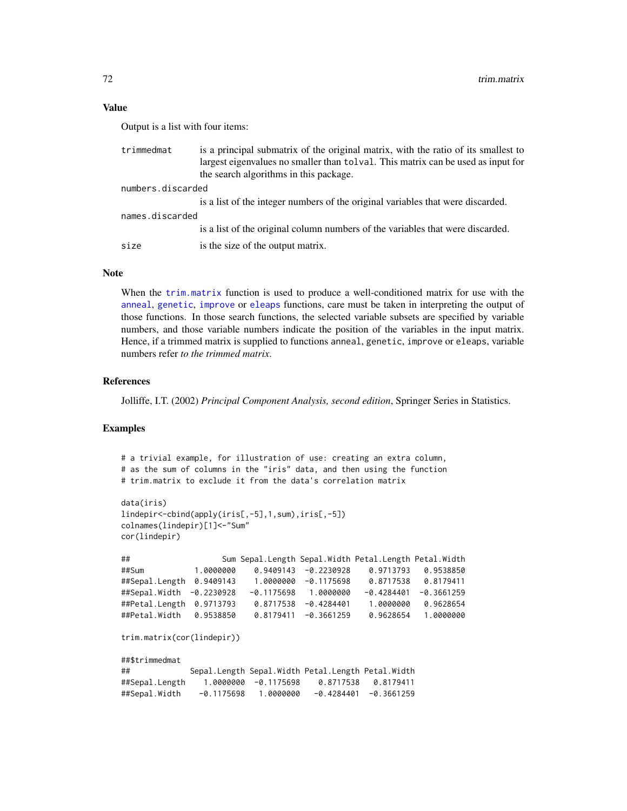## Value

Output is a list with four items:

| trimmedmat        | is a principal submatrix of the original matrix, with the ratio of its smallest to<br>largest eigenvalues no smaller than tolval. This matrix can be used as input for<br>the search algorithms in this package. |
|-------------------|------------------------------------------------------------------------------------------------------------------------------------------------------------------------------------------------------------------|
| numbers.discarded |                                                                                                                                                                                                                  |
|                   | is a list of the integer numbers of the original variables that were discarded.                                                                                                                                  |
| names.discarded   |                                                                                                                                                                                                                  |
|                   | is a list of the original column numbers of the variables that were discarded.                                                                                                                                   |
| size              | is the size of the output matrix.                                                                                                                                                                                |

# Note

When the [trim.matrix](#page-70-0) function is used to produce a well-conditioned matrix for use with the [anneal](#page-1-0), [genetic](#page-28-0), [improve](#page-46-0) or [eleaps](#page-14-0) functions, care must be taken in interpreting the output of those functions. In those search functions, the selected variable subsets are specified by variable numbers, and those variable numbers indicate the position of the variables in the input matrix. Hence, if a trimmed matrix is supplied to functions anneal, genetic, improve or eleaps, variable numbers refer *to the trimmed matrix*.

## References

Jolliffe, I.T. (2002) *Principal Component Analysis, second edition*, Springer Series in Statistics.

## Examples

```
# a trivial example, for illustration of use: creating an extra column,
# as the sum of columns in the "iris" data, and then using the function
# trim.matrix to exclude it from the data's correlation matrix
data(iris)
lindepir<-cbind(apply(iris[,-5],1,sum),iris[,-5])
colnames(lindepir)[1]<-"Sum"
cor(lindepir)
## Sum Sepal.Length Sepal.Width Petal.Length Petal.Width
##Sum 1.0000000 0.9409143 -0.2230928 0.9713793 0.9538850
##Sepal.Length 0.9409143 1.0000000 -0.1175698 0.8717538 0.8179411
##Sepal.Width -0.2230928 -0.1175698 1.0000000 -0.4284401 -0.3661259
##Petal.Length 0.9713793 0.8717538 -0.4284401 1.0000000 0.9628654
                         0.8179411 -0.3661259 0.9628654 1.0000000
trim.matrix(cor(lindepir))
##$trimmedmat
## Sepal.Length Sepal.Width Petal.Length Petal.Width
##Sepal.Length 1.0000000 -0.1175698 0.8717538 0.8179411
##Sepal.Width -0.1175698 1.0000000 -0.4284401 -0.3661259
```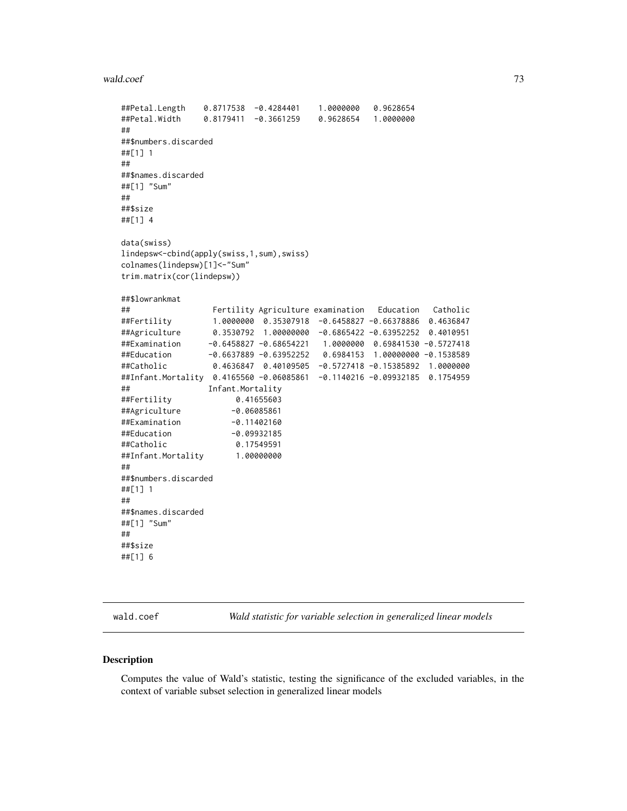## <span id="page-72-0"></span>wald.coef 73

```
##Petal.Length 0.8717538 -0.4284401 1.0000000 0.9628654
##Petal.Width 0.8179411 -0.3661259 0.9628654 1.0000000
##
##$numbers.discarded
##[1] 1
##
##$names.discarded
##[1] "Sum"
##
##$size
##[1] 4
data(swiss)
lindepsw<-cbind(apply(swiss,1,sum),swiss)
colnames(lindepsw)[1]<-"Sum"
trim.matrix(cor(lindepsw))
##$lowrankmat
                 Fertility Agriculture examination Education Catholic
##Fertility 1.0000000 0.35307918 -0.6458827 -0.66378886 0.4636847
##Agriculture 0.3530792 1.00000000 -0.6865422 -0.63952252 0.4010951
##Examination -0.6458827 -0.68654221 1.0000000 0.69841530 -0.5727418
##Education -0.6637889 -0.63952252 0.6984153 1.00000000 -0.1538589
##Catholic 0.4636847 0.40109505 -0.5727418 -0.15385892 1.0000000
##Infant.Mortality 0.4165560 -0.06085861 -0.1140216 -0.09932185 0.1754959
## Infant.Mortality
##Fertility 0.41655603
##Agriculture -0.06085861
##Examination -0.11402160
##Education -0.09932185
##Catholic 0.17549591
##Infant.Mortality 1.00000000
##
##$numbers.discarded
##[1] 1
##
##$names.discarded
##[1] "Sum"
##
##$size
##[1] 6
```
wald.coef *Wald statistic for variable selection in generalized linear models*

## Description

Computes the value of Wald's statistic, testing the significance of the excluded variables, in the context of variable subset selection in generalized linear models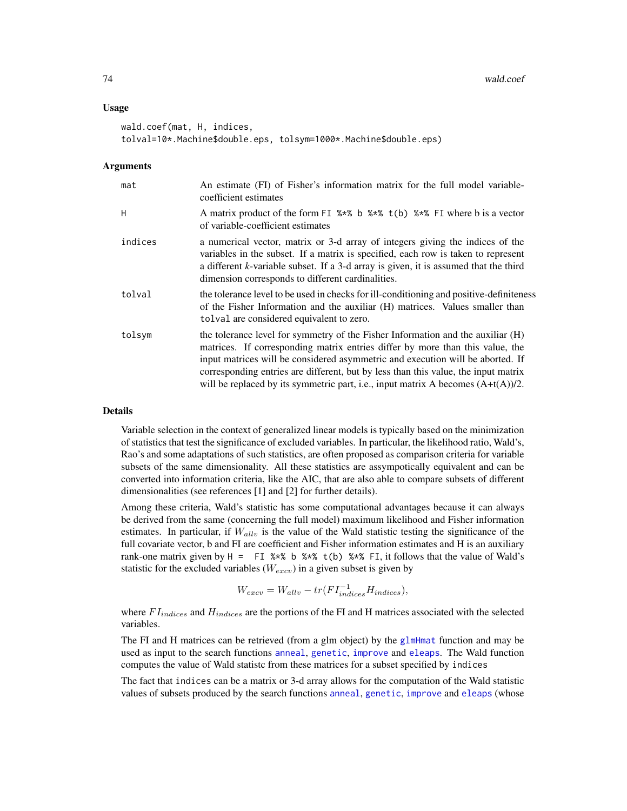## <span id="page-73-0"></span>Usage

```
wald.coef(mat, H, indices,
tolval=10*.Machine$double.eps, tolsym=1000*.Machine$double.eps)
```
## Arguments

| mat     | An estimate (FI) of Fisher's information matrix for the full model variable-<br>coefficient estimates                                                                                                                                                                                                                                                                                                                           |
|---------|---------------------------------------------------------------------------------------------------------------------------------------------------------------------------------------------------------------------------------------------------------------------------------------------------------------------------------------------------------------------------------------------------------------------------------|
| H       | A matrix product of the form FI %*% b %*% t(b) %*% FI where b is a vector<br>of variable-coefficient estimates                                                                                                                                                                                                                                                                                                                  |
| indices | a numerical vector, matrix or 3-d array of integers giving the indices of the<br>variables in the subset. If a matrix is specified, each row is taken to represent<br>a different k-variable subset. If a 3-d array is given, it is assumed that the third<br>dimension corresponds to different cardinalities.                                                                                                                 |
| tolval  | the tolerance level to be used in checks for ill-conditioning and positive-definiteness<br>of the Fisher Information and the auxiliar (H) matrices. Values smaller than<br>tolval are considered equivalent to zero.                                                                                                                                                                                                            |
| tolsym  | the tolerance level for symmetry of the Fisher Information and the auxiliar (H)<br>matrices. If corresponding matrix entries differ by more than this value, the<br>input matrices will be considered asymmetric and execution will be aborted. If<br>corresponding entries are different, but by less than this value, the input matrix<br>will be replaced by its symmetric part, i.e., input matrix A becomes $(A+t(A))/2$ . |

## Details

Variable selection in the context of generalized linear models is typically based on the minimization of statistics that test the significance of excluded variables. In particular, the likelihood ratio, Wald's, Rao's and some adaptations of such statistics, are often proposed as comparison criteria for variable subsets of the same dimensionality. All these statistics are assympotically equivalent and can be converted into information criteria, like the AIC, that are also able to compare subsets of different dimensionalities (see references [1] and [2] for further details).

Among these criteria, Wald's statistic has some computational advantages because it can always be derived from the same (concerning the full model) maximum likelihood and Fisher information estimates. In particular, if  $W_{allv}$  is the value of the Wald statistic testing the significance of the full covariate vector, b and FI are coefficient and Fisher information estimates and H is an auxiliary rank-one matrix given by  $H = \text{FI } %$  \*\* b  $%$  \*\*  $E$ , it follows that the value of Wald's statistic for the excluded variables ( $W_{excv}$ ) in a given subset is given by

$$
W_{excv} = W_{allv} - tr(FI_{indices}^{-1}H_{indices}),
$$

where  $FI_{indices}$  and  $H_{indices}$  are the portions of the FI and H matrices associated with the selected variables.

The FI and H matrices can be retrieved (from a glm object) by the [glmHmat](#page-42-0) function and may be used as input to the search functions [anneal](#page-1-0), [genetic](#page-28-0), [improve](#page-46-0) and [eleaps](#page-14-0). The Wald function computes the value of Wald statistc from these matrices for a subset specified by indices

The fact that indices can be a matrix or 3-d array allows for the computation of the Wald statistic values of subsets produced by the search functions [anneal](#page-1-0), [genetic](#page-28-0), [improve](#page-46-0) and [eleaps](#page-14-0) (whose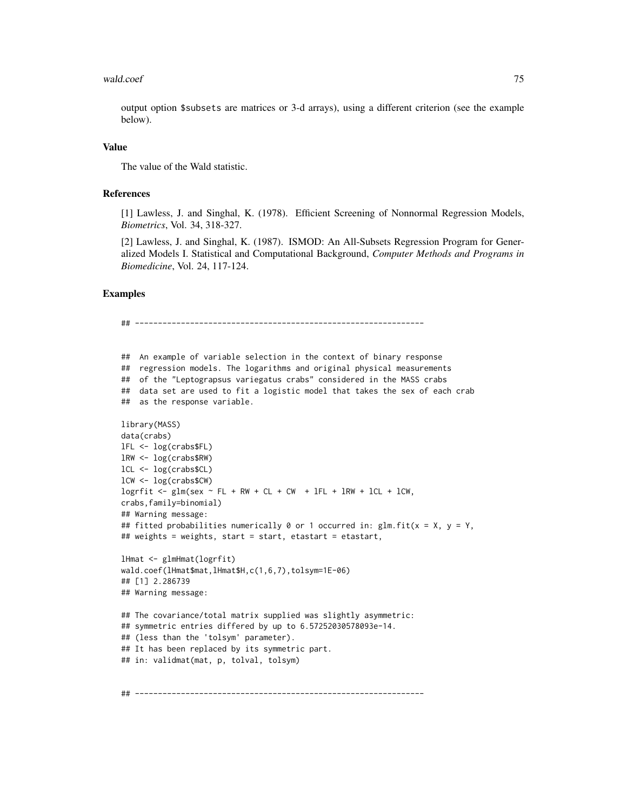## wald.coef 75

output option \$subsets are matrices or 3-d arrays), using a different criterion (see the example below).

# Value

The value of the Wald statistic.

#### References

[1] Lawless, J. and Singhal, K. (1978). Efficient Screening of Nonnormal Regression Models, *Biometrics*, Vol. 34, 318-327.

[2] Lawless, J. and Singhal, K. (1987). ISMOD: An All-Subsets Regression Program for Generalized Models I. Statistical and Computational Background, *Computer Methods and Programs in Biomedicine*, Vol. 24, 117-124.

# Examples

```
## ---------------------------------------------------------------
## An example of variable selection in the context of binary response
## regression models. The logarithms and original physical measurements
## of the "Leptograpsus variegatus crabs" considered in the MASS crabs
## data set are used to fit a logistic model that takes the sex of each crab
## as the response variable.
library(MASS)
data(crabs)
lFL <- log(crabs$FL)
lRW <- log(crabs$RW)
lCL <- log(crabs$CL)
lCW <- log(crabs$CW)
logrfit \leq glm(sex \sim FL + RW + CL + CW + lFL + lRW + lCL + lCW,
crabs,family=binomial)
## Warning message:
## fitted probabilities numerically 0 or 1 occurred in: glm.fit(x = X, y = Y,## weights = weights, start = start, etastart = etastart,
lHmat <- glmHmat(logrfit)
wald.coef(lHmat$mat,lHmat$H,c(1,6,7),tolsym=1E-06)
## [1] 2.286739
## Warning message:
## The covariance/total matrix supplied was slightly asymmetric:
## symmetric entries differed by up to 6.57252030578093e-14.
## (less than the 'tolsym' parameter).
## It has been replaced by its symmetric part.
## in: validmat(mat, p, tolval, tolsym)
## ---------------------------------------------------------------
```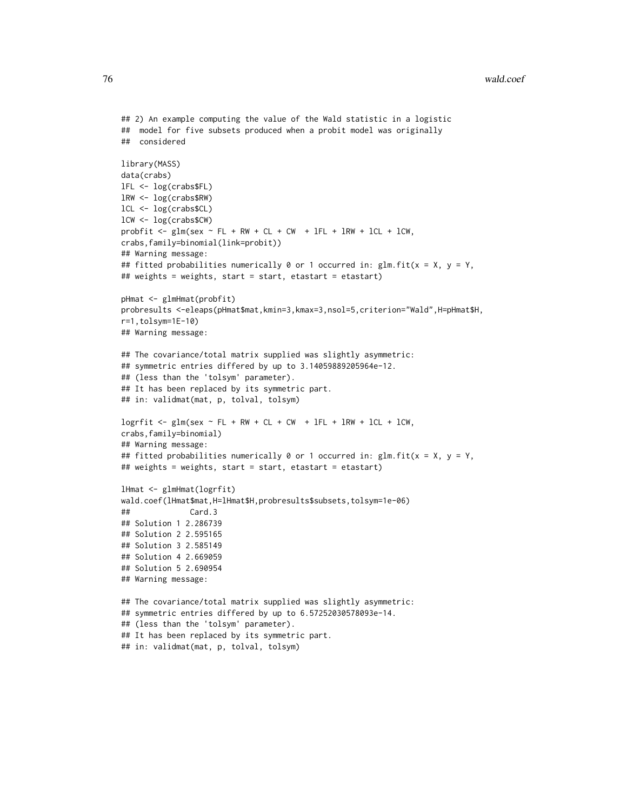```
## 2) An example computing the value of the Wald statistic in a logistic
## model for five subsets produced when a probit model was originally
## considered
library(MASS)
data(crabs)
lFL <- log(crabs$FL)
lRW <- log(crabs$RW)
lCL <- log(crabs$CL)
lCW <- log(crabs$CW)
probfit <- glm(sex \sim FL + RW + CL + CW + IFL + IRW + ICL + ICW,crabs,family=binomial(link=probit))
## Warning message:
## fitted probabilities numerically 0 or 1 occurred in: glm.fit(x = X, y = Y,## weights = weights, start = start, etastart = etastart)
pHmat <- glmHmat(probfit)
probresults <-eleaps(pHmat$mat,kmin=3,kmax=3,nsol=5,criterion="Wald",H=pHmat$H,
r=1,tolsym=1E-10)
## Warning message:
## The covariance/total matrix supplied was slightly asymmetric:
## symmetric entries differed by up to 3.14059889205964e-12.
## (less than the 'tolsym' parameter).
## It has been replaced by its symmetric part.
## in: validmat(mat, p, tolval, tolsym)
logrfit <- glm(sex \sim FL + RW + CL + CW + lFL + lRW + lCL + lCW,
crabs,family=binomial)
## Warning message:
## fitted probabilities numerically 0 or 1 occurred in: glm.fit(x = X, y = Y,## weights = weights, start = start, etastart = etastart)
lHmat <- glmHmat(logrfit)
wald.coef(lHmat$mat,H=lHmat$H,probresults$subsets,tolsym=1e-06)
## Card.3
## Solution 1 2.286739
## Solution 2 2.595165
## Solution 3 2.585149
## Solution 4 2.669059
## Solution 5 2.690954
## Warning message:
## The covariance/total matrix supplied was slightly asymmetric:
## symmetric entries differed by up to 6.57252030578093e-14.
## (less than the 'tolsym' parameter).
## It has been replaced by its symmetric part.
```

```
## in: validmat(mat, p, tolval, tolsym)
```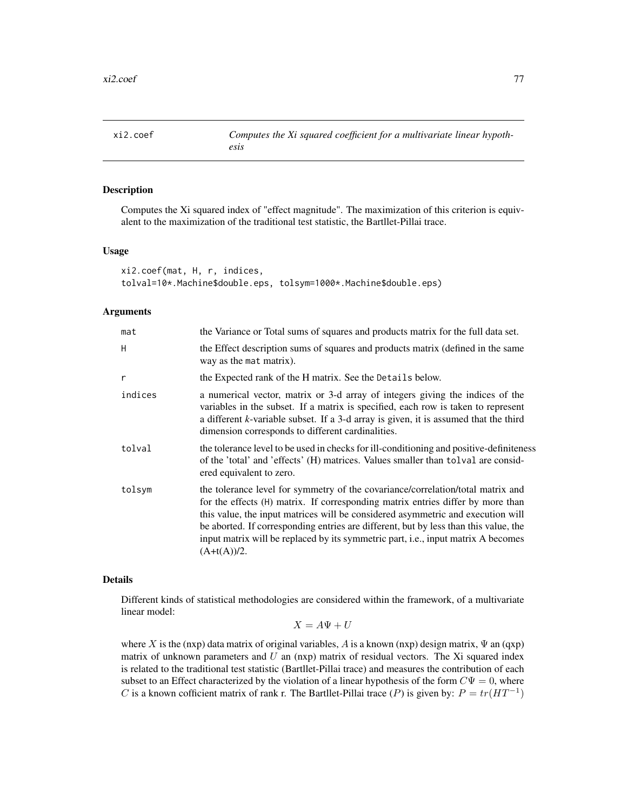<span id="page-76-0"></span>

## Description

Computes the Xi squared index of "effect magnitude". The maximization of this criterion is equivalent to the maximization of the traditional test statistic, the Bartllet-Pillai trace.

## Usage

```
xi2.coef(mat, H, r, indices,
tolval=10*.Machine$double.eps, tolsym=1000*.Machine$double.eps)
```
# Arguments

| mat     | the Variance or Total sums of squares and products matrix for the full data set.                                                                                                                                                                                                                                                                                                                                                                            |
|---------|-------------------------------------------------------------------------------------------------------------------------------------------------------------------------------------------------------------------------------------------------------------------------------------------------------------------------------------------------------------------------------------------------------------------------------------------------------------|
| H       | the Effect description sums of squares and products matrix (defined in the same<br>way as the mat matrix).                                                                                                                                                                                                                                                                                                                                                  |
| r       | the Expected rank of the H matrix. See the Details below.                                                                                                                                                                                                                                                                                                                                                                                                   |
| indices | a numerical vector, matrix or 3-d array of integers giving the indices of the<br>variables in the subset. If a matrix is specified, each row is taken to represent<br>a different k-variable subset. If a 3-d array is given, it is assumed that the third<br>dimension corresponds to different cardinalities.                                                                                                                                             |
| tolval  | the tolerance level to be used in checks for ill-conditioning and positive-definiteness<br>of the 'total' and 'effects' (H) matrices. Values smaller than tolval are consid-<br>ered equivalent to zero.                                                                                                                                                                                                                                                    |
| tolsym  | the tolerance level for symmetry of the covariance/correlation/total matrix and<br>for the effects (H) matrix. If corresponding matrix entries differ by more than<br>this value, the input matrices will be considered asymmetric and execution will<br>be aborted. If corresponding entries are different, but by less than this value, the<br>input matrix will be replaced by its symmetric part, <i>i.e.</i> , input matrix A becomes<br>$(A+t(A))/2.$ |

# Details

Different kinds of statistical methodologies are considered within the framework, of a multivariate linear model:

$$
X = A\Psi + U
$$

where X is the (nxp) data matrix of original variables, A is a known (nxp) design matrix,  $\Psi$  an (qxp) matrix of unknown parameters and  $U$  an (nxp) matrix of residual vectors. The Xi squared index is related to the traditional test statistic (Bartllet-Pillai trace) and measures the contribution of each subset to an Effect characterized by the violation of a linear hypothesis of the form  $C\Psi = 0$ , where C is a known cofficient matrix of rank r. The Bartllet-Pillai trace (P) is given by:  $P = tr(HT^{-1})$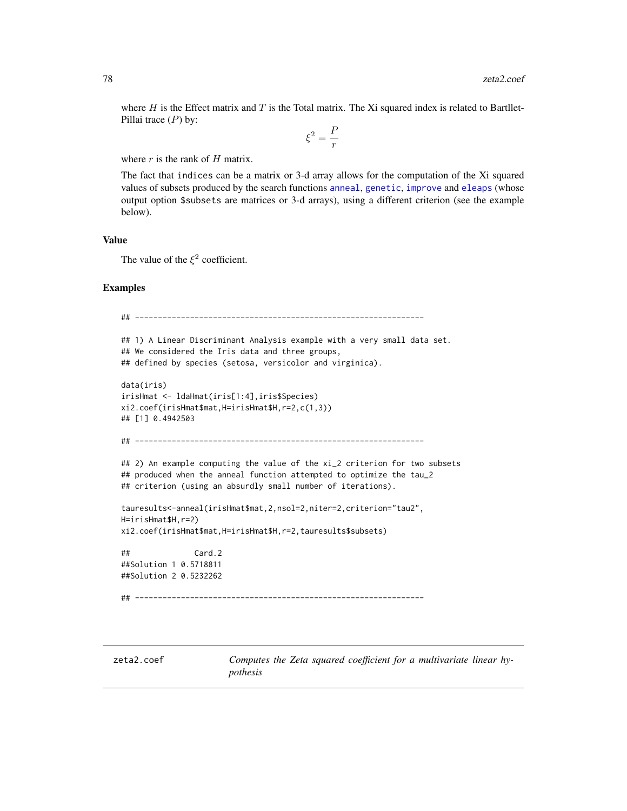<span id="page-77-0"></span>where  $H$  is the Effect matrix and  $T$  is the Total matrix. The Xi squared index is related to Bartllet-Pillai trace  $(P)$  by:

$$
\xi^2=\frac{P}{r}
$$

where  $r$  is the rank of  $H$  matrix.

The fact that indices can be a matrix or 3-d array allows for the computation of the Xi squared values of subsets produced by the search functions [anneal](#page-1-0), [genetic](#page-28-0), [improve](#page-46-0) and [eleaps](#page-14-0) (whose output option \$subsets are matrices or 3-d arrays), using a different criterion (see the example below).

# Value

The value of the  $\xi^2$  coefficient.

# Examples

```
## ---------------------------------------------------------------
## 1) A Linear Discriminant Analysis example with a very small data set.
## We considered the Iris data and three groups,
## defined by species (setosa, versicolor and virginica).
data(iris)
irisHmat <- ldaHmat(iris[1:4],iris$Species)
xi2.coef(irisHmat$mat,H=irisHmat$H,r=2,c(1,3))
## [1] 0.4942503
## ---------------------------------------------------------------
## 2) An example computing the value of the xi_2 criterion for two subsets
## produced when the anneal function attempted to optimize the tau_2
## criterion (using an absurdly small number of iterations).
tauresults<-anneal(irisHmat$mat,2,nsol=2,niter=2,criterion="tau2",
H=irisHmat$H,r=2)
xi2.coef(irisHmat$mat,H=irisHmat$H,r=2,tauresults$subsets)
## Card.2
##Solution 1 0.5718811
##Solution 2 0.5232262
## ---------------------------------------------------------------
```
zeta2.coef *Computes the Zeta squared coefficient for a multivariate linear hypothesis*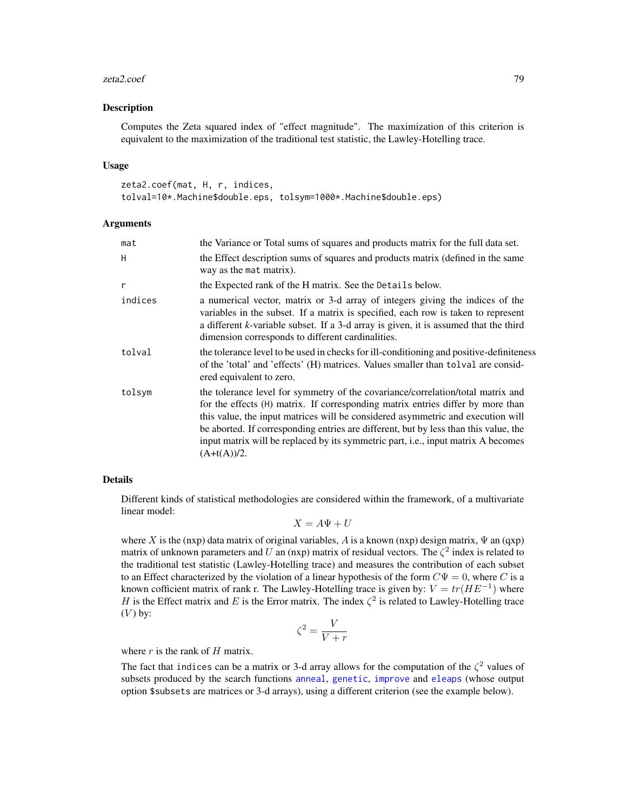## <span id="page-78-0"></span>zeta2.coef 79

## Description

Computes the Zeta squared index of "effect magnitude". The maximization of this criterion is equivalent to the maximization of the traditional test statistic, the Lawley-Hotelling trace.

## Usage

```
zeta2.coef(mat, H, r, indices,
tolval=10*.Machine$double.eps, tolsym=1000*.Machine$double.eps)
```
## Arguments

| mat     | the Variance or Total sums of squares and products matrix for the full data set.                                                                                                                                                                                                                                                                                                                                                                    |
|---------|-----------------------------------------------------------------------------------------------------------------------------------------------------------------------------------------------------------------------------------------------------------------------------------------------------------------------------------------------------------------------------------------------------------------------------------------------------|
| H       | the Effect description sums of squares and products matrix (defined in the same<br>way as the mat matrix).                                                                                                                                                                                                                                                                                                                                          |
| r       | the Expected rank of the H matrix. See the Details below.                                                                                                                                                                                                                                                                                                                                                                                           |
| indices | a numerical vector, matrix or 3-d array of integers giving the indices of the<br>variables in the subset. If a matrix is specified, each row is taken to represent<br>a different k-variable subset. If a 3-d array is given, it is assumed that the third<br>dimension corresponds to different cardinalities.                                                                                                                                     |
| tolval  | the tolerance level to be used in checks for ill-conditioning and positive-definiteness<br>of the 'total' and 'effects' (H) matrices. Values smaller than tolval are consid-<br>ered equivalent to zero.                                                                                                                                                                                                                                            |
| tolsym  | the tolerance level for symmetry of the covariance/correlation/total matrix and<br>for the effects (H) matrix. If corresponding matrix entries differ by more than<br>this value, the input matrices will be considered asymmetric and execution will<br>be aborted. If corresponding entries are different, but by less than this value, the<br>input matrix will be replaced by its symmetric part, i.e., input matrix A becomes<br>$(A+t(A))/2.$ |

# Details

Different kinds of statistical methodologies are considered within the framework, of a multivariate linear model:

 $X = A\Psi + U$ 

where X is the (nxp) data matrix of original variables, A is a known (nxp) design matrix,  $\Psi$  an (qxp) matrix of unknown parameters and U an (nxp) matrix of residual vectors. The  $\zeta^2$  index is related to the traditional test statistic (Lawley-Hotelling trace) and measures the contribution of each subset to an Effect characterized by the violation of a linear hypothesis of the form  $C\Psi = 0$ , where C is a known cofficient matrix of rank r. The Lawley-Hotelling trace is given by:  $V = tr(HE^{-1})$  where H is the Effect matrix and E is the Error matrix. The index  $\zeta^2$  is related to Lawley-Hotelling trace  $(V)$  by:

$$
\zeta^2 = \frac{V}{V+r}
$$

where  $r$  is the rank of  $H$  matrix.

The fact that indices can be a matrix or 3-d array allows for the computation of the  $\zeta^2$  values of subsets produced by the search functions [anneal](#page-1-0), [genetic](#page-28-0), [improve](#page-46-0) and [eleaps](#page-14-0) (whose output option \$subsets are matrices or 3-d arrays), using a different criterion (see the example below).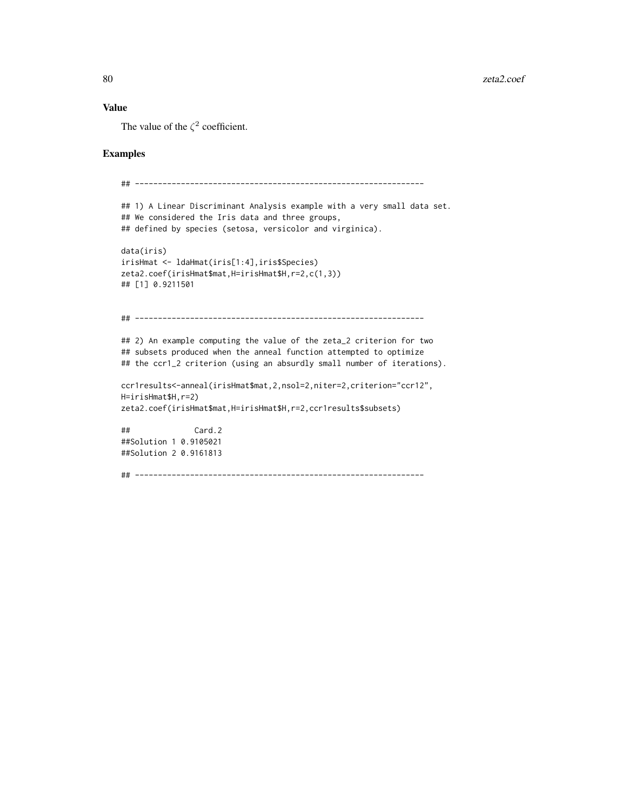# Value

The value of the  $\zeta^2$  coefficient.

# Examples

```
## ---------------------------------------------------------------
## 1) A Linear Discriminant Analysis example with a very small data set.
## We considered the Iris data and three groups,
## defined by species (setosa, versicolor and virginica).
data(iris)
irisHmat <- ldaHmat(iris[1:4],iris$Species)
zeta2.coef(irisHmat$mat,H=irisHmat$H,r=2,c(1,3))
## [1] 0.9211501
## ---------------------------------------------------------------
## 2) An example computing the value of the zeta_2 criterion for two
## subsets produced when the anneal function attempted to optimize
## the ccr1_2 criterion (using an absurdly small number of iterations).
ccr1results<-anneal(irisHmat$mat,2,nsol=2,niter=2,criterion="ccr12",
H=irisHmat$H,r=2)
zeta2.coef(irisHmat$mat,H=irisHmat$H,r=2,ccr1results$subsets)
## Card.2
##Solution 1 0.9105021
##Solution 2 0.9161813
## ---------------------------------------------------------------
```